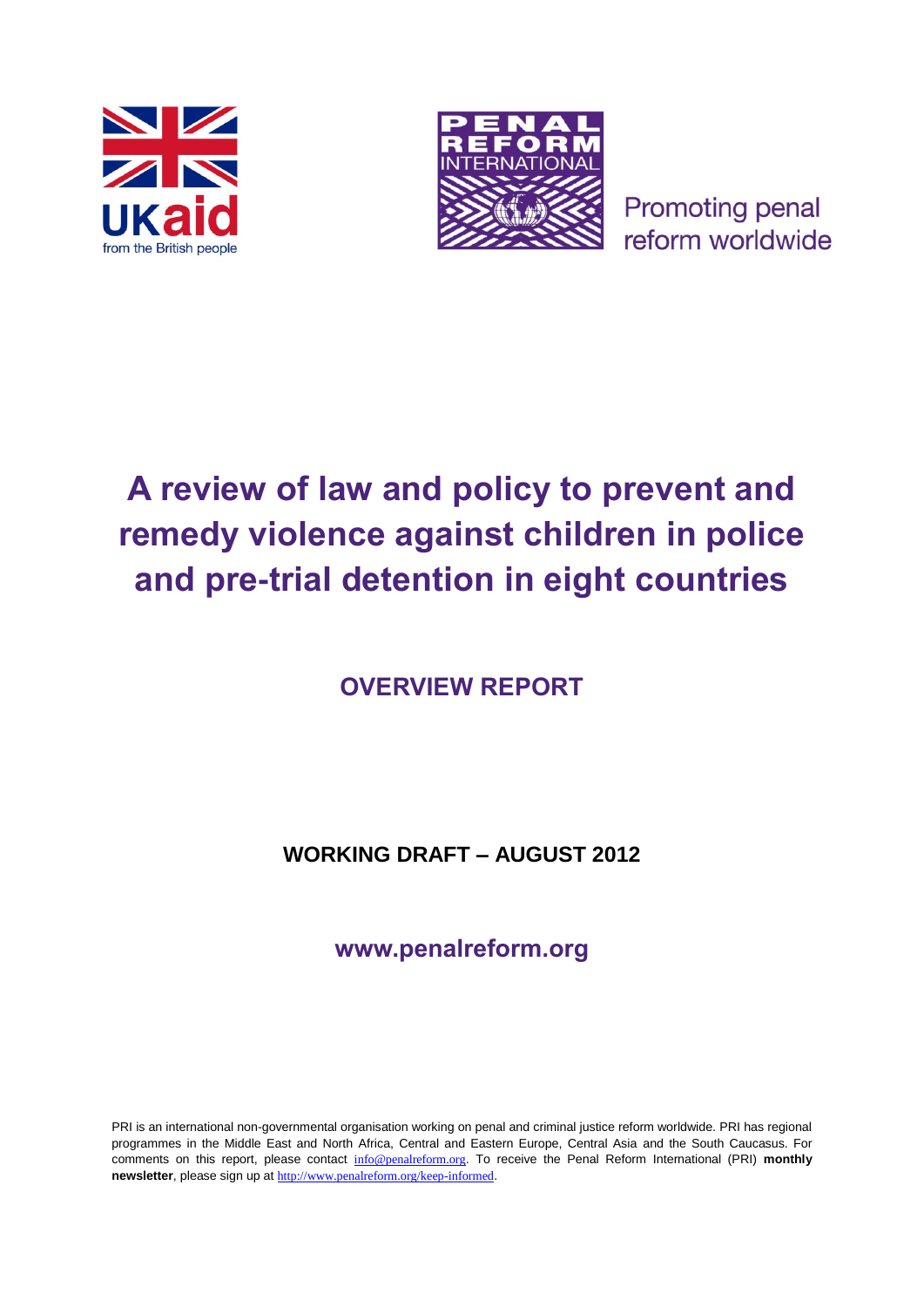



**Promoting penal** reform worldwide

# **A review of law and policy to prevent and remedy violence against children in police and pre-trial detention in eight countries**

**OVERVIEW REPORT**

**WORKING DRAFT – AUGUST 2012**

**www.penalreform.org**

PRI is an international non-governmental organisation working on penal and criminal justice reform worldwide. PRI has regional programmes in the Middle East and North Africa, Central and Eastern Europe, Central Asia and the South Caucasus. For comments on this report, please contact [info@penalreform.org](mailto:info@penalreform.org). To receive the Penal Reform International (PRI) **monthly newsletter**, please sign up at <http://www.penalreform.org/keep-informed>.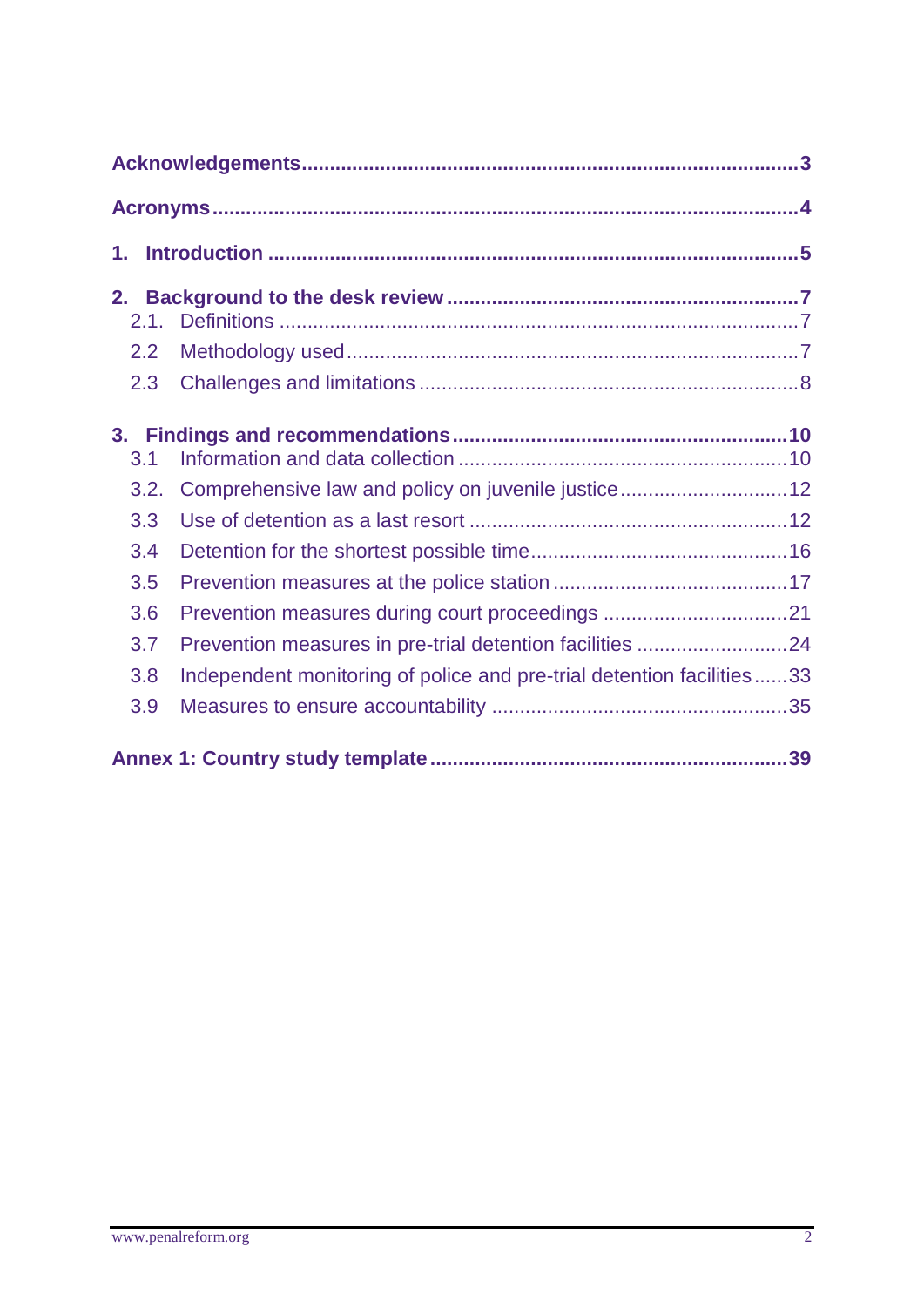| 1.         |                                                                       |  |  |  |
|------------|-----------------------------------------------------------------------|--|--|--|
| 2.1.       |                                                                       |  |  |  |
| 2.2<br>2.3 |                                                                       |  |  |  |
| 3.1        |                                                                       |  |  |  |
| 3.2.       | Comprehensive law and policy on juvenile justice12                    |  |  |  |
| 3.3        |                                                                       |  |  |  |
| 3.4        |                                                                       |  |  |  |
| 3.5        |                                                                       |  |  |  |
| 3.6        |                                                                       |  |  |  |
| 3.7        | Prevention measures in pre-trial detention facilities 24              |  |  |  |
| 3.8        | Independent monitoring of police and pre-trial detention facilities33 |  |  |  |
| 3.9        |                                                                       |  |  |  |
|            |                                                                       |  |  |  |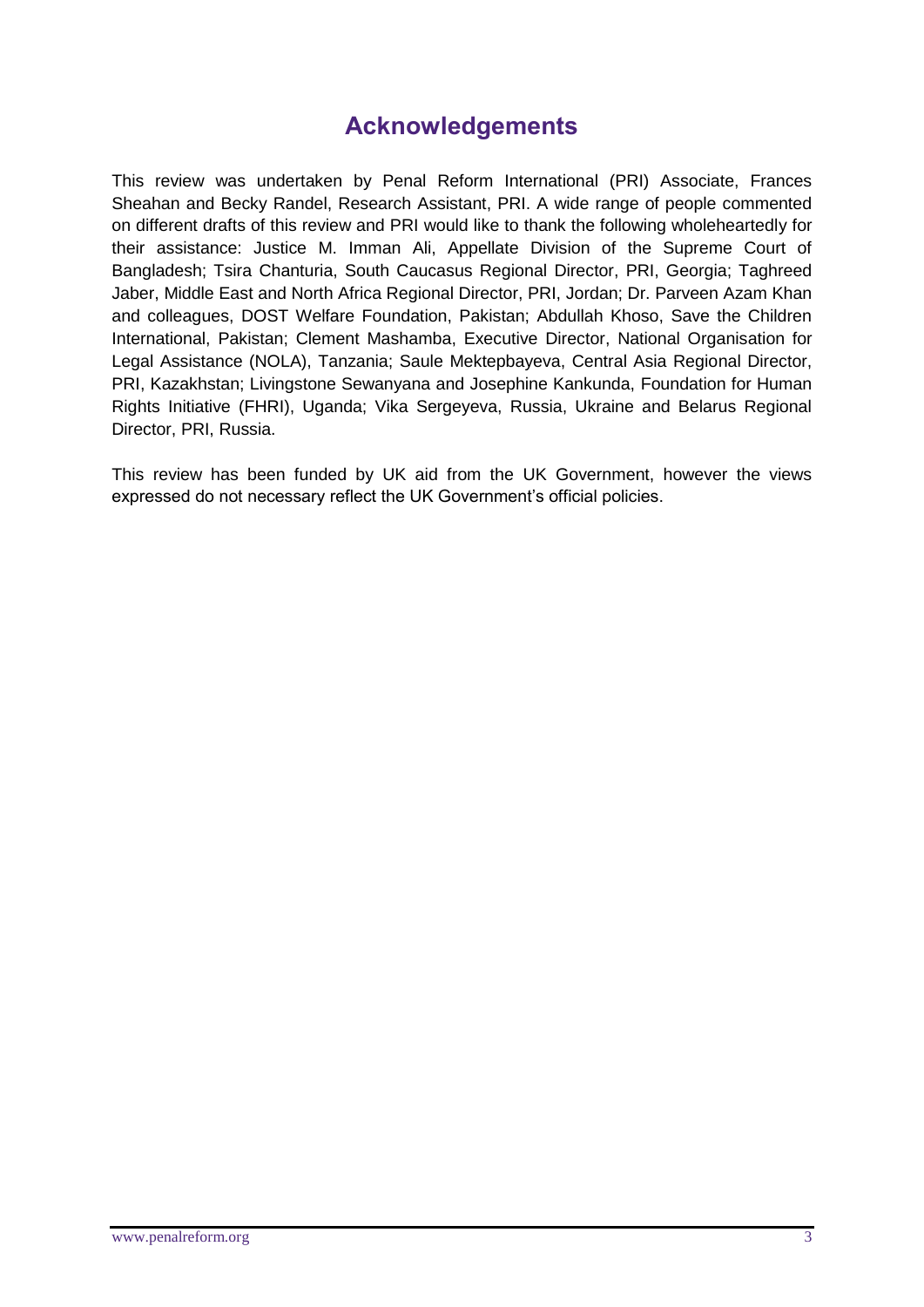# **Acknowledgements**

This review was undertaken by Penal Reform International (PRI) Associate, Frances Sheahan and Becky Randel, Research Assistant, PRI. A wide range of people commented on different drafts of this review and PRI would like to thank the following wholeheartedly for their assistance: Justice M. Imman Ali, Appellate Division of the Supreme Court of Bangladesh; Tsira Chanturia, South Caucasus Regional Director, PRI, Georgia; Taghreed Jaber, Middle East and North Africa Regional Director, PRI, Jordan; Dr. Parveen Azam Khan and colleagues, DOST Welfare Foundation, Pakistan; Abdullah Khoso, Save the Children International, Pakistan; Clement Mashamba, Executive Director, National Organisation for Legal Assistance (NOLA), Tanzania; Saule Mektepbayeva, Central Asia Regional Director, PRI, Kazakhstan; Livingstone Sewanyana and Josephine Kankunda, Foundation for Human Rights Initiative (FHRI), Uganda; Vika Sergeyeva, Russia, Ukraine and Belarus Regional Director, PRI, Russia.

This review has been funded by UK aid from the UK Government, however the views expressed do not necessary reflect the UK Government's official policies.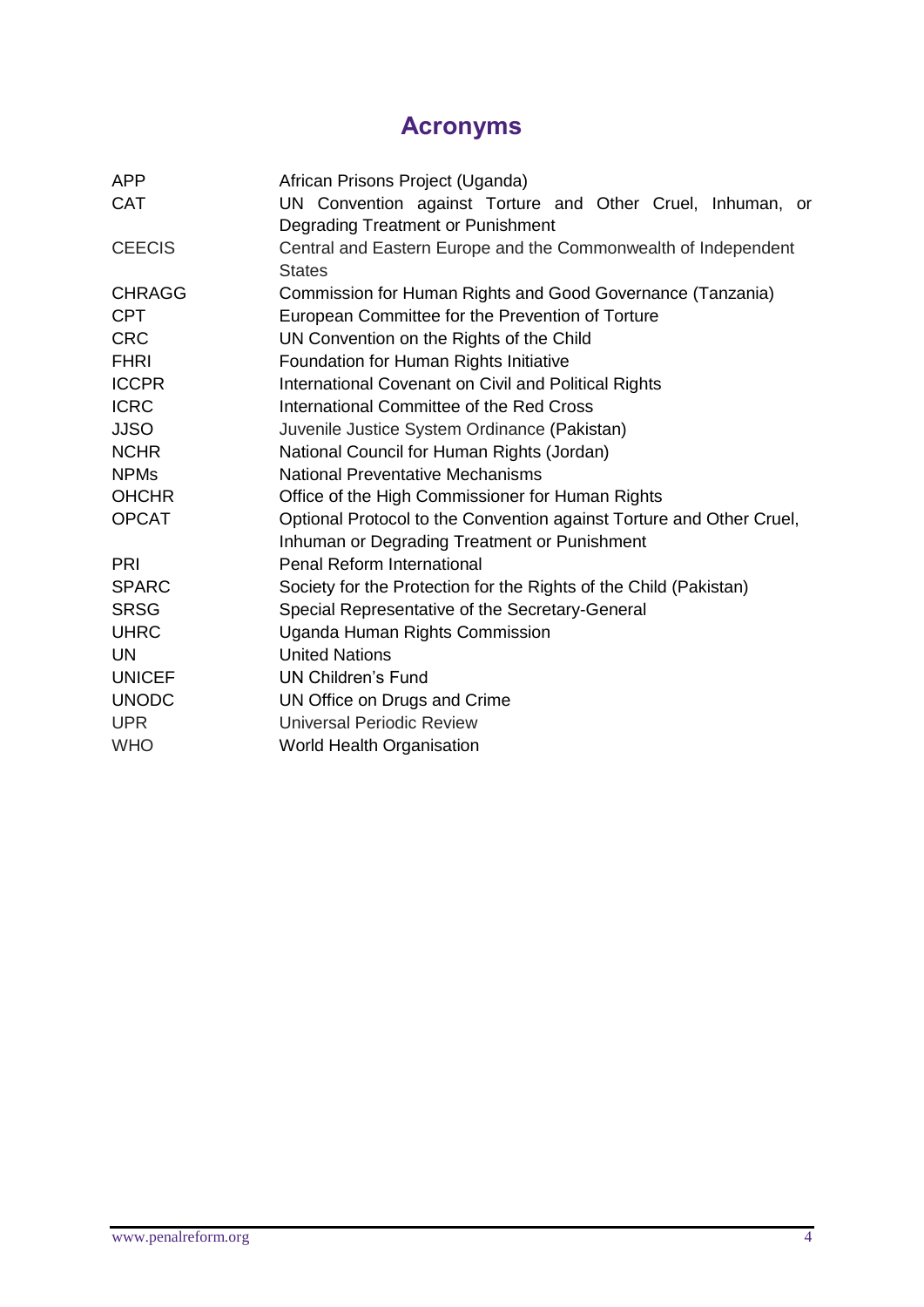# **Acronyms**

| <b>APP</b>    | African Prisons Project (Uganda)                                     |  |  |  |
|---------------|----------------------------------------------------------------------|--|--|--|
| <b>CAT</b>    | UN Convention against Torture and Other Cruel, Inhuman, or           |  |  |  |
|               | Degrading Treatment or Punishment                                    |  |  |  |
| <b>CEECIS</b> | Central and Eastern Europe and the Commonwealth of Independent       |  |  |  |
|               | <b>States</b>                                                        |  |  |  |
| <b>CHRAGG</b> | Commission for Human Rights and Good Governance (Tanzania)           |  |  |  |
| <b>CPT</b>    | European Committee for the Prevention of Torture                     |  |  |  |
| <b>CRC</b>    | UN Convention on the Rights of the Child                             |  |  |  |
| <b>FHRI</b>   | Foundation for Human Rights Initiative                               |  |  |  |
| <b>ICCPR</b>  | International Covenant on Civil and Political Rights                 |  |  |  |
| <b>ICRC</b>   | International Committee of the Red Cross                             |  |  |  |
| <b>JJSO</b>   | Juvenile Justice System Ordinance (Pakistan)                         |  |  |  |
| <b>NCHR</b>   | National Council for Human Rights (Jordan)                           |  |  |  |
| <b>NPMs</b>   | <b>National Preventative Mechanisms</b>                              |  |  |  |
| <b>OHCHR</b>  | Office of the High Commissioner for Human Rights                     |  |  |  |
| <b>OPCAT</b>  | Optional Protocol to the Convention against Torture and Other Cruel, |  |  |  |
|               | Inhuman or Degrading Treatment or Punishment                         |  |  |  |
| PRI           | <b>Penal Reform International</b>                                    |  |  |  |
| <b>SPARC</b>  | Society for the Protection for the Rights of the Child (Pakistan)    |  |  |  |
| <b>SRSG</b>   | Special Representative of the Secretary-General                      |  |  |  |
| <b>UHRC</b>   | Uganda Human Rights Commission                                       |  |  |  |
| <b>UN</b>     | <b>United Nations</b>                                                |  |  |  |
| <b>UNICEF</b> | <b>UN Children's Fund</b>                                            |  |  |  |
| <b>UNODC</b>  | UN Office on Drugs and Crime                                         |  |  |  |
| <b>UPR</b>    | <b>Universal Periodic Review</b>                                     |  |  |  |
| <b>WHO</b>    | World Health Organisation                                            |  |  |  |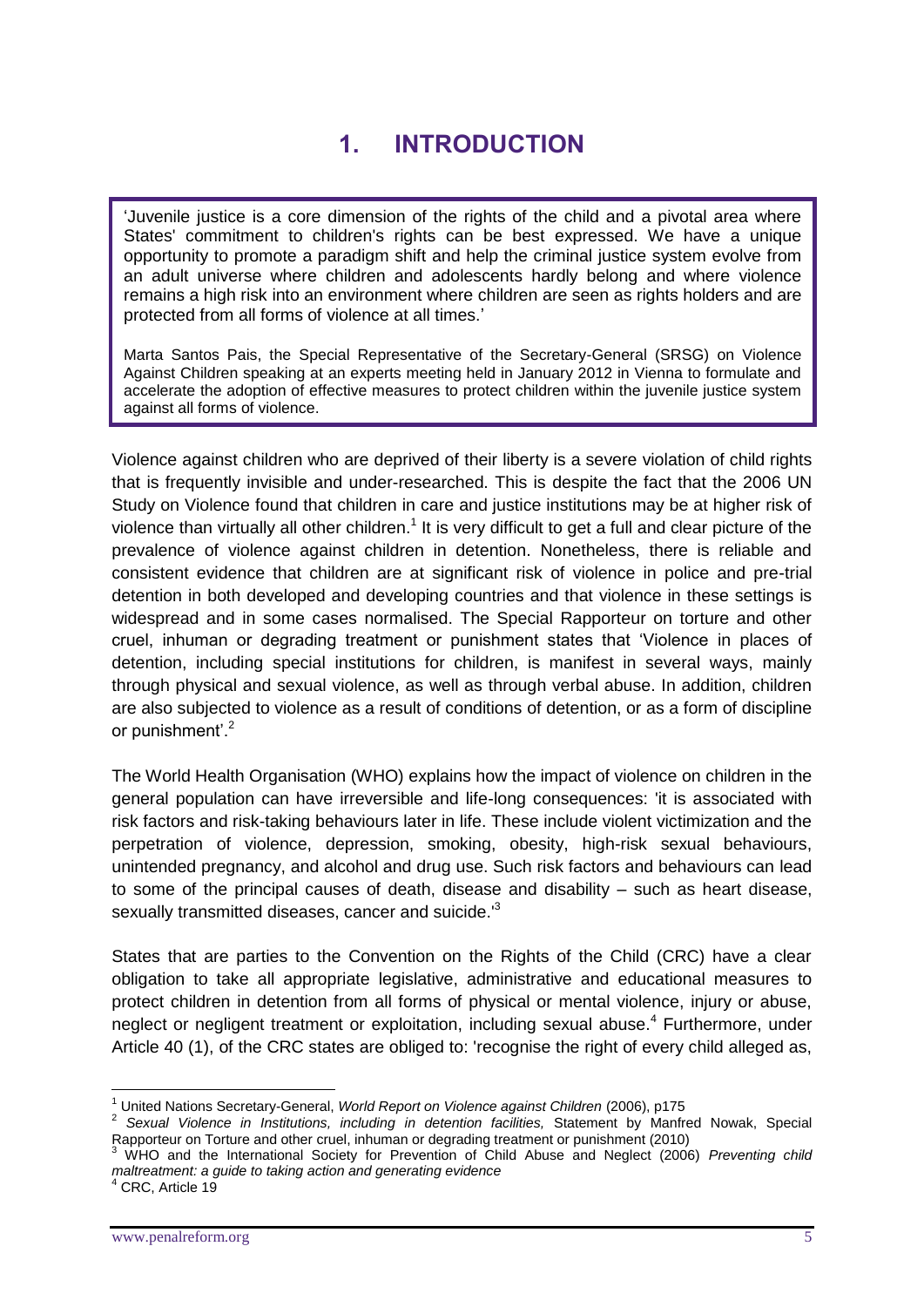# **1. INTRODUCTION**

'Juvenile justice is a core dimension of the rights of the child and a pivotal area where States' commitment to children's rights can be best expressed. We have a unique opportunity to promote a paradigm shift and help the criminal justice system evolve from an adult universe where children and adolescents hardly belong and where violence remains a high risk into an environment where children are seen as rights holders and are protected from all forms of violence at all times.'

Marta Santos Pais, the Special Representative of the Secretary-General (SRSG) on Violence Against Children speaking at an experts meeting held in January 2012 in Vienna to formulate and accelerate the adoption of effective measures to protect children within the juvenile justice system against all forms of violence.

Violence against children who are deprived of their liberty is a severe violation of child rights that is frequently invisible and under-researched. This is despite the fact that the 2006 UN Study on Violence found that children in care and justice institutions may be at higher risk of violence than virtually all other children.<sup>1</sup> It is very difficult to get a full and clear picture of the prevalence of violence against children in detention. Nonetheless, there is reliable and consistent evidence that children are at significant risk of violence in police and pre-trial detention in both developed and developing countries and that violence in these settings is widespread and in some cases normalised. The Special Rapporteur on torture and other cruel, inhuman or degrading treatment or punishment states that 'Violence in places of detention, including special institutions for children, is manifest in several ways, mainly through physical and sexual violence, as well as through verbal abuse. In addition, children are also subjected to violence as a result of conditions of detention, or as a form of discipline or punishment<sup>'.2</sup>

The World Health Organisation (WHO) explains how the impact of violence on children in the general population can have irreversible and life-long consequences: 'it is associated with risk factors and risk-taking behaviours later in life. These include violent victimization and the perpetration of violence, depression, smoking, obesity, high-risk sexual behaviours, unintended pregnancy, and alcohol and drug use. Such risk factors and behaviours can lead to some of the principal causes of death, disease and disability – such as heart disease, sexually transmitted diseases, cancer and suicide.<sup>13</sup>

States that are parties to the Convention on the Rights of the Child (CRC) have a clear obligation to take all appropriate legislative, administrative and educational measures to protect children in detention from all forms of physical or mental violence, injury or abuse, neglect or negligent treatment or exploitation, including sexual abuse.<sup>4</sup> Furthermore, under Article 40 (1), of the CRC states are obliged to: 'recognise the right of every child alleged as,

<sup>1</sup> <sup>1</sup> United Nations Secretary-General, *World Report on Violence against Children* (2006), p175

<sup>2</sup> *Sexual Violence in Institutions, including in detention facilities,* Statement by Manfred Nowak, Special Rapporteur on Torture and other cruel, inhuman or degrading treatment or punishment (2010)

<sup>3</sup> WHO and the International Society for Prevention of Child Abuse and Neglect (2006) *Preventing child maltreatment: a guide to taking action and generating evidence*

<sup>&</sup>lt;sup>4</sup> CRC, Article 19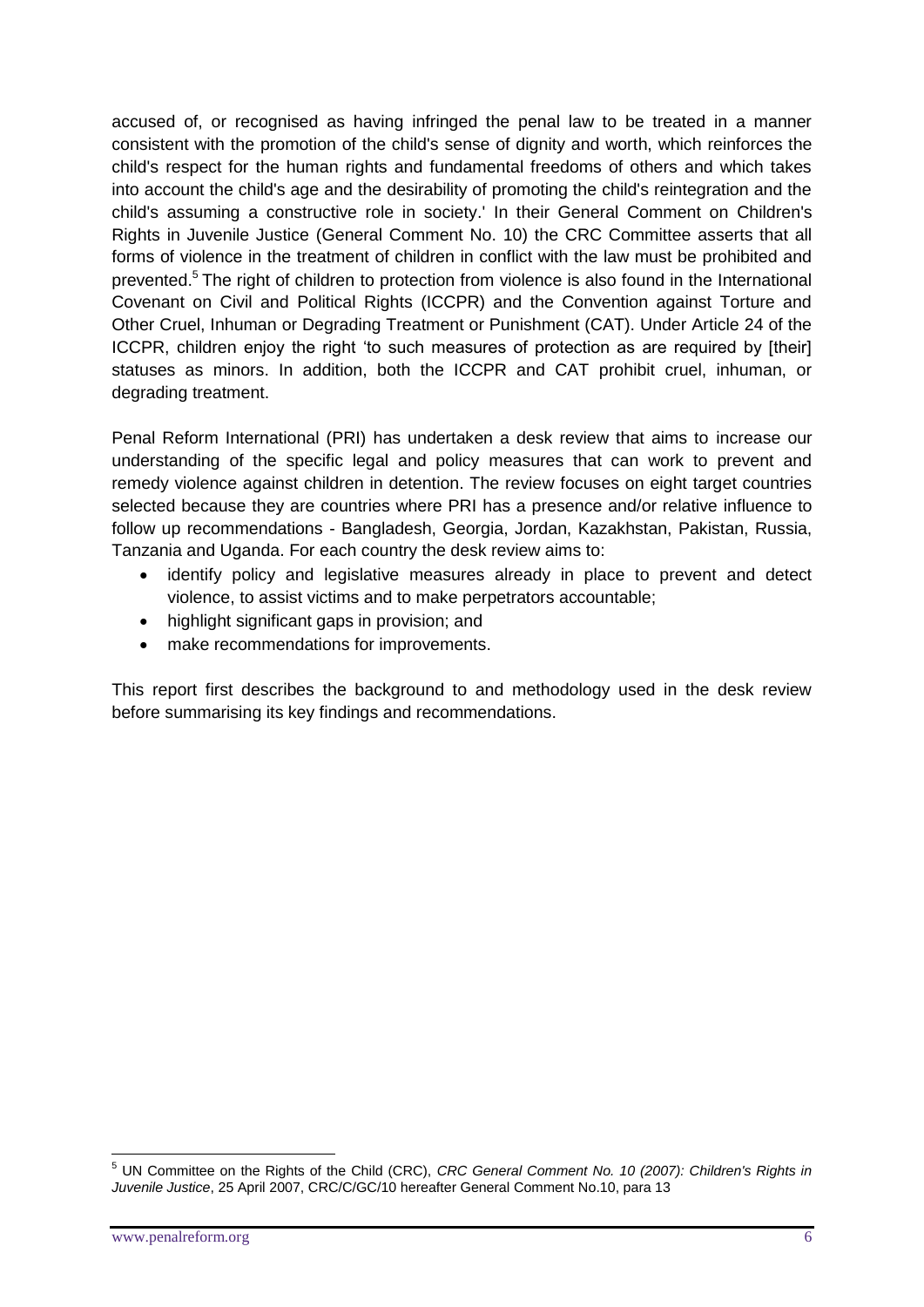accused of, or recognised as having infringed the penal law to be treated in a manner consistent with the promotion of the child's sense of dignity and worth, which reinforces the child's respect for the human rights and fundamental freedoms of others and which takes into account the child's age and the desirability of promoting the child's reintegration and the child's assuming a constructive role in society.' In their General Comment on Children's Rights in Juvenile Justice (General Comment No. 10) the CRC Committee asserts that all forms of violence in the treatment of children in conflict with the law must be prohibited and prevented.<sup>5</sup> The right of children to protection from violence is also found in the International Covenant on Civil and Political Rights (ICCPR) and the Convention against Torture and Other Cruel, Inhuman or Degrading Treatment or Punishment (CAT). Under Article 24 of the ICCPR, children enjoy the right 'to such measures of protection as are required by [their] statuses as minors. In addition, both the ICCPR and CAT prohibit cruel, inhuman, or degrading treatment.

Penal Reform International (PRI) has undertaken a desk review that aims to increase our understanding of the specific legal and policy measures that can work to prevent and remedy violence against children in detention. The review focuses on eight target countries selected because they are countries where PRI has a presence and/or relative influence to follow up recommendations - Bangladesh, Georgia, Jordan, Kazakhstan, Pakistan, Russia, Tanzania and Uganda. For each country the desk review aims to:

- identify policy and legislative measures already in place to prevent and detect violence, to assist victims and to make perpetrators accountable;
- highlight significant gaps in provision; and
- make recommendations for improvements.

This report first describes the background to and methodology used in the desk review before summarising its key findings and recommendations.

<sup>&</sup>lt;u>.</u> <sup>5</sup> UN Committee on the Rights of the Child (CRC), *CRC General Comment No. 10 (2007): Children's Rights in Juvenile Justice*, 25 April 2007, CRC/C/GC/10 hereafter General Comment No.10, para 13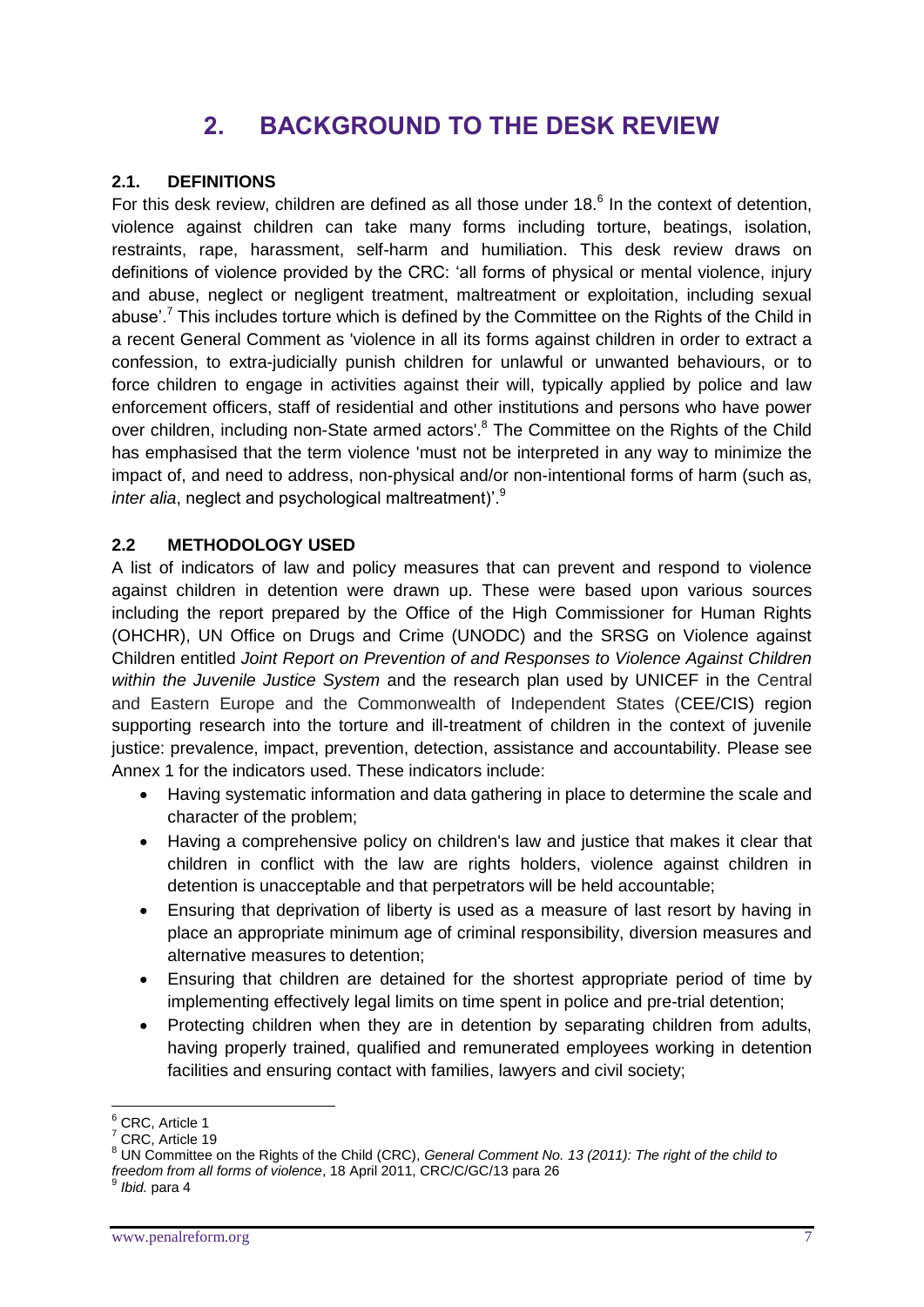# **2. BACKGROUND TO THE DESK REVIEW**

#### **2.1. DEFINITIONS**

For this desk review, children are defined as all those under 18. $<sup>6</sup>$  In the context of detention,</sup> violence against children can take many forms including torture, beatings, isolation, restraints, rape, harassment, self-harm and humiliation. This desk review draws on definitions of violence provided by the CRC: 'all forms of physical or mental violence, injury and abuse, neglect or negligent treatment, maltreatment or exploitation, including sexual abuse'.<sup>7</sup> This includes torture which is defined by the Committee on the Rights of the Child in a recent General Comment as 'violence in all its forms against children in order to extract a confession, to extra-judicially punish children for unlawful or unwanted behaviours, or to force children to engage in activities against their will, typically applied by police and law enforcement officers, staff of residential and other institutions and persons who have power over children, including non-State armed actors'.<sup>8</sup> The Committee on the Rights of the Child has emphasised that the term violence 'must not be interpreted in any way to minimize the impact of, and need to address, non-physical and/or non-intentional forms of harm (such as, *inter alia*, neglect and psychological maltreatment)'.<sup>9</sup>

#### **2.2 METHODOLOGY USED**

A list of indicators of law and policy measures that can prevent and respond to violence against children in detention were drawn up. These were based upon various sources including the report prepared by the Office of the High Commissioner for Human Rights (OHCHR), UN Office on Drugs and Crime (UNODC) and the SRSG on Violence against Children entitled *Joint Report on Prevention of and Responses to Violence Against Children within the Juvenile Justice System* and the research plan used by UNICEF in the Central and Eastern Europe and the Commonwealth of Independent States (CEE/CIS) region supporting research into the torture and ill-treatment of children in the context of juvenile justice: prevalence, impact, prevention, detection, assistance and accountability. Please see Annex 1 for the indicators used. These indicators include:

- Having systematic information and data gathering in place to determine the scale and character of the problem;
- Having a comprehensive policy on children's law and justice that makes it clear that children in conflict with the law are rights holders, violence against children in detention is unacceptable and that perpetrators will be held accountable;
- Ensuring that deprivation of liberty is used as a measure of last resort by having in place an appropriate minimum age of criminal responsibility, diversion measures and alternative measures to detention;
- Ensuring that children are detained for the shortest appropriate period of time by implementing effectively legal limits on time spent in police and pre-trial detention;
- Protecting children when they are in detention by separating children from adults, having properly trained, qualified and remunerated employees working in detention facilities and ensuring contact with families, lawyers and civil society;

 $6$  CRC, Article 1

<sup>7</sup> CRC, Article 19

<sup>8</sup> UN Committee on the Rights of the Child (CRC), *General Comment No. 13 (2011): The right of the child to freedom from all forms of violence*, 18 April 2011, CRC/C/GC/13 para 26 9

*Ibid.* para 4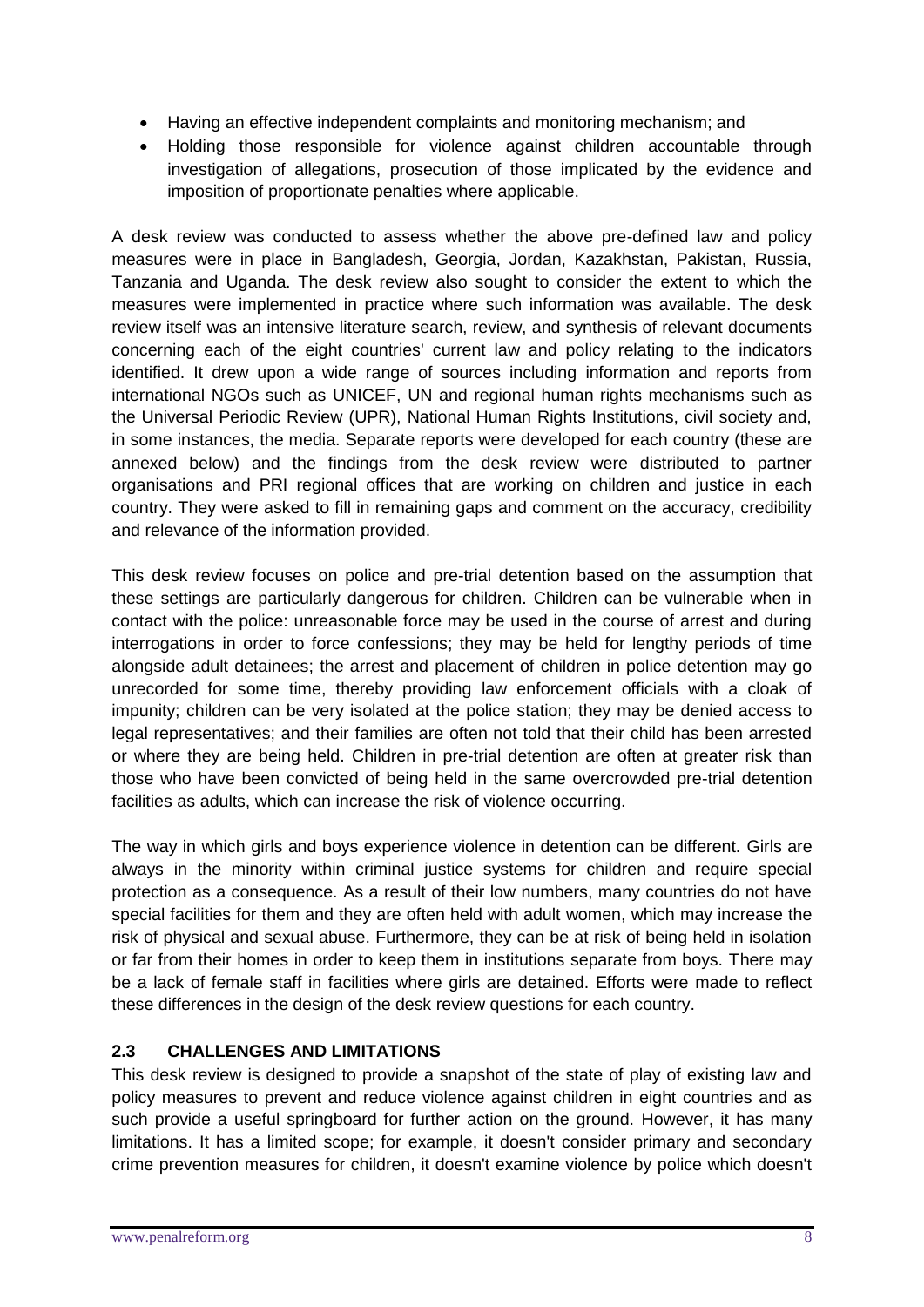- Having an effective independent complaints and monitoring mechanism; and
- Holding those responsible for violence against children accountable through investigation of allegations, prosecution of those implicated by the evidence and imposition of proportionate penalties where applicable.

A desk review was conducted to assess whether the above pre-defined law and policy measures were in place in Bangladesh, Georgia, Jordan, Kazakhstan, Pakistan, Russia, Tanzania and Uganda. The desk review also sought to consider the extent to which the measures were implemented in practice where such information was available. The desk review itself was an intensive literature search, review, and synthesis of relevant documents concerning each of the eight countries' current law and policy relating to the indicators identified. It drew upon a wide range of sources including information and reports from international NGOs such as UNICEF, UN and regional human rights mechanisms such as the Universal Periodic Review (UPR), National Human Rights Institutions, civil society and, in some instances, the media. Separate reports were developed for each country (these are annexed below) and the findings from the desk review were distributed to partner organisations and PRI regional offices that are working on children and justice in each country. They were asked to fill in remaining gaps and comment on the accuracy, credibility and relevance of the information provided.

This desk review focuses on police and pre-trial detention based on the assumption that these settings are particularly dangerous for children. Children can be vulnerable when in contact with the police: unreasonable force may be used in the course of arrest and during interrogations in order to force confessions; they may be held for lengthy periods of time alongside adult detainees; the arrest and placement of children in police detention may go unrecorded for some time, thereby providing law enforcement officials with a cloak of impunity; children can be very isolated at the police station; they may be denied access to legal representatives; and their families are often not told that their child has been arrested or where they are being held. Children in pre-trial detention are often at greater risk than those who have been convicted of being held in the same overcrowded pre-trial detention facilities as adults, which can increase the risk of violence occurring.

The way in which girls and boys experience violence in detention can be different. Girls are always in the minority within criminal justice systems for children and require special protection as a consequence. As a result of their low numbers, many countries do not have special facilities for them and they are often held with adult women, which may increase the risk of physical and sexual abuse. Furthermore, they can be at risk of being held in isolation or far from their homes in order to keep them in institutions separate from boys. There may be a lack of female staff in facilities where girls are detained. Efforts were made to reflect these differences in the design of the desk review questions for each country.

# **2.3 CHALLENGES AND LIMITATIONS**

This desk review is designed to provide a snapshot of the state of play of existing law and policy measures to prevent and reduce violence against children in eight countries and as such provide a useful springboard for further action on the ground. However, it has many limitations. It has a limited scope; for example, it doesn't consider primary and secondary crime prevention measures for children, it doesn't examine violence by police which doesn't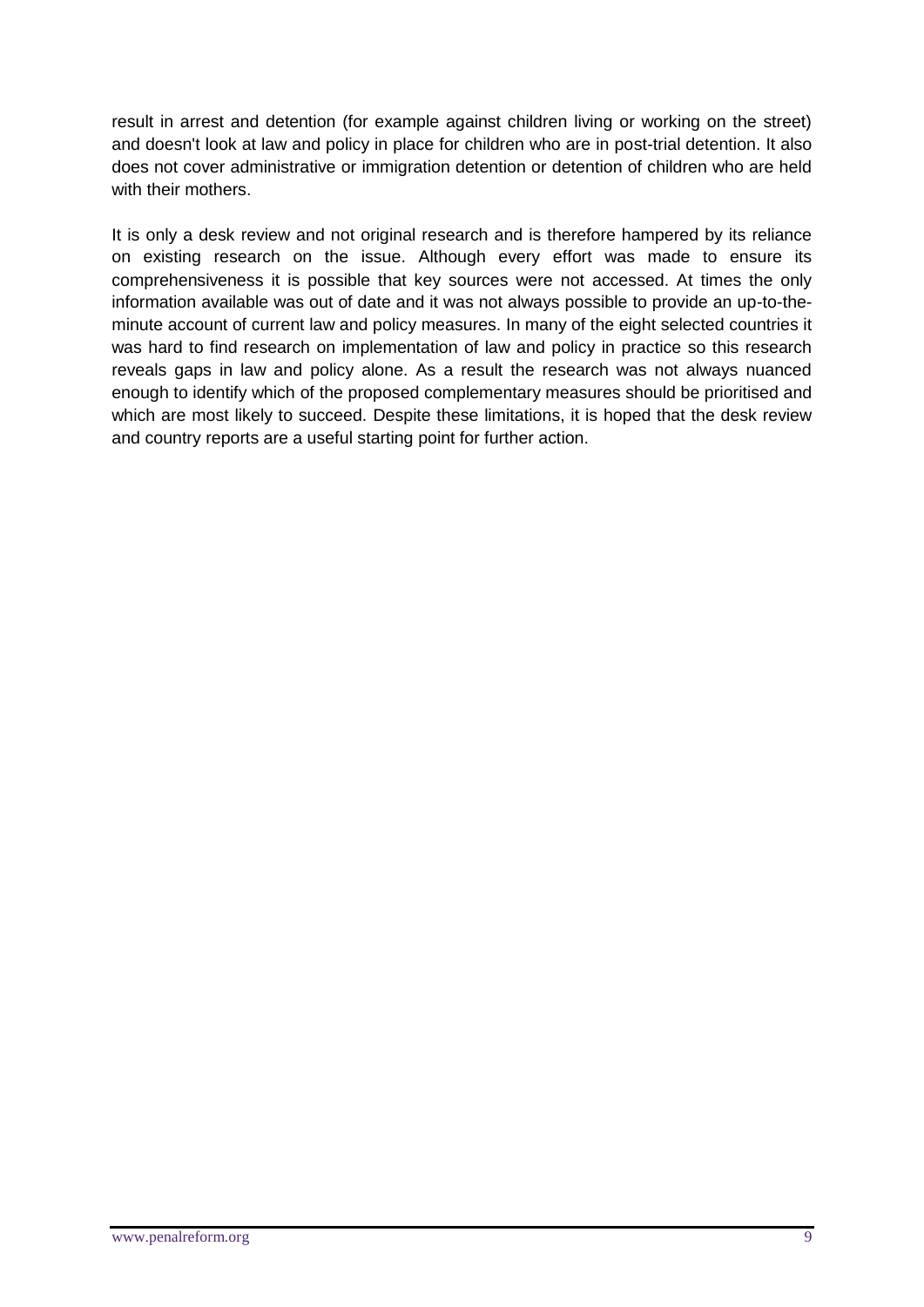result in arrest and detention (for example against children living or working on the street) and doesn't look at law and policy in place for children who are in post-trial detention. It also does not cover administrative or immigration detention or detention of children who are held with their mothers.

It is only a desk review and not original research and is therefore hampered by its reliance on existing research on the issue. Although every effort was made to ensure its comprehensiveness it is possible that key sources were not accessed. At times the only information available was out of date and it was not always possible to provide an up-to-theminute account of current law and policy measures. In many of the eight selected countries it was hard to find research on implementation of law and policy in practice so this research reveals gaps in law and policy alone. As a result the research was not always nuanced enough to identify which of the proposed complementary measures should be prioritised and which are most likely to succeed. Despite these limitations, it is hoped that the desk review and country reports are a useful starting point for further action.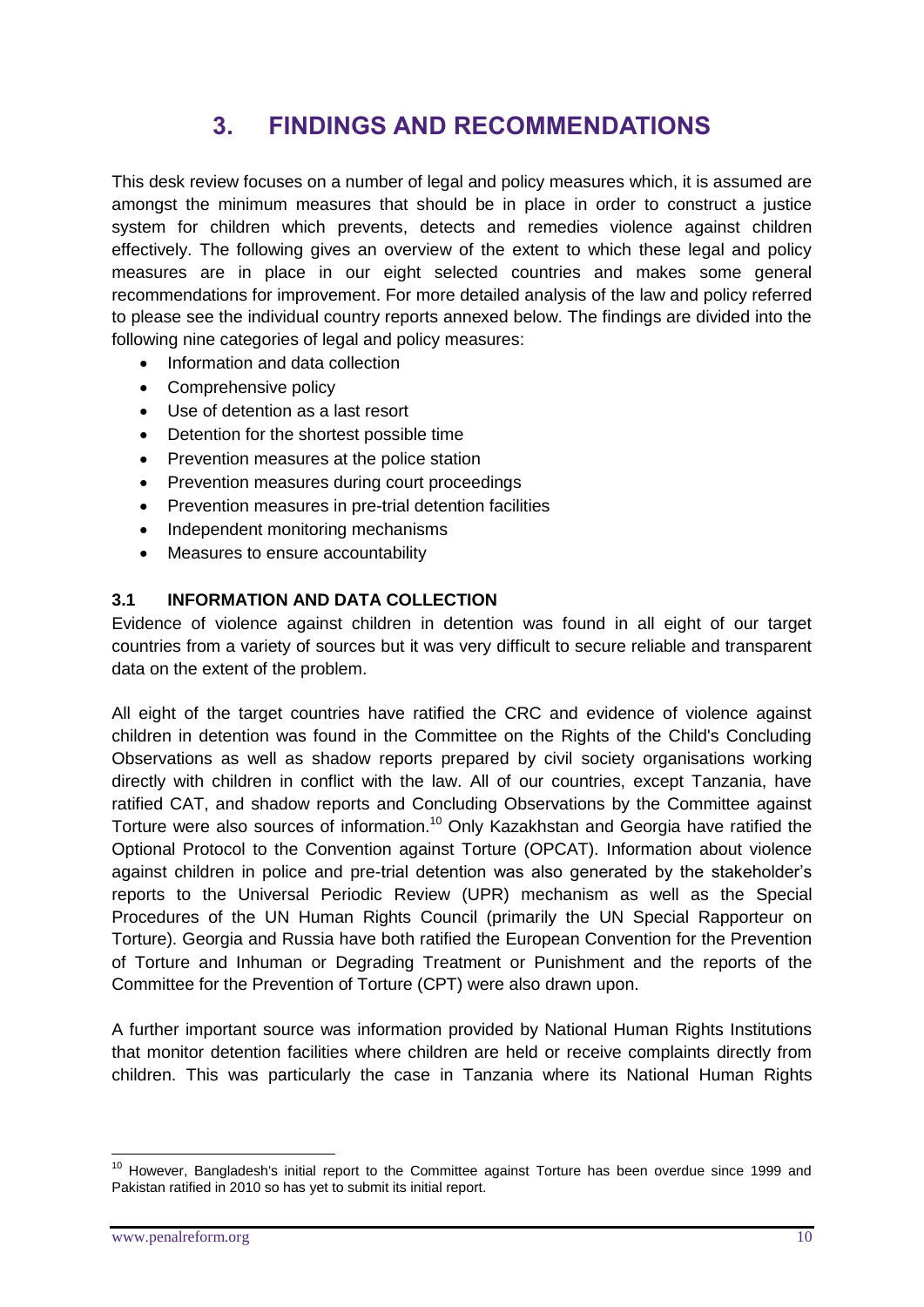# **3. FINDINGS AND RECOMMENDATIONS**

This desk review focuses on a number of legal and policy measures which, it is assumed are amongst the minimum measures that should be in place in order to construct a justice system for children which prevents, detects and remedies violence against children effectively. The following gives an overview of the extent to which these legal and policy measures are in place in our eight selected countries and makes some general recommendations for improvement. For more detailed analysis of the law and policy referred to please see the individual country reports annexed below. The findings are divided into the following nine categories of legal and policy measures:

- Information and data collection
- Comprehensive policy
- Use of detention as a last resort
- Detention for the shortest possible time
- Prevention measures at the police station
- Prevention measures during court proceedings
- Prevention measures in pre-trial detention facilities
- Independent monitoring mechanisms
- Measures to ensure accountability

# **3.1 INFORMATION AND DATA COLLECTION**

Evidence of violence against children in detention was found in all eight of our target countries from a variety of sources but it was very difficult to secure reliable and transparent data on the extent of the problem.

All eight of the target countries have ratified the CRC and evidence of violence against children in detention was found in the Committee on the Rights of the Child's Concluding Observations as well as shadow reports prepared by civil society organisations working directly with children in conflict with the law. All of our countries, except Tanzania, have ratified CAT, and shadow reports and Concluding Observations by the Committee against Torture were also sources of information.<sup>10</sup> Only Kazakhstan and Georgia have ratified the Optional Protocol to the Convention against Torture (OPCAT). Information about violence against children in police and pre-trial detention was also generated by the stakeholder's reports to the Universal Periodic Review (UPR) mechanism as well as the Special Procedures of the UN Human Rights Council (primarily the UN Special Rapporteur on Torture). Georgia and Russia have both ratified the European Convention for the Prevention of Torture and Inhuman or Degrading Treatment or Punishment and the reports of the Committee for the Prevention of Torture (CPT) were also drawn upon.

A further important source was information provided by National Human Rights Institutions that monitor detention facilities where children are held or receive complaints directly from children. This was particularly the case in Tanzania where its National Human Rights

<u>.</u>

<sup>&</sup>lt;sup>10</sup> However, Bangladesh's initial report to the Committee against Torture has been overdue since 1999 and Pakistan ratified in 2010 so has yet to submit its initial report.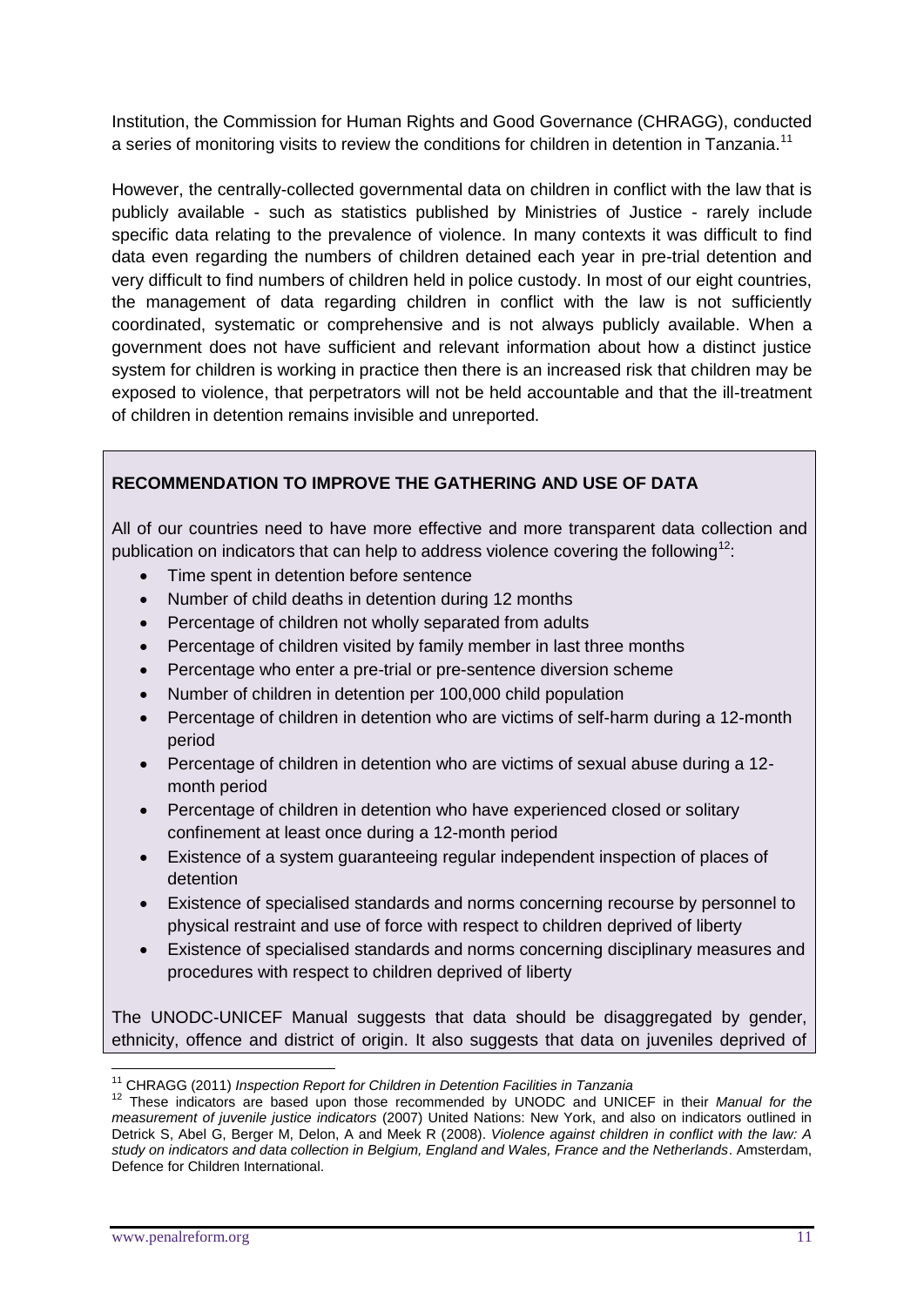Institution, the Commission for Human Rights and Good Governance (CHRAGG), conducted a series of monitoring visits to review the conditions for children in detention in Tanzania.<sup>11</sup>

However, the centrally-collected governmental data on children in conflict with the law that is publicly available - such as statistics published by Ministries of Justice - rarely include specific data relating to the prevalence of violence. In many contexts it was difficult to find data even regarding the numbers of children detained each year in pre-trial detention and very difficult to find numbers of children held in police custody. In most of our eight countries, the management of data regarding children in conflict with the law is not sufficiently coordinated, systematic or comprehensive and is not always publicly available. When a government does not have sufficient and relevant information about how a distinct justice system for children is working in practice then there is an increased risk that children may be exposed to violence, that perpetrators will not be held accountable and that the ill-treatment of children in detention remains invisible and unreported.

# **RECOMMENDATION TO IMPROVE THE GATHERING AND USE OF DATA**

All of our countries need to have more effective and more transparent data collection and publication on indicators that can help to address violence covering the following<sup>12</sup>:

- Time spent in detention before sentence
- Number of child deaths in detention during 12 months
- Percentage of children not wholly separated from adults
- Percentage of children visited by family member in last three months
- Percentage who enter a pre-trial or pre-sentence diversion scheme
- Number of children in detention per 100,000 child population
- Percentage of children in detention who are victims of self-harm during a 12-month period
- Percentage of children in detention who are victims of sexual abuse during a 12 month period
- Percentage of children in detention who have experienced closed or solitary confinement at least once during a 12-month period
- Existence of a system guaranteeing regular independent inspection of places of detention
- Existence of specialised standards and norms concerning recourse by personnel to physical restraint and use of force with respect to children deprived of liberty
- Existence of specialised standards and norms concerning disciplinary measures and procedures with respect to children deprived of liberty

The UNODC-UNICEF Manual suggests that data should be disaggregated by gender, ethnicity, offence and district of origin. It also suggests that data on juveniles deprived of

<sup>1</sup> <sup>11</sup> CHRAGG (2011) *Inspection Report for Children in Detention Facilities in Tanzania*

<sup>12</sup> These indicators are based upon those recommended by UNODC and UNICEF in their *Manual for the measurement of juvenile justice indicators* (2007) United Nations: New York, and also on indicators outlined in Detrick S, Abel G, Berger M, Delon, A and Meek R (2008). *Violence against children in conflict with the law: A study on indicators and data collection in Belgium, England and Wales, France and the Netherlands*. Amsterdam, Defence for Children International.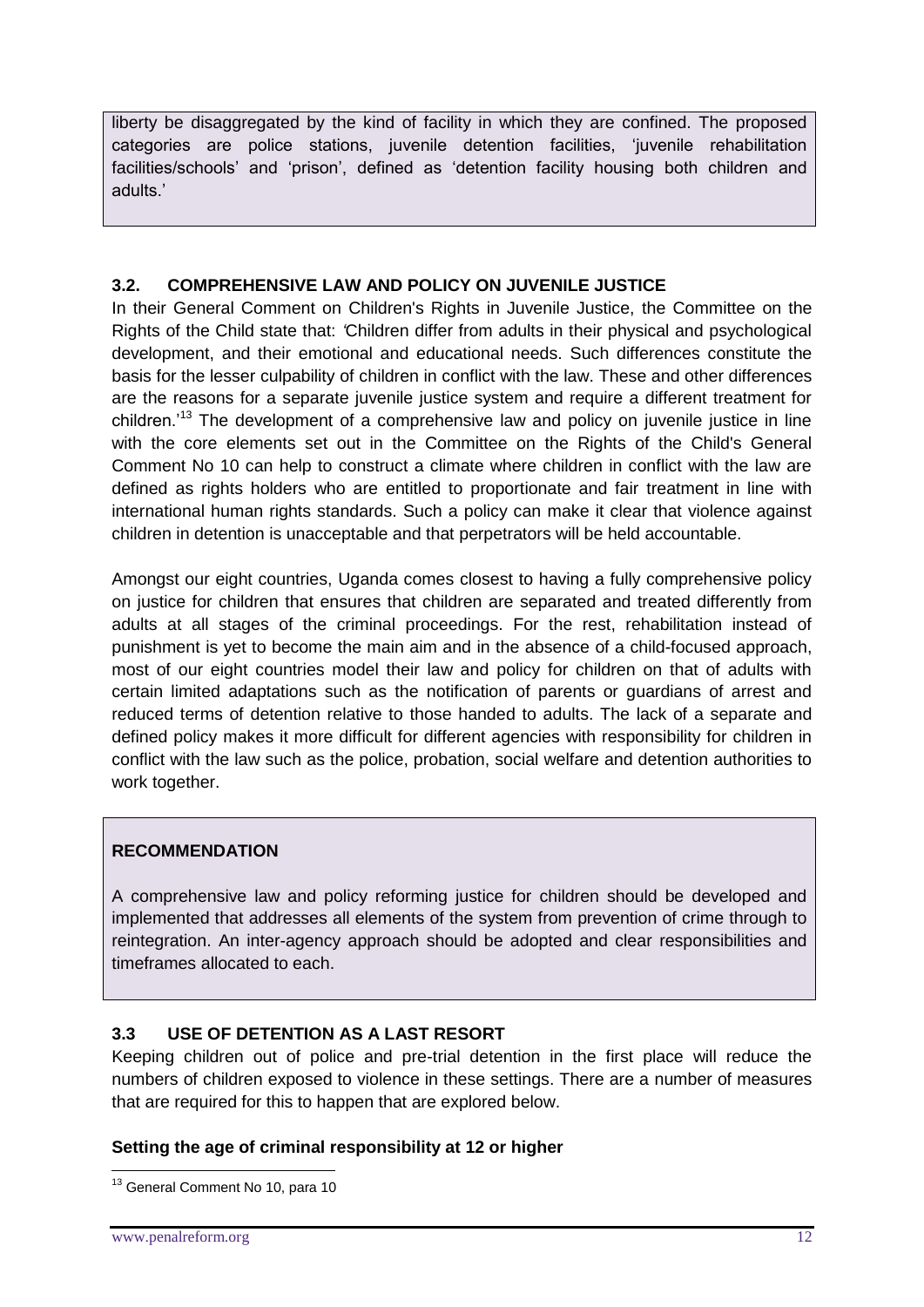liberty be disaggregated by the kind of facility in which they are confined. The proposed categories are police stations, juvenile detention facilities, 'juvenile rehabilitation facilities/schools' and 'prison', defined as 'detention facility housing both children and adults.'

# **3.2. COMPREHENSIVE LAW AND POLICY ON JUVENILE JUSTICE**

In their General Comment on Children's Rights in Juvenile Justice, the Committee on the Rights of the Child state that: *'*Children differ from adults in their physical and psychological development, and their emotional and educational needs. Such differences constitute the basis for the lesser culpability of children in conflict with the law. These and other differences are the reasons for a separate juvenile justice system and require a different treatment for children.'<sup>13</sup> The development of a comprehensive law and policy on juvenile justice in line with the core elements set out in the Committee on the Rights of the Child's General Comment No 10 can help to construct a climate where children in conflict with the law are defined as rights holders who are entitled to proportionate and fair treatment in line with international human rights standards. Such a policy can make it clear that violence against children in detention is unacceptable and that perpetrators will be held accountable.

Amongst our eight countries, Uganda comes closest to having a fully comprehensive policy on justice for children that ensures that children are separated and treated differently from adults at all stages of the criminal proceedings. For the rest, rehabilitation instead of punishment is yet to become the main aim and in the absence of a child-focused approach, most of our eight countries model their law and policy for children on that of adults with certain limited adaptations such as the notification of parents or guardians of arrest and reduced terms of detention relative to those handed to adults. The lack of a separate and defined policy makes it more difficult for different agencies with responsibility for children in conflict with the law such as the police, probation, social welfare and detention authorities to work together.

#### **RECOMMENDATION**

A comprehensive law and policy reforming justice for children should be developed and implemented that addresses all elements of the system from prevention of crime through to reintegration. An inter-agency approach should be adopted and clear responsibilities and timeframes allocated to each.

#### **3.3 USE OF DETENTION AS A LAST RESORT**

Keeping children out of police and pre-trial detention in the first place will reduce the numbers of children exposed to violence in these settings. There are a number of measures that are required for this to happen that are explored below.

### **Setting the age of criminal responsibility at 12 or higher**

<sup>1</sup> <sup>13</sup> General Comment No 10, para 10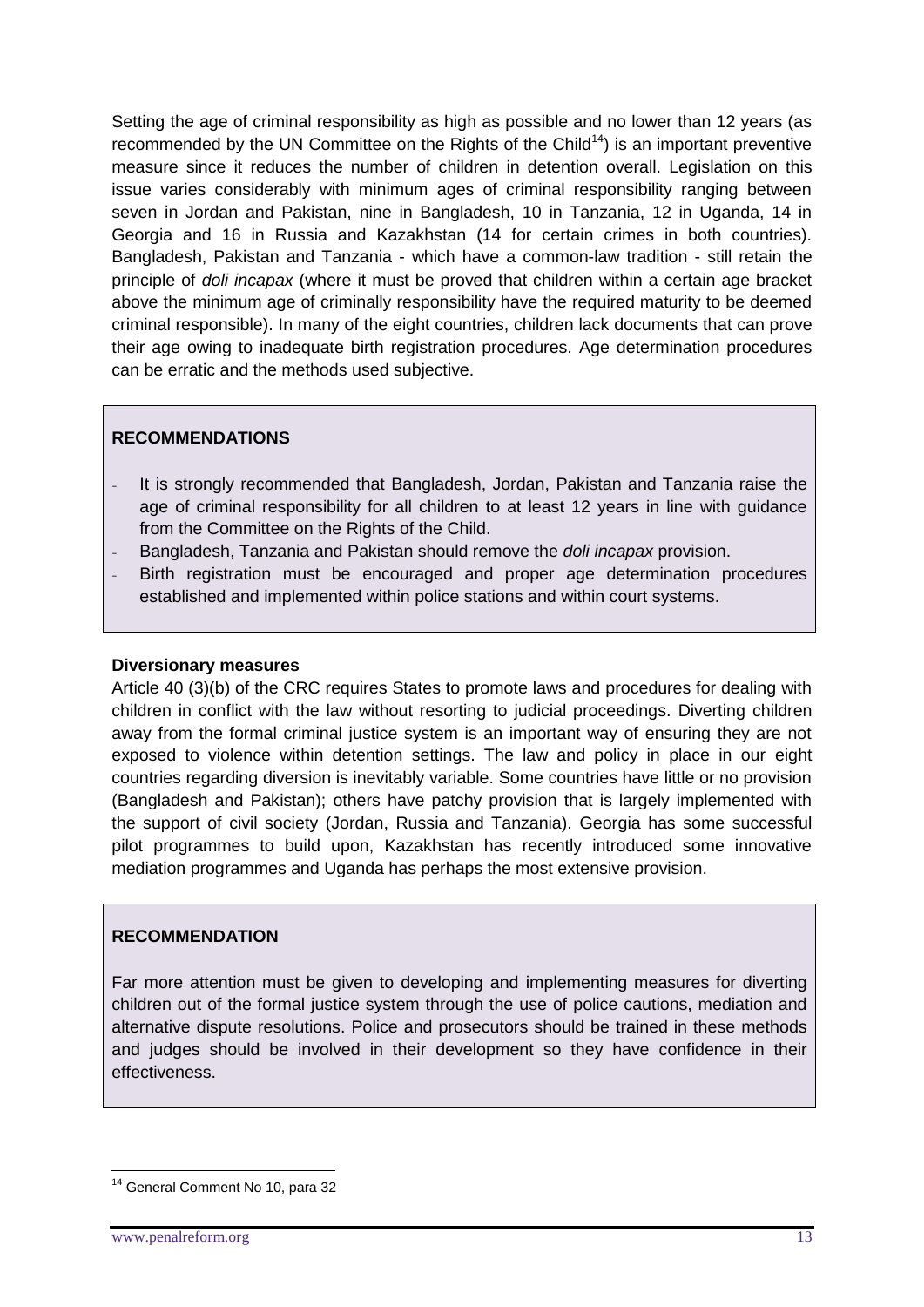Setting the age of criminal responsibility as high as possible and no lower than 12 years (as recommended by the UN Committee on the Rights of the Child<sup>14</sup>) is an important preventive measure since it reduces the number of children in detention overall. Legislation on this issue varies considerably with minimum ages of criminal responsibility ranging between seven in Jordan and Pakistan, nine in Bangladesh, 10 in Tanzania, 12 in Uganda, 14 in Georgia and 16 in Russia and Kazakhstan (14 for certain crimes in both countries). Bangladesh, Pakistan and Tanzania - which have a common-law tradition - still retain the principle of *doli incapax* (where it must be proved that children within a certain age bracket above the minimum age of criminally responsibility have the required maturity to be deemed criminal responsible). In many of the eight countries, children lack documents that can prove their age owing to inadequate birth registration procedures. Age determination procedures can be erratic and the methods used subjective.

#### **RECOMMENDATIONS**

- It is strongly recommended that Bangladesh, Jordan, Pakistan and Tanzania raise the age of criminal responsibility for all children to at least 12 years in line with guidance from the Committee on the Rights of the Child.
- Bangladesh, Tanzania and Pakistan should remove the *doli incapax* provision.
- Birth registration must be encouraged and proper age determination procedures established and implemented within police stations and within court systems.

#### **Diversionary measures**

Article 40 (3)(b) of the CRC requires States to promote laws and procedures for dealing with children in conflict with the law without resorting to judicial proceedings. Diverting children away from the formal criminal justice system is an important way of ensuring they are not exposed to violence within detention settings. The law and policy in place in our eight countries regarding diversion is inevitably variable. Some countries have little or no provision (Bangladesh and Pakistan); others have patchy provision that is largely implemented with the support of civil society (Jordan, Russia and Tanzania). Georgia has some successful pilot programmes to build upon, Kazakhstan has recently introduced some innovative mediation programmes and Uganda has perhaps the most extensive provision.

#### **RECOMMENDATION**

Far more attention must be given to developing and implementing measures for diverting children out of the formal justice system through the use of police cautions, mediation and alternative dispute resolutions. Police and prosecutors should be trained in these methods and judges should be involved in their development so they have confidence in their effectiveness.

<sup>&</sup>lt;sup>14</sup> General Comment No 10, para 32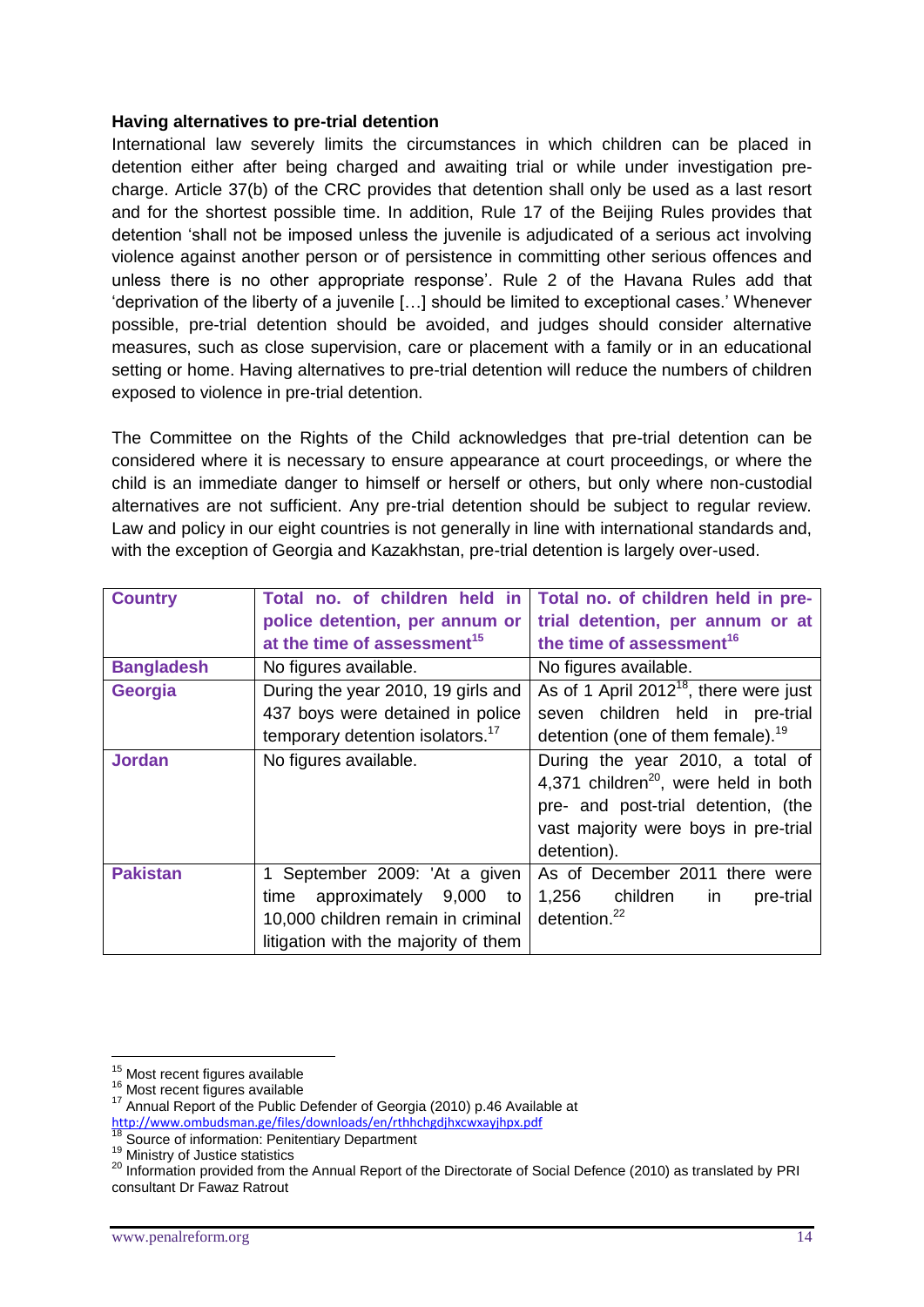#### **Having alternatives to pre-trial detention**

International law severely limits the circumstances in which children can be placed in detention either after being charged and awaiting trial or while under investigation precharge. Article 37(b) of the CRC provides that detention shall only be used as a last resort and for the shortest possible time. In addition, Rule 17 of the Beijing Rules provides that detention 'shall not be imposed unless the juvenile is adjudicated of a serious act involving violence against another person or of persistence in committing other serious offences and unless there is no other appropriate response'. Rule 2 of the Havana Rules add that 'deprivation of the liberty of a juvenile […] should be limited to exceptional cases.' Whenever possible, pre-trial detention should be avoided, and judges should consider alternative measures, such as close supervision, care or placement with a family or in an educational setting or home. Having alternatives to pre-trial detention will reduce the numbers of children exposed to violence in pre-trial detention.

The Committee on the Rights of the Child acknowledges that pre-trial detention can be considered where it is necessary to ensure appearance at court proceedings, or where the child is an immediate danger to himself or herself or others, but only where non-custodial alternatives are not sufficient. Any pre-trial detention should be subject to regular review. Law and policy in our eight countries is not generally in line with international standards and, with the exception of Georgia and Kazakhstan, pre-trial detention is largely over-used.

| <b>Country</b>    | Total no. of children held in<br>police detention, per annum or<br>at the time of assessment <sup>15</sup>                                       | Total no. of children held in pre-<br>trial detention, per annum or at<br>the time of assessment <sup>16</sup>                                                                     |
|-------------------|--------------------------------------------------------------------------------------------------------------------------------------------------|------------------------------------------------------------------------------------------------------------------------------------------------------------------------------------|
| <b>Bangladesh</b> | No figures available.                                                                                                                            | No figures available.                                                                                                                                                              |
| Georgia           | During the year 2010, 19 girls and<br>437 boys were detained in police<br>temporary detention isolators. <sup>17</sup>                           | As of 1 April 2012 <sup>18</sup> , there were just<br>seven children held in pre-trial<br>detention (one of them female). <sup>19</sup>                                            |
| <b>Jordan</b>     | No figures available.                                                                                                                            | During the year 2010, a total of<br>4,371 children <sup>20</sup> , were held in both<br>pre- and post-trial detention, (the<br>vast majority were boys in pre-trial<br>detention). |
| <b>Pakistan</b>   | 1 September 2009: 'At a given<br>approximately 9,000<br>time<br>to<br>10,000 children remain in criminal<br>litigation with the majority of them | As of December 2011 there were<br>1,256<br>children<br>pre-trial<br>in.<br>detention. <sup>22</sup>                                                                                |

<sup>&</sup>lt;sup>15</sup> Most recent figures available

<sup>16</sup> Most recent figures available

<sup>17</sup> Annual Report of the Public Defender of Georgia (2010) p.46 Available at <http://www.ombudsman.ge/files/downloads/en/rthhchgdjhxcwxayjhpx.pdf>

<sup>&</sup>lt;sup>18</sup> Source of information: Penitentiary Department

<sup>19</sup> Ministry of Justice statistics

<sup>&</sup>lt;sup>20</sup> Information provided from the Annual Report of the Directorate of Social Defence (2010) as translated by PRI consultant Dr Fawaz Ratrout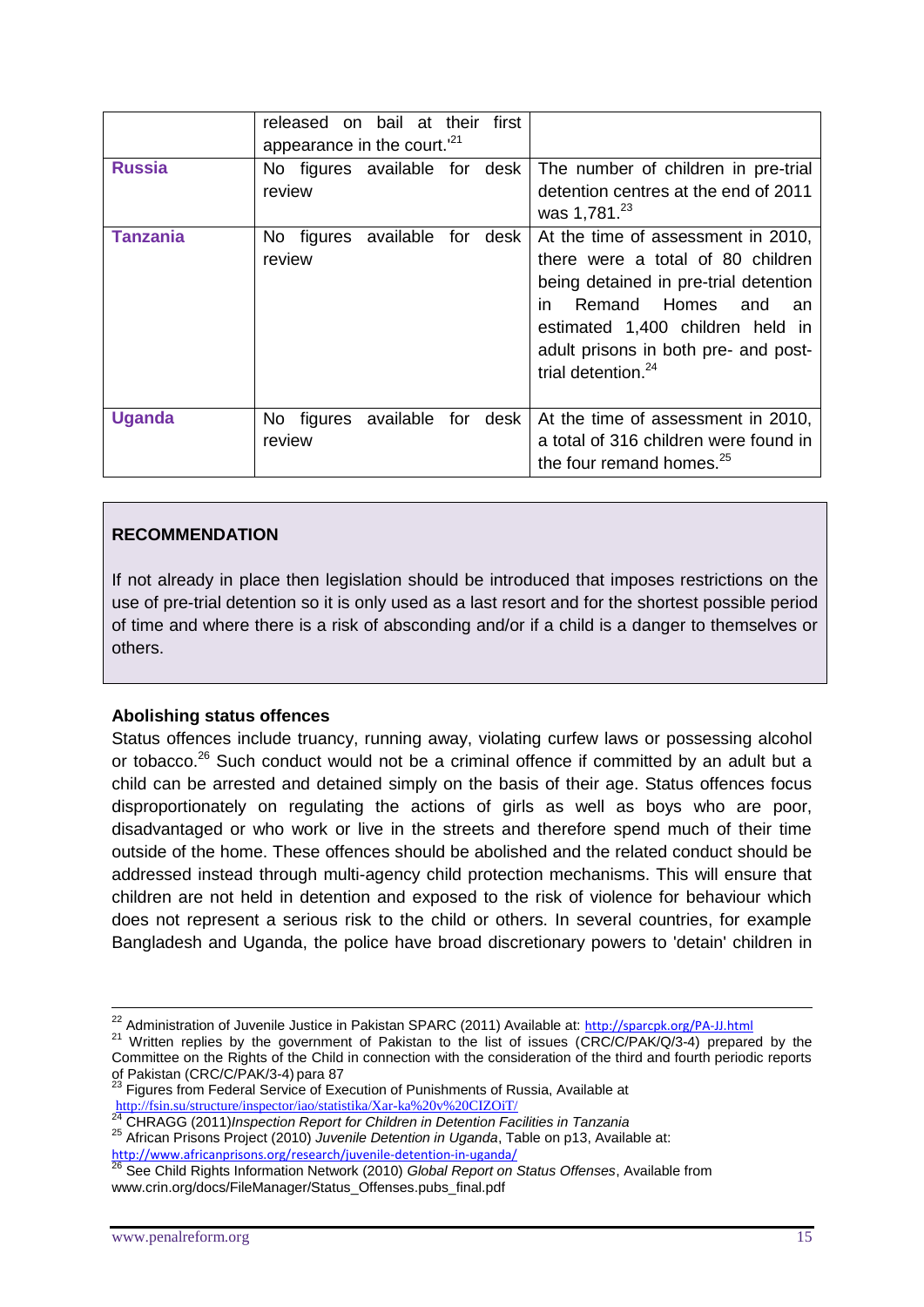|               | released on bail at their<br>appearance in the court. <sup>21</sup> | first       |                                                                                                                                                                                                                                                                 |
|---------------|---------------------------------------------------------------------|-------------|-----------------------------------------------------------------------------------------------------------------------------------------------------------------------------------------------------------------------------------------------------------------|
| <b>Russia</b> | No figures available for desk<br>review                             |             | The number of children in pre-trial<br>detention centres at the end of 2011<br>was 1,781. <sup>23</sup>                                                                                                                                                         |
| Tanzania      | available for<br>No figures<br>review                               | desk        | At the time of assessment in 2010,<br>there were a total of 80 children<br>being detained in pre-trial detention<br>Remand Homes and<br>in.<br>an<br>estimated 1,400 children held in<br>adult prisons in both pre- and post-<br>trial detention. <sup>24</sup> |
| <b>Uganda</b> | available<br>No figures<br>review                                   | for<br>desk | At the time of assessment in 2010,<br>a total of 316 children were found in<br>the four remand homes. <sup>25</sup>                                                                                                                                             |

# **RECOMMENDATION**

If not already in place then legislation should be introduced that imposes restrictions on the use of pre-trial detention so it is only used as a last resort and for the shortest possible period of time and where there is a risk of absconding and/or if a child is a danger to themselves or others.

#### **Abolishing status offences**

Status offences include truancy, running away, violating curfew laws or possessing alcohol or tobacco.<sup>26</sup> Such conduct would not be a criminal offence if committed by an adult but a child can be arrested and detained simply on the basis of their age. Status offences focus disproportionately on regulating the actions of girls as well as boys who are poor, disadvantaged or who work or live in the streets and therefore spend much of their time outside of the home. These offences should be abolished and the related conduct should be addressed instead through multi-agency child protection mechanisms. This will ensure that children are not held in detention and exposed to the risk of violence for behaviour which does not represent a serious risk to the child or others. In several countries, for example Bangladesh and Uganda, the police have broad discretionary powers to 'detain' children in

<sup>24</sup> CHRAGG (2011)*Inspection Report for Children in Detention Facilities in Tanzania* <sup>25</sup> African Prisons Project (2010) *Juvenile Detention in Uganda*, Table on p13, Available at: <http://www.africanprisons.org/research/juvenile-detention-in-uganda/>

<sup>&</sup>lt;sup>22</sup> Administration of Juvenile Justice in Pakistan SPARC (2011) Available at: <http://sparcpk.org/PA-JJ.html>

<sup>&</sup>lt;sup>21</sup> Written replies by the government of Pakistan to the list of issues (CRC/C/PAK/Q/3-4) prepared by the Committee on the Rights of the Child in connection with the consideration of the third and fourth periodic reports of Pakistan (CRC/C/PAK/3-4) para 87

<sup>&</sup>lt;sup>23</sup> Figures from Federal Service of Execution of Punishments of Russia, Available at <http://fsin.su/structure/inspector/iao/statistika/Xar-ka%20v%20CIZOiT/>

<sup>26</sup> See Child Rights Information Network (2010) *Global Report on Status Offenses*, Available from www.crin.org/docs/FileManager/Status\_Offenses.pubs\_final.pdf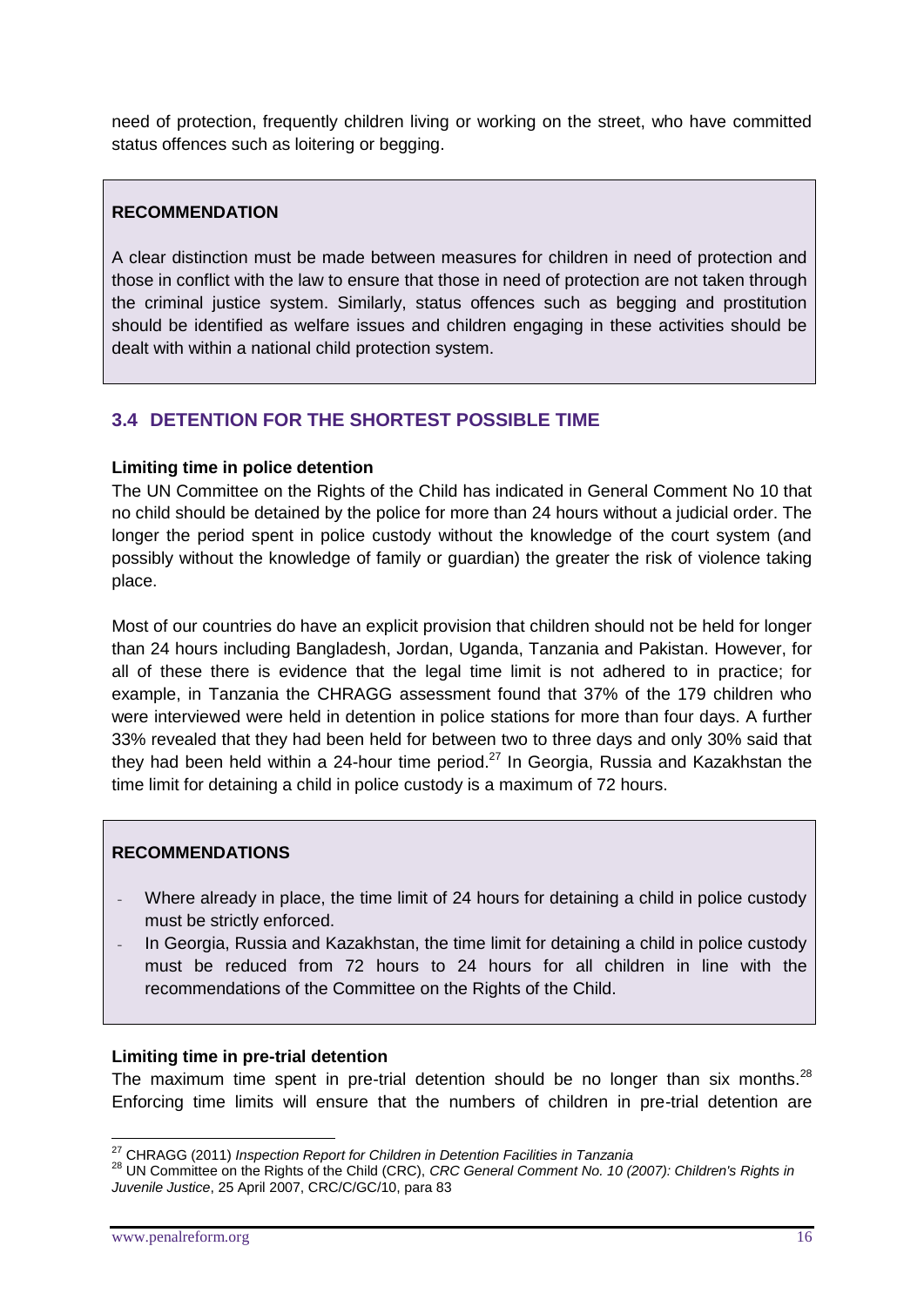need of protection, frequently children living or working on the street, who have committed status offences such as loitering or begging.

#### **RECOMMENDATION**

A clear distinction must be made between measures for children in need of protection and those in conflict with the law to ensure that those in need of protection are not taken through the criminal justice system. Similarly, status offences such as begging and prostitution should be identified as welfare issues and children engaging in these activities should be dealt with within a national child protection system.

# **3.4 DETENTION FOR THE SHORTEST POSSIBLE TIME**

#### **Limiting time in police detention**

The UN Committee on the Rights of the Child has indicated in General Comment No 10 that no child should be detained by the police for more than 24 hours without a judicial order. The longer the period spent in police custody without the knowledge of the court system (and possibly without the knowledge of family or guardian) the greater the risk of violence taking place.

Most of our countries do have an explicit provision that children should not be held for longer than 24 hours including Bangladesh, Jordan, Uganda, Tanzania and Pakistan. However, for all of these there is evidence that the legal time limit is not adhered to in practice; for example, in Tanzania the CHRAGG assessment found that 37% of the 179 children who were interviewed were held in detention in police stations for more than four days. A further 33% revealed that they had been held for between two to three days and only 30% said that they had been held within a 24-hour time period.<sup>27</sup> In Georgia, Russia and Kazakhstan the time limit for detaining a child in police custody is a maximum of 72 hours.

#### **RECOMMENDATIONS**

- Where already in place, the time limit of 24 hours for detaining a child in police custody must be strictly enforced.
- In Georgia, Russia and Kazakhstan, the time limit for detaining a child in police custody must be reduced from 72 hours to 24 hours for all children in line with the recommendations of the Committee on the Rights of the Child.

#### **Limiting time in pre-trial detention**

The maximum time spent in pre-trial detention should be no longer than six months. $^{28}$ Enforcing time limits will ensure that the numbers of children in pre-trial detention are

<sup>27</sup> CHRAGG (2011) *Inspection Report for Children in Detention Facilities in Tanzania*

<sup>28</sup> UN Committee on the Rights of the Child (CRC), *CRC General Comment No. 10 (2007): Children's Rights in Juvenile Justice*, 25 April 2007, CRC/C/GC/10, para 83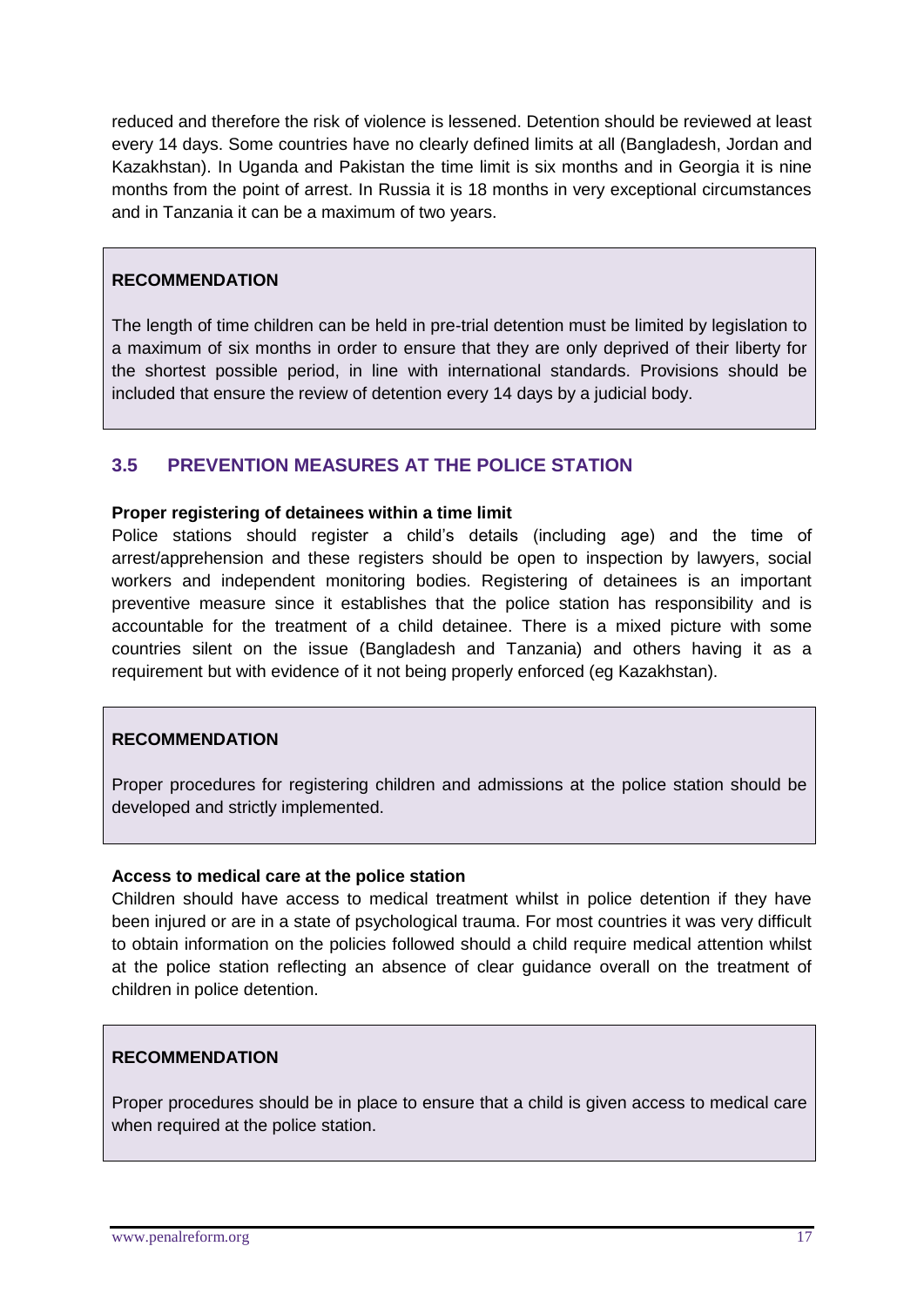reduced and therefore the risk of violence is lessened. Detention should be reviewed at least every 14 days. Some countries have no clearly defined limits at all (Bangladesh, Jordan and Kazakhstan). In Uganda and Pakistan the time limit is six months and in Georgia it is nine months from the point of arrest. In Russia it is 18 months in very exceptional circumstances and in Tanzania it can be a maximum of two years.

#### **RECOMMENDATION**

The length of time children can be held in pre-trial detention must be limited by legislation to a maximum of six months in order to ensure that they are only deprived of their liberty for the shortest possible period, in line with international standards. Provisions should be included that ensure the review of detention every 14 days by a judicial body.

#### **3.5 PREVENTION MEASURES AT THE POLICE STATION**

#### **Proper registering of detainees within a time limit**

Police stations should register a child's details (including age) and the time of arrest/apprehension and these registers should be open to inspection by lawyers, social workers and independent monitoring bodies. Registering of detainees is an important preventive measure since it establishes that the police station has responsibility and is accountable for the treatment of a child detainee. There is a mixed picture with some countries silent on the issue (Bangladesh and Tanzania) and others having it as a requirement but with evidence of it not being properly enforced (eg Kazakhstan).

#### **RECOMMENDATION**

Proper procedures for registering children and admissions at the police station should be developed and strictly implemented.

#### **Access to medical care at the police station**

Children should have access to medical treatment whilst in police detention if they have been injured or are in a state of psychological trauma. For most countries it was very difficult to obtain information on the policies followed should a child require medical attention whilst at the police station reflecting an absence of clear guidance overall on the treatment of children in police detention.

#### **RECOMMENDATION**

Proper procedures should be in place to ensure that a child is given access to medical care when required at the police station.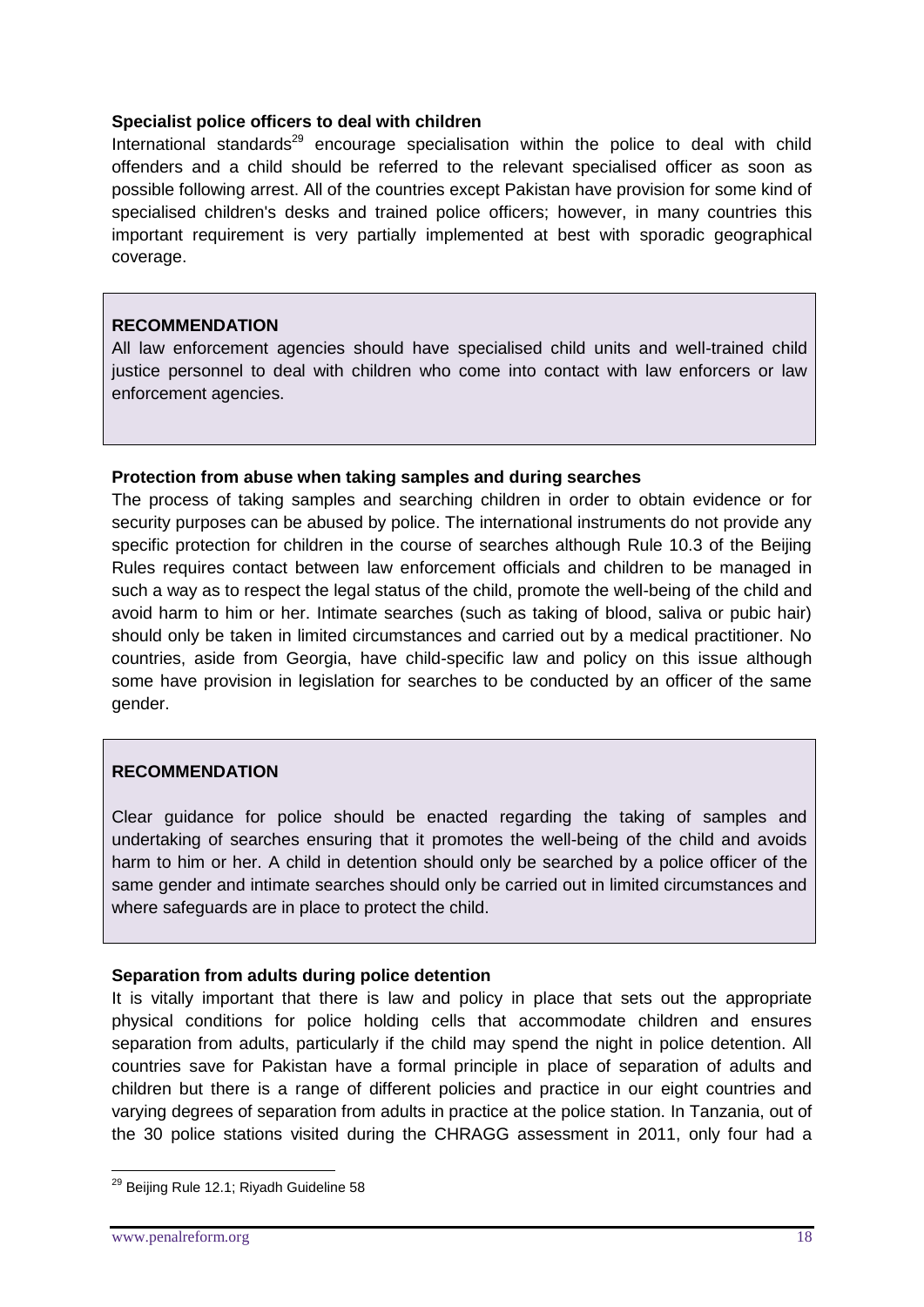#### **Specialist police officers to deal with children**

International standards $^{29}$  encourage specialisation within the police to deal with child offenders and a child should be referred to the relevant specialised officer as soon as possible following arrest. All of the countries except Pakistan have provision for some kind of specialised children's desks and trained police officers; however, in many countries this important requirement is very partially implemented at best with sporadic geographical coverage.

# **RECOMMENDATION**

All law enforcement agencies should have specialised child units and well-trained child justice personnel to deal with children who come into contact with law enforcers or law enforcement agencies.

#### **Protection from abuse when taking samples and during searches**

The process of taking samples and searching children in order to obtain evidence or for security purposes can be abused by police. The international instruments do not provide any specific protection for children in the course of searches although Rule 10.3 of the Beijing Rules requires contact between law enforcement officials and children to be managed in such a way as to respect the legal status of the child, promote the well-being of the child and avoid harm to him or her. Intimate searches (such as taking of blood, saliva or pubic hair) should only be taken in limited circumstances and carried out by a medical practitioner. No countries, aside from Georgia, have child-specific law and policy on this issue although some have provision in legislation for searches to be conducted by an officer of the same gender.

# **RECOMMENDATION**

Clear guidance for police should be enacted regarding the taking of samples and undertaking of searches ensuring that it promotes the well-being of the child and avoids harm to him or her. A child in detention should only be searched by a police officer of the same gender and intimate searches should only be carried out in limited circumstances and where safeguards are in place to protect the child.

#### **Separation from adults during police detention**

It is vitally important that there is law and policy in place that sets out the appropriate physical conditions for police holding cells that accommodate children and ensures separation from adults, particularly if the child may spend the night in police detention. All countries save for Pakistan have a formal principle in place of separation of adults and children but there is a range of different policies and practice in our eight countries and varying degrees of separation from adults in practice at the police station. In Tanzania, out of the 30 police stations visited during the CHRAGG assessment in 2011, only four had a

<sup>&</sup>lt;sup>29</sup> Beijing Rule 12.1; Riyadh Guideline 58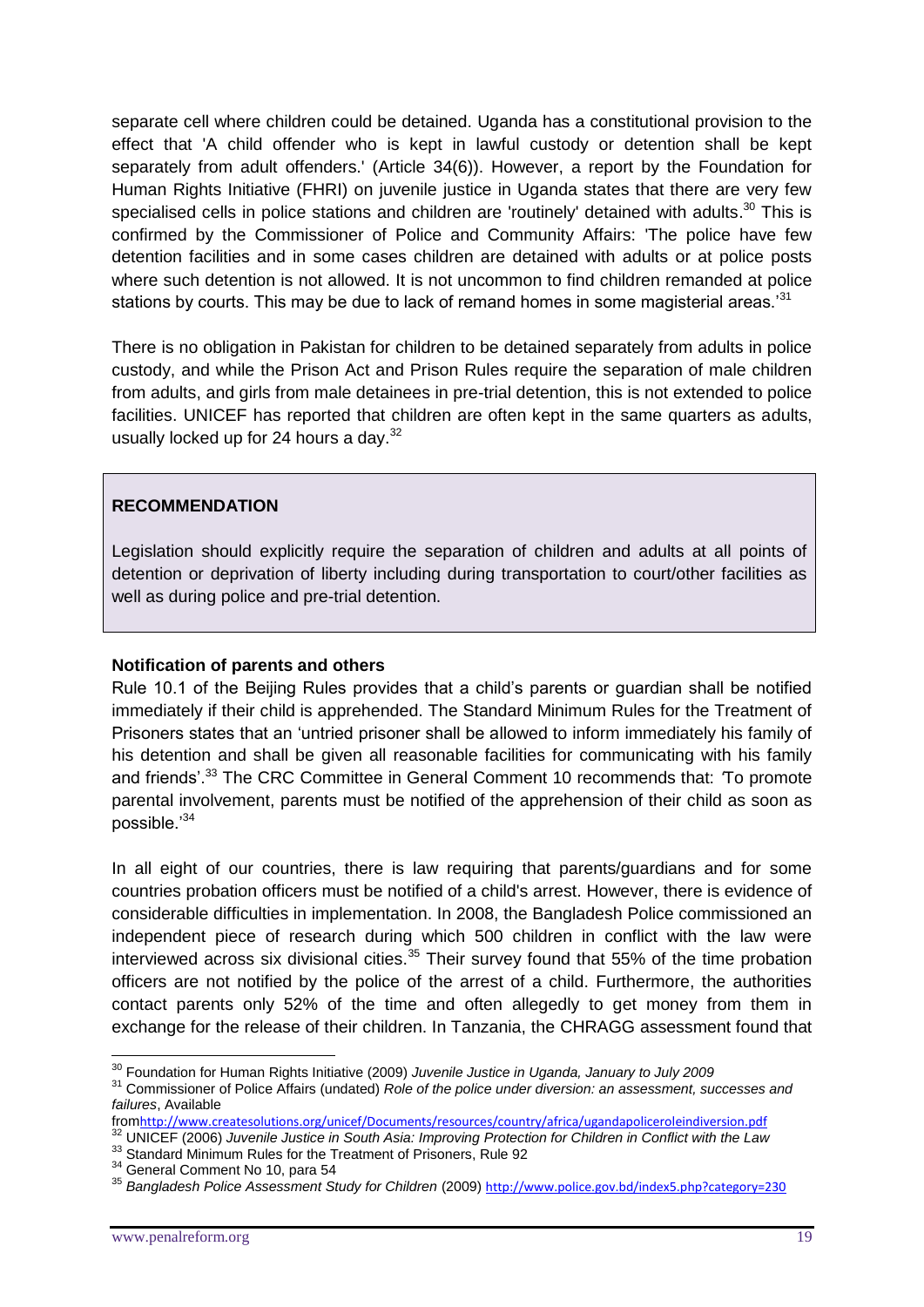separate cell where children could be detained. Uganda has a constitutional provision to the effect that 'A child offender who is kept in lawful custody or detention shall be kept separately from adult offenders.' (Article 34(6)). However, a report by the Foundation for Human Rights Initiative (FHRI) on juvenile justice in Uganda states that there are very few specialised cells in police stations and children are 'routinely' detained with adults.<sup>30</sup> This is confirmed by the Commissioner of Police and Community Affairs: 'The police have few detention facilities and in some cases children are detained with adults or at police posts where such detention is not allowed. It is not uncommon to find children remanded at police stations by courts. This may be due to lack of remand homes in some magisterial areas.<sup>31</sup>

There is no obligation in Pakistan for children to be detained separately from adults in police custody, and while the Prison Act and Prison Rules require the separation of male children from adults, and girls from male detainees in pre-trial detention, this is not extended to police facilities. UNICEF has reported that children are often kept in the same quarters as adults, usually locked up for 24 hours a day. $32$ 

#### **RECOMMENDATION**

Legislation should explicitly require the separation of children and adults at all points of detention or deprivation of liberty including during transportation to court/other facilities as well as during police and pre-trial detention.

#### **Notification of parents and others**

Rule 10.1 of the Beijing Rules provides that a child's parents or guardian shall be notified immediately if their child is apprehended. The Standard Minimum Rules for the Treatment of Prisoners states that an 'untried prisoner shall be allowed to inform immediately his family of his detention and shall be given all reasonable facilities for communicating with his family and friends'.<sup>33</sup> The CRC Committee in General Comment 10 recommends that: *'*To promote parental involvement, parents must be notified of the apprehension of their child as soon as possible.'<sup>34</sup>

In all eight of our countries, there is law requiring that parents/guardians and for some countries probation officers must be notified of a child's arrest. However, there is evidence of considerable difficulties in implementation. In 2008, the Bangladesh Police commissioned an independent piece of research during which 500 children in conflict with the law were interviewed across six divisional cities.<sup>35</sup> Their survey found that 55% of the time probation officers are not notified by the police of the arrest of a child. Furthermore, the authorities contact parents only 52% of the time and often allegedly to get money from them in exchange for the release of their children. In Tanzania, the CHRAGG assessment found that

<u>.</u>

<sup>30</sup> Foundation for Human Rights Initiative (2009) *Juvenile Justice in Uganda, January to July 2009*

<sup>31</sup> Commissioner of Police Affairs (undated) *Role of the police under diversion: an assessment, successes and failures*, Available

from<http://www.createsolutions.org/unicef/Documents/resources/country/africa/ugandapoliceroleindiversion.pdf> <sup>32</sup> UNICEF (2006) *Juvenile Justice in South Asia: Improving Protection for Children in Conflict with the Law*

<sup>33</sup> Standard Minimum Rules for the Treatment of Prisoners, Rule 92

<sup>34</sup> General Comment No 10, para 54

<sup>35</sup> *Bangladesh Police Assessment Study for Children* (2009) <http://www.police.gov.bd/index5.php?category=230>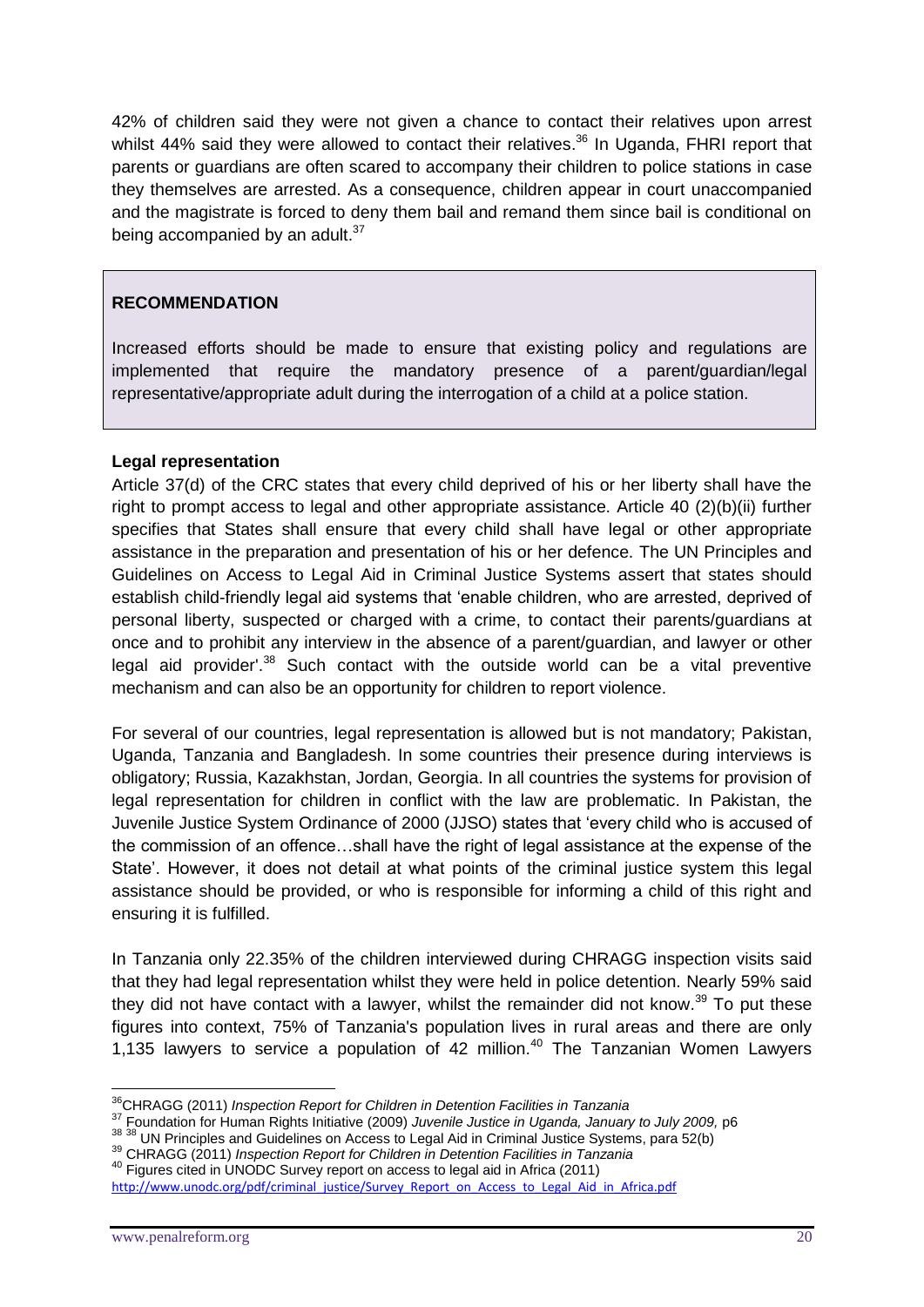42% of children said they were not given a chance to contact their relatives upon arrest whilst 44% said they were allowed to contact their relatives.<sup>36</sup> In Uganda, FHRI report that parents or guardians are often scared to accompany their children to police stations in case they themselves are arrested. As a consequence, children appear in court unaccompanied and the magistrate is forced to deny them bail and remand them since bail is conditional on being accompanied by an adult.<sup>37</sup>

#### **RECOMMENDATION**

Increased efforts should be made to ensure that existing policy and regulations are implemented that require the mandatory presence of a parent/guardian/legal representative/appropriate adult during the interrogation of a child at a police station.

#### **Legal representation**

Article 37(d) of the CRC states that every child deprived of his or her liberty shall have the right to prompt access to legal and other appropriate assistance. Article 40 (2)(b)(ii) further specifies that States shall ensure that every child shall have legal or other appropriate assistance in the preparation and presentation of his or her defence. The UN Principles and Guidelines on Access to Legal Aid in Criminal Justice Systems assert that states should establish child-friendly legal aid systems that 'enable children, who are arrested, deprived of personal liberty, suspected or charged with a crime, to contact their parents/guardians at once and to prohibit any interview in the absence of a parent/guardian, and lawyer or other legal aid provider'.<sup>38</sup> Such contact with the outside world can be a vital preventive mechanism and can also be an opportunity for children to report violence.

For several of our countries, legal representation is allowed but is not mandatory; Pakistan, Uganda, Tanzania and Bangladesh. In some countries their presence during interviews is obligatory; Russia, Kazakhstan, Jordan, Georgia. In all countries the systems for provision of legal representation for children in conflict with the law are problematic. In Pakistan, the Juvenile Justice System Ordinance of 2000 (JJSO) states that 'every child who is accused of the commission of an offence…shall have the right of legal assistance at the expense of the State'. However, it does not detail at what points of the criminal justice system this legal assistance should be provided, or who is responsible for informing a child of this right and ensuring it is fulfilled.

In Tanzania only 22.35% of the children interviewed during CHRAGG inspection visits said that they had legal representation whilst they were held in police detention. Nearly 59% said they did not have contact with a lawyer, whilst the remainder did not know.<sup>39</sup> To put these figures into context, 75% of Tanzania's population lives in rural areas and there are only 1,135 lawyers to service a population of 42 million.<sup>40</sup> The Tanzanian Women Lawyers

<sup>&</sup>lt;u>.</u> <sup>36</sup>CHRAGG (2011) *Inspection Report for Children in Detention Facilities in Tanzania*

<sup>37</sup> Foundation for Human Rights Initiative (2009) *Juvenile Justice in Uganda, January to July 2009,* p6

<sup>&</sup>lt;sup>38</sup> <sup>38</sup> UN Principles and Guidelines on Access to Legal Aid in Criminal Justice Systems, para 52(b)

<sup>39</sup> CHRAGG (2011) *Inspection Report for Children in Detention Facilities in Tanzania*

<sup>&</sup>lt;sup>40</sup> Figures cited in UNODC Survey report on access to legal aid in Africa (2011)

[http://www.unodc.org/pdf/criminal\\_justice/Survey\\_Report\\_on\\_Access\\_to\\_Legal\\_Aid\\_in\\_Africa.pdf](http://www.unodc.org/pdf/criminal_justice/Survey_Report_on_Access_to_Legal_Aid_in_Africa.pdf)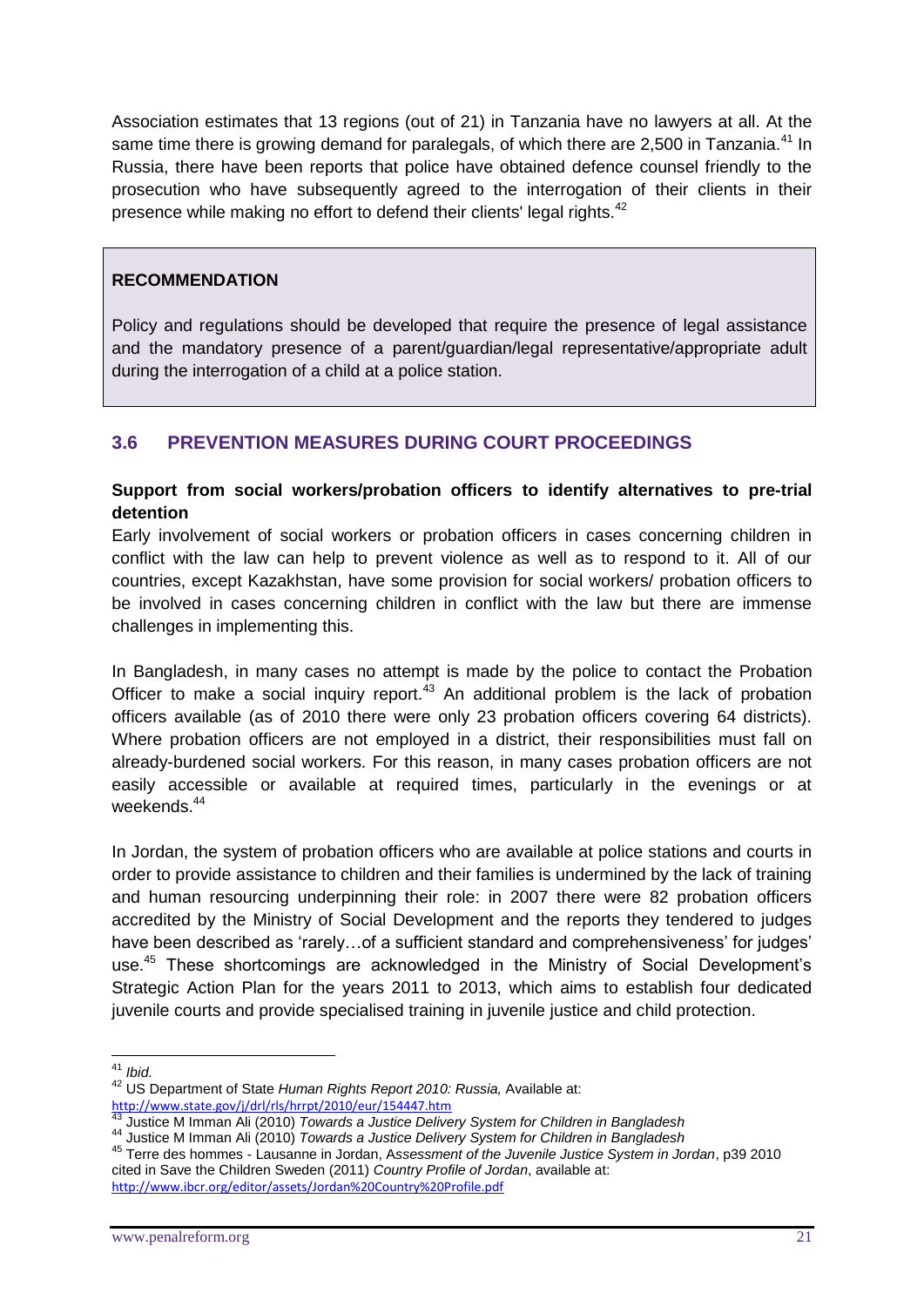Association estimates that 13 regions (out of 21) in Tanzania have no lawyers at all. At the same time there is growing demand for paralegals, of which there are 2,500 in Tanzania.<sup>41</sup> In Russia, there have been reports that police have obtained defence counsel friendly to the prosecution who have subsequently agreed to the interrogation of their clients in their presence while making no effort to defend their clients' legal rights.<sup>42</sup>

#### **RECOMMENDATION**

Policy and regulations should be developed that require the presence of legal assistance and the mandatory presence of a parent/guardian/legal representative/appropriate adult during the interrogation of a child at a police station.

# **3.6 PREVENTION MEASURES DURING COURT PROCEEDINGS**

# **Support from social workers/probation officers to identify alternatives to pre-trial detention**

Early involvement of social workers or probation officers in cases concerning children in conflict with the law can help to prevent violence as well as to respond to it. All of our countries, except Kazakhstan, have some provision for social workers/ probation officers to be involved in cases concerning children in conflict with the law but there are immense challenges in implementing this.

In Bangladesh, in many cases no attempt is made by the police to contact the Probation Officer to make a social inquiry report.<sup>43</sup> An additional problem is the lack of probation officers available (as of 2010 there were only 23 probation officers covering 64 districts). Where probation officers are not employed in a district, their responsibilities must fall on already-burdened social workers. For this reason, in many cases probation officers are not easily accessible or available at required times, particularly in the evenings or at weekends.<sup>44</sup>

In Jordan, the system of probation officers who are available at police stations and courts in order to provide assistance to children and their families is undermined by the lack of training and human resourcing underpinning their role: in 2007 there were 82 probation officers accredited by the Ministry of Social Development and the reports they tendered to judges have been described as 'rarely... of a sufficient standard and comprehensiveness' for judges' use.<sup>45</sup> These shortcomings are acknowledged in the Ministry of Social Development's Strategic Action Plan for the years 2011 to 2013, which aims to establish four dedicated juvenile courts and provide specialised training in juvenile justice and child protection.

<sup>&</sup>lt;u>.</u> <sup>41</sup> *Ibid.*

<sup>42</sup> US Department of State *Human Rights Report 2010: Russia,* Available at: <http://www.state.gov/j/drl/rls/hrrpt/2010/eur/154447.htm>

<sup>43</sup> Justice M Imman Ali (2010) *Towards a Justice Delivery System for Children in Bangladesh*

<sup>44</sup> Justice M Imman Ali (2010) *Towards a Justice Delivery System for Children in Bangladesh*

<sup>45</sup> Terre des hommes - Lausanne in Jordan, A*ssessment of the Juvenile Justice System in Jordan*, p39 2010 cited in Save the Children Sweden (2011) *Country Profile of Jordan*, available at: <http://www.ibcr.org/editor/assets/Jordan%20Country%20Profile.pdf>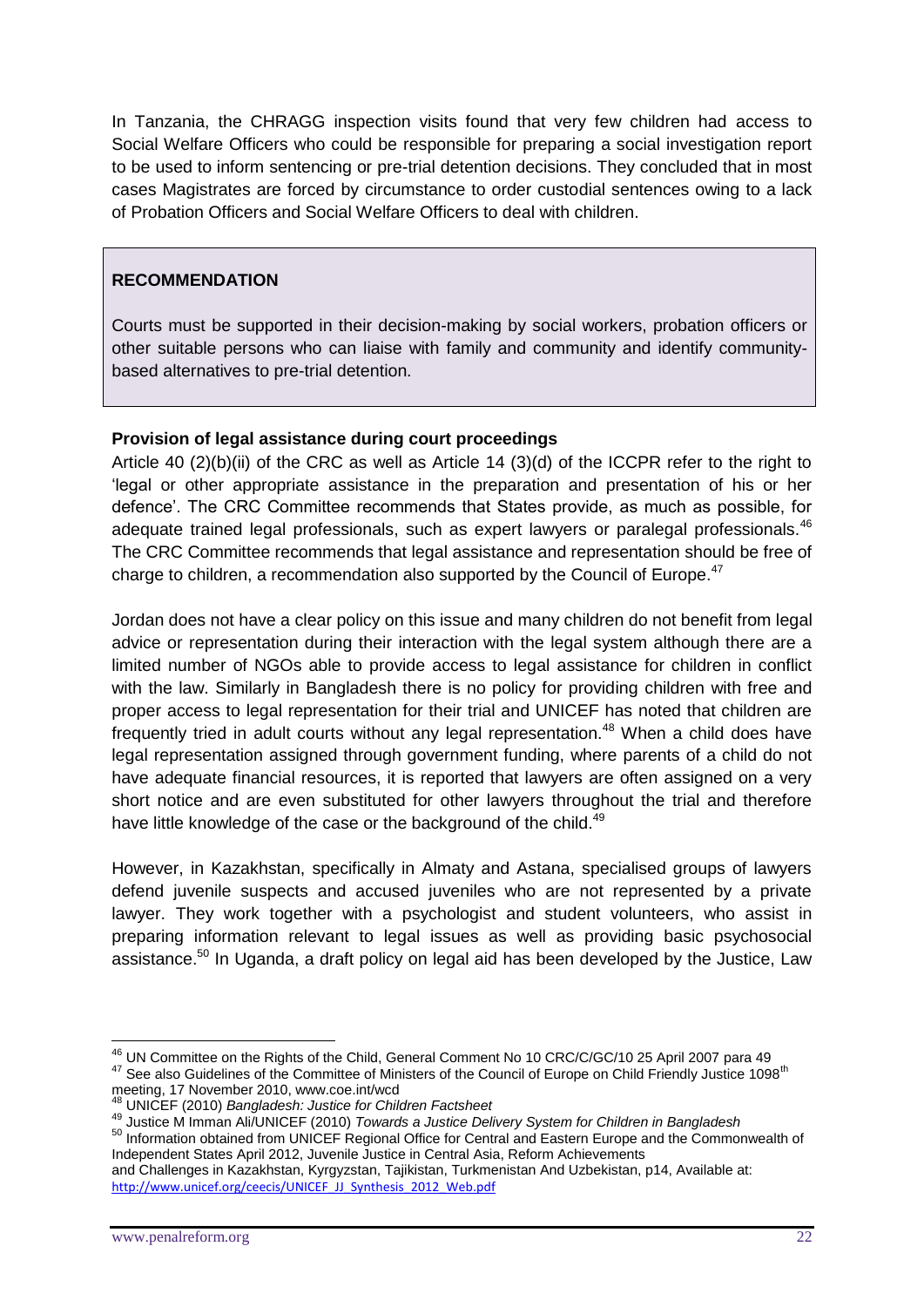In Tanzania, the CHRAGG inspection visits found that very few children had access to Social Welfare Officers who could be responsible for preparing a social investigation report to be used to inform sentencing or pre-trial detention decisions. They concluded that in most cases Magistrates are forced by circumstance to order custodial sentences owing to a lack of Probation Officers and Social Welfare Officers to deal with children.

#### **RECOMMENDATION**

Courts must be supported in their decision-making by social workers, probation officers or other suitable persons who can liaise with family and community and identify communitybased alternatives to pre-trial detention.

#### **Provision of legal assistance during court proceedings**

Article 40 (2)(b)(ii) of the CRC as well as Article 14 (3)(d) of the ICCPR refer to the right to 'legal or other appropriate assistance in the preparation and presentation of his or her defence'. The CRC Committee recommends that States provide, as much as possible, for adequate trained legal professionals, such as expert lawyers or paralegal professionals.<sup>46</sup> The CRC Committee recommends that legal assistance and representation should be free of charge to children, a recommendation also supported by the Council of Europe.<sup>47</sup>

Jordan does not have a clear policy on this issue and many children do not benefit from legal advice or representation during their interaction with the legal system although there are a limited number of NGOs able to provide access to legal assistance for children in conflict with the law. Similarly in Bangladesh there is no policy for providing children with free and proper access to legal representation for their trial and UNICEF has noted that children are frequently tried in adult courts without any legal representation.<sup>48</sup> When a child does have legal representation assigned through government funding, where parents of a child do not have adequate financial resources, it is reported that lawyers are often assigned on a very short notice and are even substituted for other lawyers throughout the trial and therefore have little knowledge of the case or the background of the child.<sup>49</sup>

However, in Kazakhstan, specifically in Almaty and Astana, specialised groups of lawyers defend juvenile suspects and accused juveniles who are not represented by a private lawyer. They work together with a psychologist and student volunteers, who assist in preparing information relevant to legal issues as well as providing basic psychosocial assistance. $50$  In Uganda, a draft policy on legal aid has been developed by the Justice, Law

50 Information obtained from UNICEF Regional Office for Central and Eastern Europe and the Commonwealth of Independent States April 2012, Juvenile Justice in Central Asia, Reform Achievements and Challenges in Kazakhstan, Kyrgyzstan, Tajikistan, Turkmenistan And Uzbekistan, p14, Available at:

<sup>&</sup>lt;u>.</u> <sup>46</sup> UN Committee on the Rights of the Child, General Comment No 10 CRC/C/GC/10 25 April 2007 para 49 47 See also Guidelines of the Committee of Ministers of the Council of Europe on Child Friendly Justice 1098<sup>th</sup>

meeting, 17 November 2010, www.coe.int/wcd

<sup>48</sup> UNICEF (2010) *Bangladesh: Justice for Children Factsheet*

<sup>49</sup> Justice M Imman Ali/UNICEF (2010) *Towards a Justice Delivery System for Children in Bangladesh*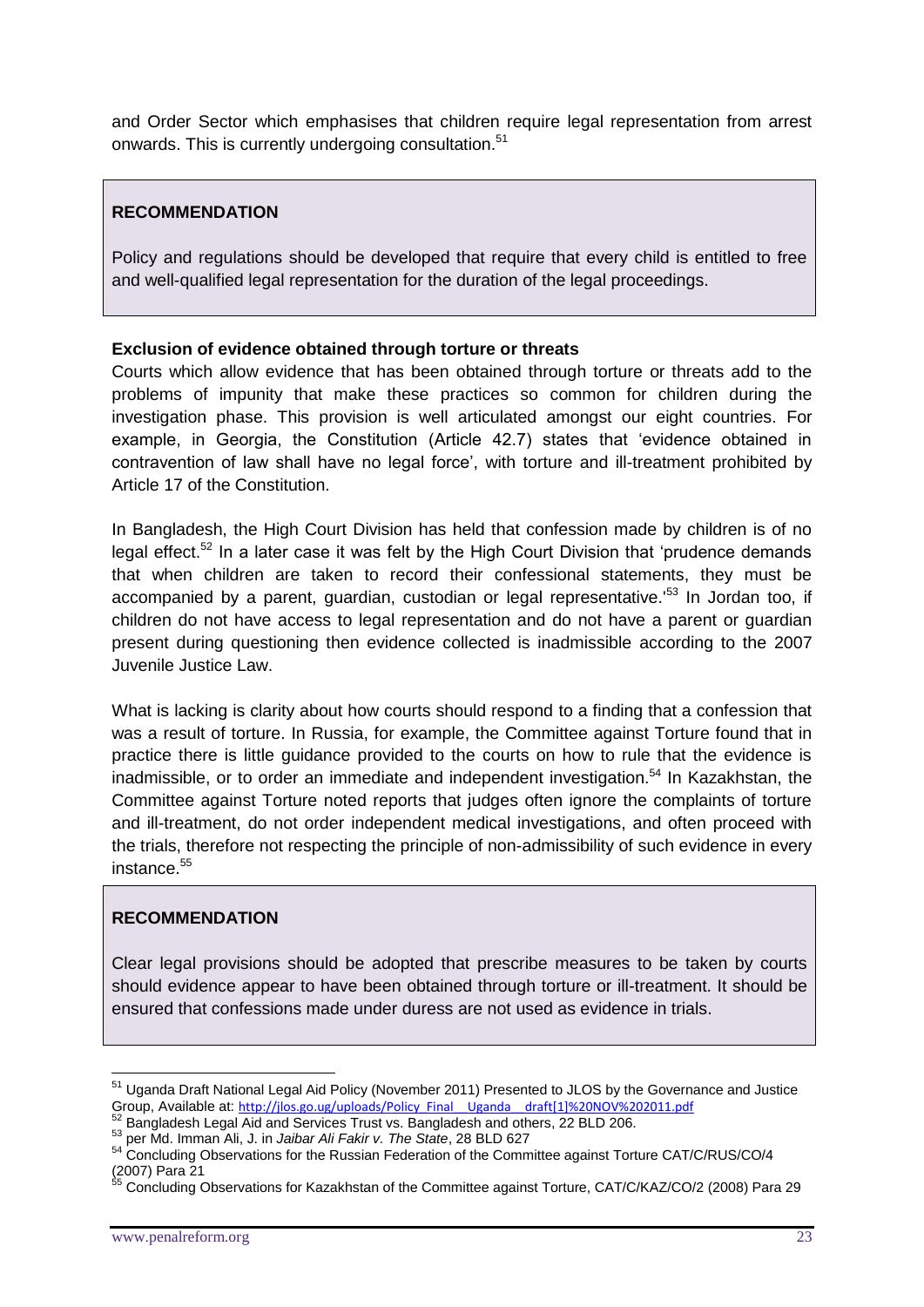and Order Sector which emphasises that children require legal representation from arrest onwards. This is currently undergoing consultation.<sup>51</sup>

#### **RECOMMENDATION**

Policy and regulations should be developed that require that every child is entitled to free and well-qualified legal representation for the duration of the legal proceedings.

#### **Exclusion of evidence obtained through torture or threats**

Courts which allow evidence that has been obtained through torture or threats add to the problems of impunity that make these practices so common for children during the investigation phase. This provision is well articulated amongst our eight countries. For example, in Georgia, the Constitution (Article 42.7) states that 'evidence obtained in contravention of law shall have no legal force', with torture and ill-treatment prohibited by Article 17 of the Constitution.

In Bangladesh, the High Court Division has held that confession made by children is of no legal effect.<sup>52</sup> In a later case it was felt by the High Court Division that 'prudence demands that when children are taken to record their confessional statements, they must be accompanied by a parent, guardian, custodian or legal representative.<sup>'53</sup> In Jordan too, if children do not have access to legal representation and do not have a parent or guardian present during questioning then evidence collected is inadmissible according to the 2007 Juvenile Justice Law.

What is lacking is clarity about how courts should respond to a finding that a confession that was a result of torture. In Russia, for example, the Committee against Torture found that in practice there is little guidance provided to the courts on how to rule that the evidence is inadmissible, or to order an immediate and independent investigation.<sup>54</sup> In Kazakhstan, the Committee against Torture noted reports that judges often ignore the complaints of torture and ill-treatment, do not order independent medical investigations, and often proceed with the trials, therefore not respecting the principle of non-admissibility of such evidence in every  $instance<sup>55</sup>$ 

#### **RECOMMENDATION**

Clear legal provisions should be adopted that prescribe measures to be taken by courts should evidence appear to have been obtained through torture or ill-treatment. It should be ensured that confessions made under duress are not used as evidence in trials.

<sup>&</sup>lt;sup>51</sup> Uganda Draft National Legal Aid Policy (November 2011) Presented to JLOS by the Governance and Justice Group, Available at: [http://jlos.go.ug/uploads/Policy\\_Final\\_\\_Uganda\\_\\_draft\[1\]%20NOV%202011.pdf](http://jlos.go.ug/uploads/Policy_Final__Uganda__draft%5b1%5d%20NOV%202011.pdf)

 $52$  Bangladesh Legal Aid and Services Trust vs. Bangladesh and others, 22 BLD 206.

<sup>53</sup> per Md. Imman Ali, J. in *Jaibar Ali Fakir v. The State*, 28 BLD 627

<sup>54</sup> Concluding Observations for the Russian Federation of the Committee against Torture CAT/C/RUS/CO/4 (2007) Para 21

Concluding Observations for Kazakhstan of the Committee against Torture, CAT/C/KAZ/CO/2 (2008) Para 29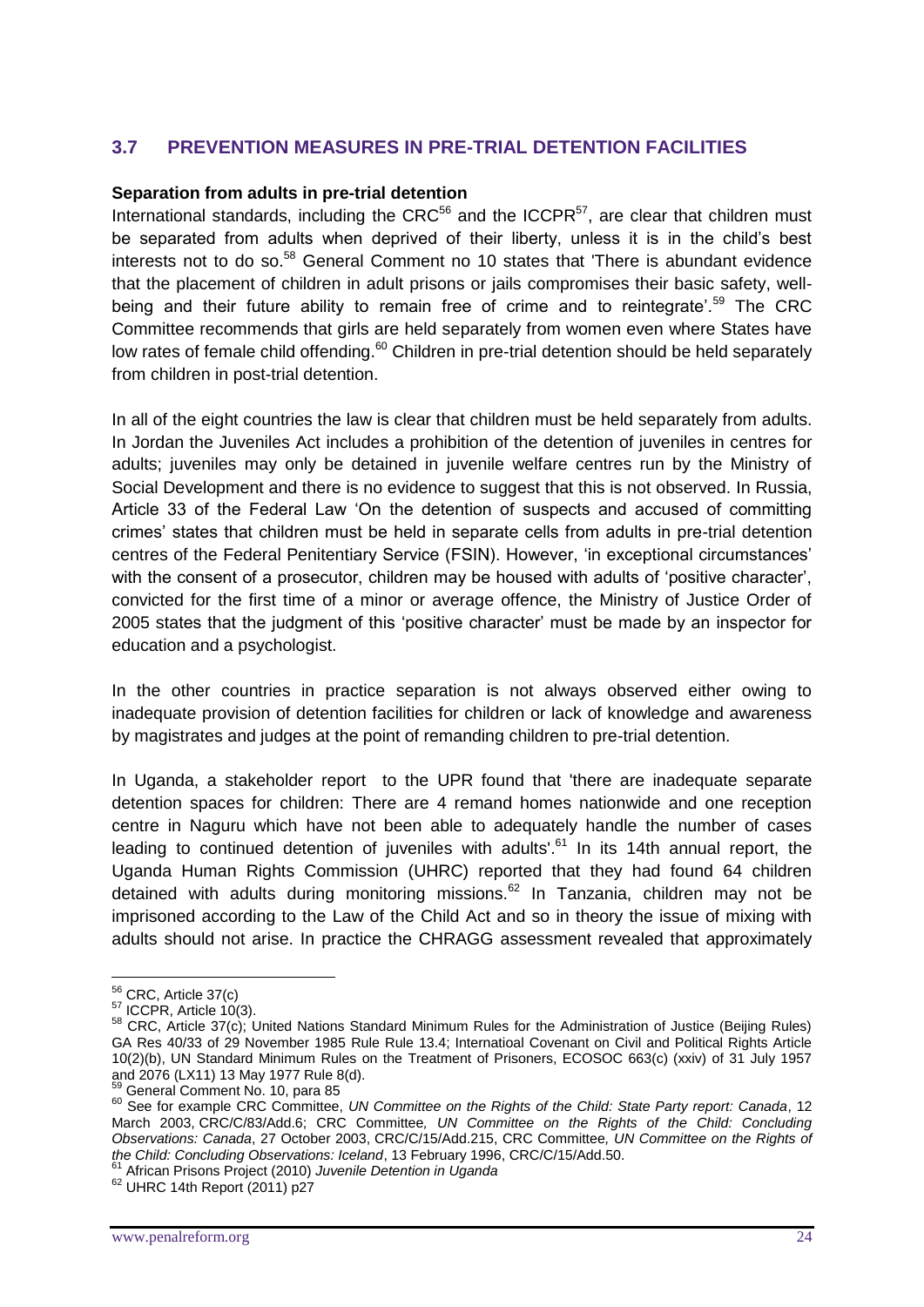# **3.7 PREVENTION MEASURES IN PRE-TRIAL DETENTION FACILITIES**

#### **Separation from adults in pre-trial detention**

International standards, including the  $CRC^{56}$  and the ICCPR $^{57}$ , are clear that children must be separated from adults when deprived of their liberty, unless it is in the child's best interests not to do so.<sup>58</sup> General Comment no 10 states that 'There is abundant evidence that the placement of children in adult prisons or jails compromises their basic safety, wellbeing and their future ability to remain free of crime and to reintegrate'.<sup>59</sup> The CRC Committee recommends that girls are held separately from women even where States have low rates of female child offending.<sup>60</sup> Children in pre-trial detention should be held separately from children in post-trial detention.

In all of the eight countries the law is clear that children must be held separately from adults. In Jordan the Juveniles Act includes a prohibition of the detention of juveniles in centres for adults; juveniles may only be detained in juvenile welfare centres run by the Ministry of Social Development and there is no evidence to suggest that this is not observed. In Russia, Article 33 of the Federal Law 'On the detention of suspects and accused of committing crimes' states that children must be held in separate cells from adults in pre-trial detention centres of the Federal Penitentiary Service (FSIN). However, 'in exceptional circumstances' with the consent of a prosecutor, children may be housed with adults of 'positive character', convicted for the first time of a minor or average offence, the Ministry of Justice Order of 2005 states that the judgment of this 'positive character' must be made by an inspector for education and a psychologist.

In the other countries in practice separation is not always observed either owing to inadequate provision of detention facilities for children or lack of knowledge and awareness by magistrates and judges at the point of remanding children to pre-trial detention.

In Uganda, a stakeholder report to the UPR found that 'there are inadequate separate detention spaces for children: There are 4 remand homes nationwide and one reception centre in Naguru which have not been able to adequately handle the number of cases leading to continued detention of juveniles with adults'.<sup>61</sup> In its 14th annual report, the Uganda Human Rights Commission (UHRC) reported that they had found 64 children detained with adults during monitoring missions.<sup>62</sup> In Tanzania, children may not be imprisoned according to the Law of the Child Act and so in theory the issue of mixing with adults should not arise. In practice the CHRAGG assessment revealed that approximately

 $56$  CRC, Article 37(c)

<sup>&</sup>lt;sup>57</sup> ICCPR, Article 10(3).

<sup>58</sup> CRC, Article 37(c); United Nations Standard Minimum Rules for the Administration of Justice (Beijing Rules) GA Res 40/33 of 29 November 1985 Rule Rule 13.4; Internatioal Covenant on Civil and Political Rights Article 10(2)(b), UN Standard Minimum Rules on the Treatment of Prisoners, ECOSOC 663(c) (xxiv) of 31 July 1957 and 2076 (LX11) 13 May 1977 Rule 8(d).

<sup>&</sup>lt;sup>59</sup> General Comment No. 10, para 85

<sup>60</sup> See for example CRC Committee, *UN Committee on the Rights of the Child: State Party report: Canada*, 12 March 2003, CRC/C/83/Add.6; CRC Committee*, UN Committee on the Rights of the Child: Concluding Observations: Canada*, 27 October 2003, CRC/C/15/Add.215, CRC Committee*, UN Committee on the Rights of the Child: Concluding Observations: Iceland*, 13 February 1996, CRC/C/15/Add.50.

<sup>61</sup> African Prisons Project (2010) *Juvenile Detention in Uganda*

<sup>62</sup> UHRC 14th Report (2011) p27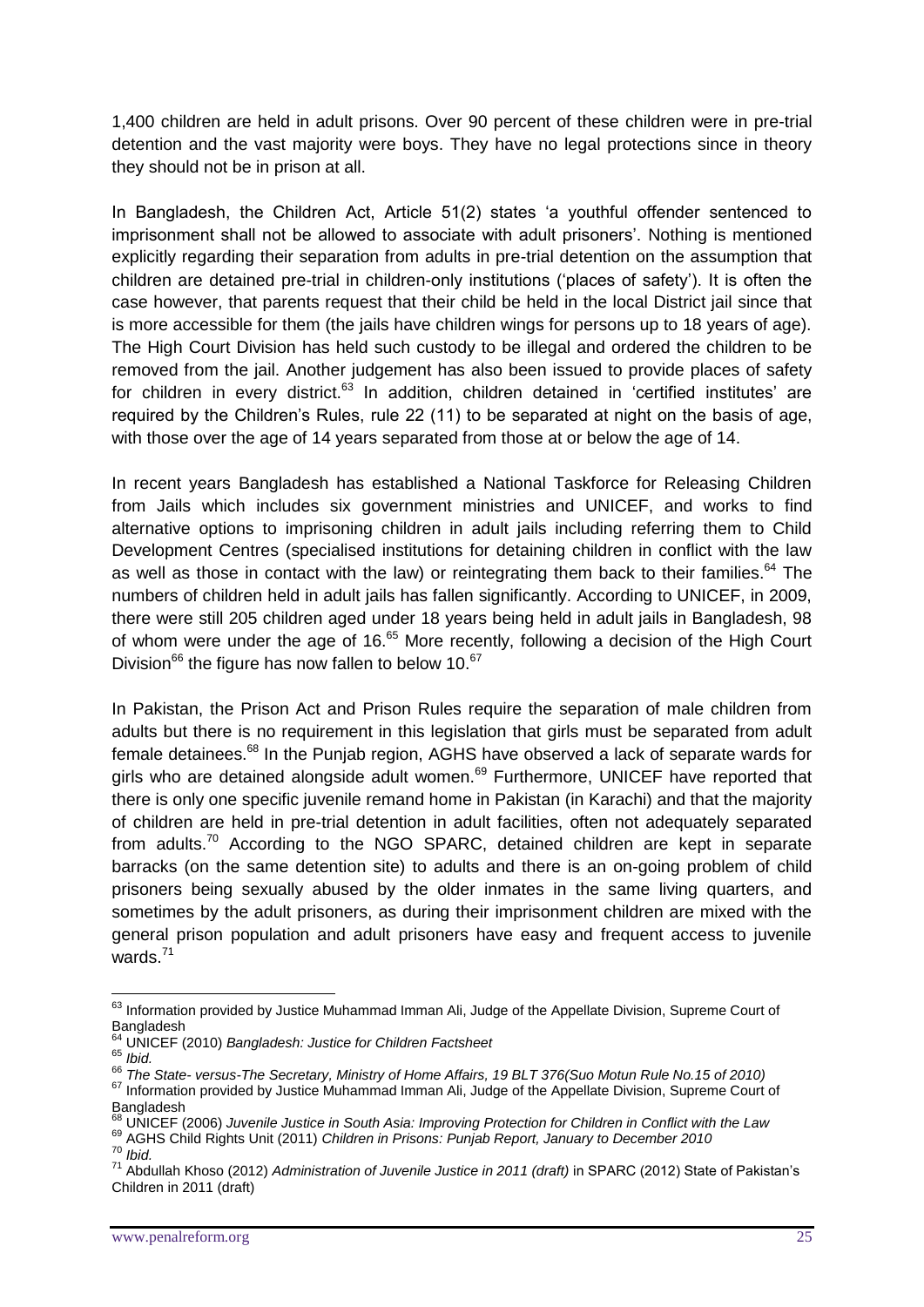1,400 children are held in adult prisons. Over 90 percent of these children were in pre-trial detention and the vast majority were boys. They have no legal protections since in theory they should not be in prison at all.

In Bangladesh, the Children Act, Article 51(2) states 'a youthful offender sentenced to imprisonment shall not be allowed to associate with adult prisoners'. Nothing is mentioned explicitly regarding their separation from adults in pre-trial detention on the assumption that children are detained pre-trial in children-only institutions ('places of safety'). It is often the case however, that parents request that their child be held in the local District jail since that is more accessible for them (the jails have children wings for persons up to 18 years of age). The High Court Division has held such custody to be illegal and ordered the children to be removed from the jail. Another judgement has also been issued to provide places of safety for children in every district.<sup>63</sup> In addition, children detained in 'certified institutes' are required by the Children's Rules, rule 22 (11) to be separated at night on the basis of age, with those over the age of 14 years separated from those at or below the age of 14.

In recent years Bangladesh has established a National Taskforce for Releasing Children from Jails which includes six government ministries and UNICEF, and works to find alternative options to imprisoning children in adult jails including referring them to Child Development Centres (specialised institutions for detaining children in conflict with the law as well as those in contact with the law) or reintegrating them back to their families.<sup>64</sup> The numbers of children held in adult jails has fallen significantly. According to UNICEF, in 2009, there were still 205 children aged under 18 years being held in adult jails in Bangladesh, 98 of whom were under the age of 16.<sup>65</sup> More recently, following a decision of the High Court Division<sup>66</sup> the figure has now fallen to below 10. $67$ 

In Pakistan, the Prison Act and Prison Rules require the separation of male children from adults but there is no requirement in this legislation that girls must be separated from adult female detainees.<sup>68</sup> In the Punjab region, AGHS have observed a lack of separate wards for girls who are detained alongside adult women.<sup>69</sup> Furthermore, UNICEF have reported that there is only one specific juvenile remand home in Pakistan (in Karachi) and that the majority of children are held in pre-trial detention in adult facilities, often not adequately separated from adults.<sup>70</sup> According to the NGO SPARC, detained children are kept in separate barracks (on the same detention site) to adults and there is an on-going problem of child prisoners being sexually abused by the older inmates in the same living quarters, and sometimes by the adult prisoners, as during their imprisonment children are mixed with the general prison population and adult prisoners have easy and frequent access to juvenile wards. $71$ 

<u>.</u>

<sup>69</sup> AGHS Child Rights Unit (2011) *Children in Prisons: Punjab Report, January to December 2010* <sup>70</sup> *Ibid.*

<sup>&</sup>lt;sup>63</sup> Information provided by Justice Muhammad Imman Ali, Judge of the Appellate Division, Supreme Court of Bangladesh

<sup>64</sup> UNICEF (2010) *Bangladesh: Justice for Children Factsheet*

<sup>65</sup> *Ibid.*

<sup>66</sup> *The State- versus-The Secretary, Ministry of Home Affairs, 19 BLT 376(Suo Motun Rule No.15 of 2010)*

<sup>&</sup>lt;sup>67</sup> Information provided by Justice Muhammad Imman Ali, Judge of the Appellate Division, Supreme Court of Bangladesh

<sup>68</sup> UNICEF (2006) *Juvenile Justice in South Asia: Improving Protection for Children in Conflict with the Law*

<sup>71</sup> Abdullah Khoso (2012) *Administration of Juvenile Justice in 2011 (draft)* in SPARC (2012) State of Pakistan's Children in 2011 (draft)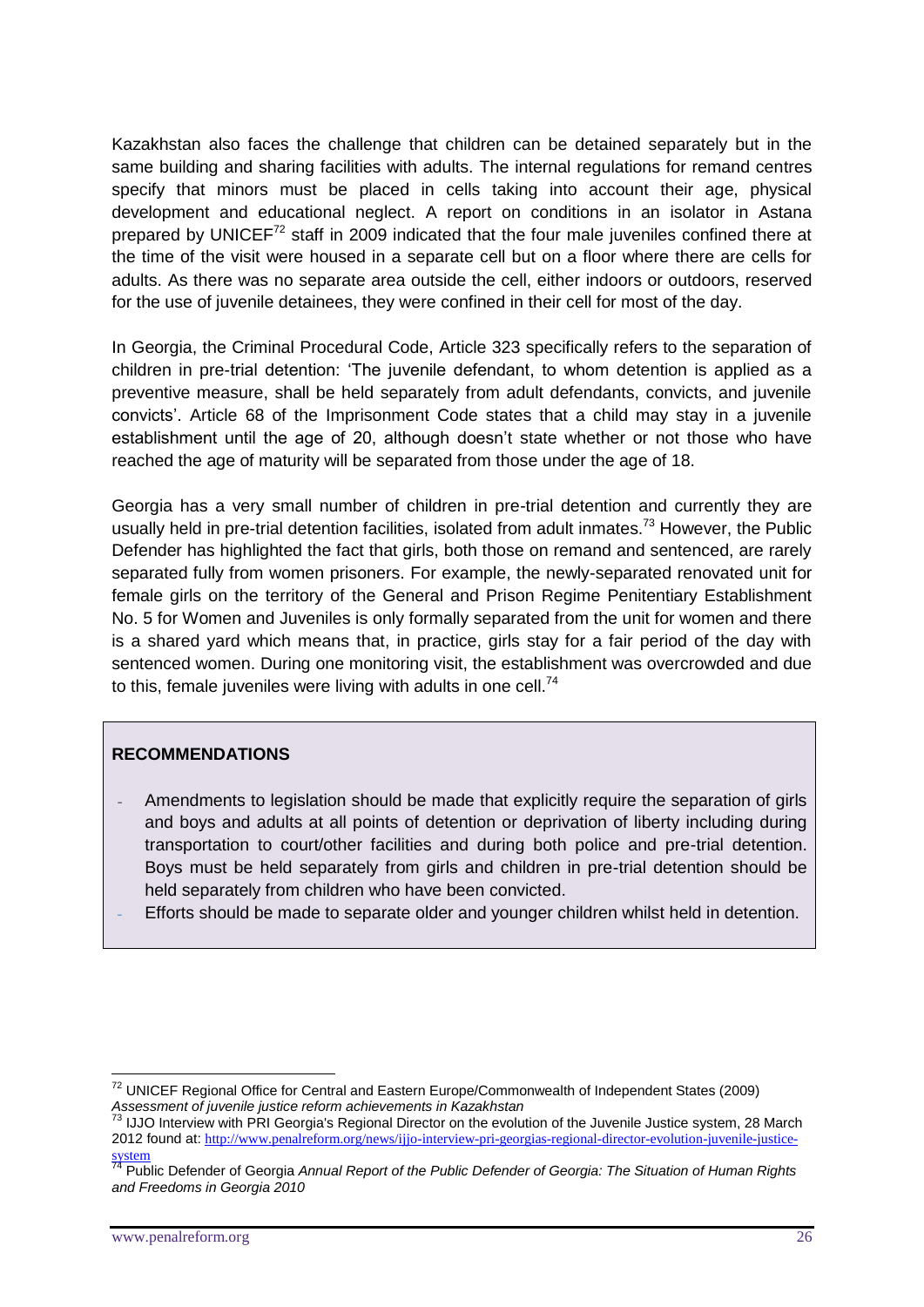Kazakhstan also faces the challenge that children can be detained separately but in the same building and sharing facilities with adults. The internal regulations for remand centres specify that minors must be placed in cells taking into account their age, physical development and educational neglect. A report on conditions in an isolator in Astana prepared by UNICEF $^{72}$  staff in 2009 indicated that the four male juveniles confined there at the time of the visit were housed in a separate cell but on a floor where there are cells for adults. As there was no separate area outside the cell, either indoors or outdoors, reserved for the use of juvenile detainees, they were confined in their cell for most of the day.

In Georgia, the Criminal Procedural Code, Article 323 specifically refers to the separation of children in pre-trial detention: 'The juvenile defendant, to whom detention is applied as a preventive measure, shall be held separately from adult defendants, convicts, and juvenile convicts'. Article 68 of the Imprisonment Code states that a child may stay in a juvenile establishment until the age of 20, although doesn't state whether or not those who have reached the age of maturity will be separated from those under the age of 18.

Georgia has a very small number of children in pre-trial detention and currently they are usually held in pre-trial detention facilities, isolated from adult inmates.<sup>73</sup> However, the Public Defender has highlighted the fact that girls, both those on remand and sentenced, are rarely separated fully from women prisoners. For example, the newly-separated renovated unit for female girls on the territory of the General and Prison Regime Penitentiary Establishment No. 5 for Women and Juveniles is only formally separated from the unit for women and there is a shared yard which means that, in practice, girls stay for a fair period of the day with sentenced women. During one monitoring visit, the establishment was overcrowded and due to this, female juveniles were living with adults in one cell. $<sup>74</sup>$ </sup>

# **RECOMMENDATIONS**

- Amendments to legislation should be made that explicitly require the separation of girls and boys and adults at all points of detention or deprivation of liberty including during transportation to court/other facilities and during both police and pre-trial detention. Boys must be held separately from girls and children in pre-trial detention should be held separately from children who have been convicted.
- Efforts should be made to separate older and younger children whilst held in detention.

<u>.</u>

 $72$  UNICEF Regional Office for Central and Eastern Europe/Commonwealth of Independent States (2009) *Assessment of juvenile justice reform achievements in Kazakhstan*

 $^{73}$  IJJO Interview with PRI Georgia's Regional Director on the evolution of the Juvenile Justice system, 28 March 2012 found at: [http://www.penalreform.org/news/ijjo-interview-pri-georgias-regional-director-evolution-juvenile-justice](http://www.penalreform.org/news/ijjo-interview-pri-georgias-regional-director-evolution-juvenile-justice-system)[system](http://www.penalreform.org/news/ijjo-interview-pri-georgias-regional-director-evolution-juvenile-justice-system)

<sup>74</sup> Public Defender of Georgia *Annual Report of the Public Defender of Georgia: The Situation of Human Rights and Freedoms in Georgia 2010*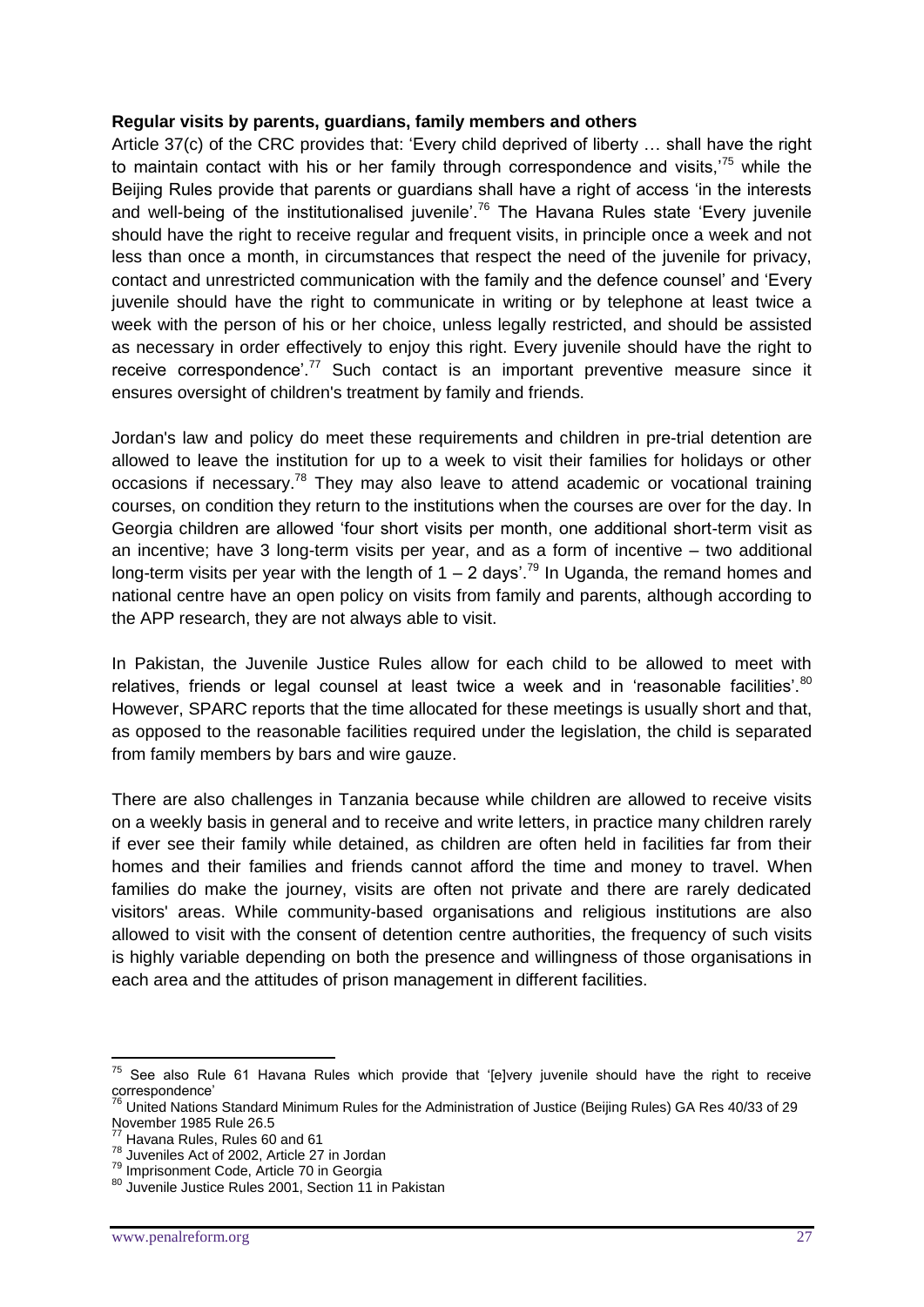#### **Regular visits by parents, guardians, family members and others**

Article 37(c) of the CRC provides that: 'Every child deprived of liberty … shall have the right to maintain contact with his or her family through correspondence and visits.<sup>75</sup> while the Beijing Rules provide that parents or guardians shall have a right of access 'in the interests and well-being of the institutionalised juvenile<sup>'.76</sup> The Havana Rules state 'Every juvenile should have the right to receive regular and frequent visits, in principle once a week and not less than once a month, in circumstances that respect the need of the juvenile for privacy, contact and unrestricted communication with the family and the defence counsel' and 'Every juvenile should have the right to communicate in writing or by telephone at least twice a week with the person of his or her choice, unless legally restricted, and should be assisted as necessary in order effectively to enjoy this right. Every juvenile should have the right to receive correspondence'.<sup>77</sup> Such contact is an important preventive measure since it ensures oversight of children's treatment by family and friends.

Jordan's law and policy do meet these requirements and children in pre-trial detention are allowed to leave the institution for up to a week to visit their families for holidays or other occasions if necessary.<sup>78</sup> They may also leave to attend academic or vocational training courses, on condition they return to the institutions when the courses are over for the day. In Georgia children are allowed 'four short visits per month, one additional short-term visit as an incentive; have 3 long-term visits per year, and as a form of incentive – two additional long-term visits per year with the length of  $1 - 2$  days'.<sup>79</sup> In Uganda, the remand homes and national centre have an open policy on visits from family and parents, although according to the APP research, they are not always able to visit.

In Pakistan, the Juvenile Justice Rules allow for each child to be allowed to meet with relatives, friends or legal counsel at least twice a week and in 'reasonable facilities'. $80$ However, SPARC reports that the time allocated for these meetings is usually short and that, as opposed to the reasonable facilities required under the legislation, the child is separated from family members by bars and wire gauze.

There are also challenges in Tanzania because while children are allowed to receive visits on a weekly basis in general and to receive and write letters, in practice many children rarely if ever see their family while detained, as children are often held in facilities far from their homes and their families and friends cannot afford the time and money to travel. When families do make the journey, visits are often not private and there are rarely dedicated visitors' areas. While community-based organisations and religious institutions are also allowed to visit with the consent of detention centre authorities, the frequency of such visits is highly variable depending on both the presence and willingness of those organisations in each area and the attitudes of prison management in different facilities.

 $75$  See also Rule 61 Havana Rules which provide that '[e]very juvenile should have the right to receive correspondence'

<sup>&</sup>lt;sup>76</sup> United Nations Standard Minimum Rules for the Administration of Justice (Beijing Rules) GA Res 40/33 of 29 November 1985 Rule 26.5

<sup>&</sup>lt;sup>77</sup> Havana Rules, Rules 60 and 61

<sup>78</sup> Juveniles Act of 2002, Article 27 in Jordan

<sup>79</sup> Imprisonment Code, Article 70 in Georgia

<sup>80</sup> Juvenile Justice Rules 2001, Section 11 in Pakistan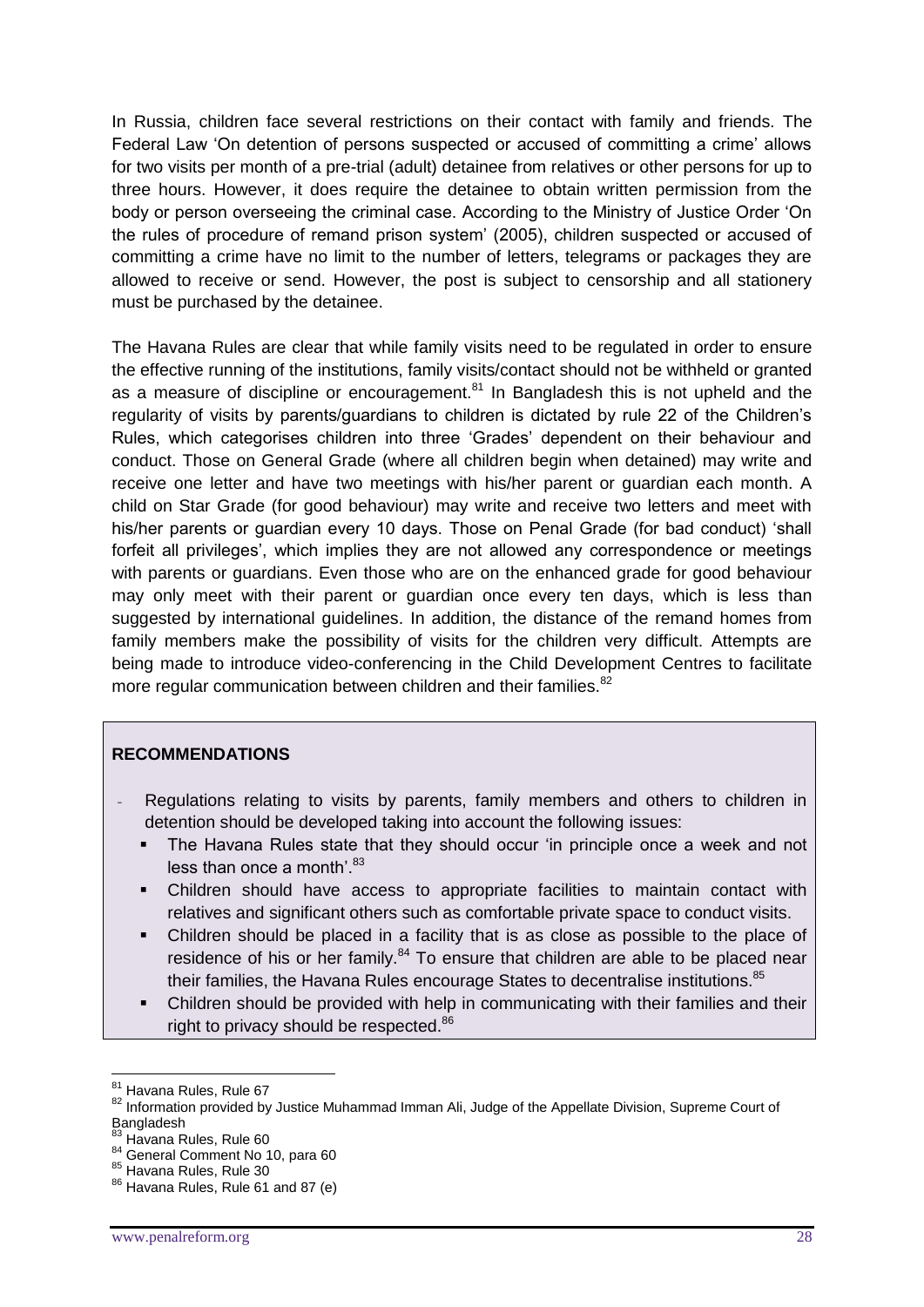In Russia, children face several restrictions on their contact with family and friends. The Federal Law 'On detention of persons suspected or accused of committing a crime' allows for two visits per month of a pre-trial (adult) detainee from relatives or other persons for up to three hours. However, it does require the detainee to obtain written permission from the body or person overseeing the criminal case. According to the Ministry of Justice Order 'On the rules of procedure of remand prison system' (2005), children suspected or accused of committing a crime have no limit to the number of letters, telegrams or packages they are allowed to receive or send. However, the post is subject to censorship and all stationery must be purchased by the detainee.

The Havana Rules are clear that while family visits need to be regulated in order to ensure the effective running of the institutions, family visits/contact should not be withheld or granted as a measure of discipline or encouragement.<sup>81</sup> In Bangladesh this is not upheld and the regularity of visits by parents/guardians to children is dictated by rule 22 of the Children's Rules, which categorises children into three 'Grades' dependent on their behaviour and conduct. Those on General Grade (where all children begin when detained) may write and receive one letter and have two meetings with his/her parent or guardian each month. A child on Star Grade (for good behaviour) may write and receive two letters and meet with his/her parents or guardian every 10 days. Those on Penal Grade (for bad conduct) 'shall forfeit all privileges', which implies they are not allowed any correspondence or meetings with parents or guardians. Even those who are on the enhanced grade for good behaviour may only meet with their parent or guardian once every ten days, which is less than suggested by international guidelines. In addition, the distance of the remand homes from family members make the possibility of visits for the children very difficult. Attempts are being made to introduce video-conferencing in the Child Development Centres to facilitate more regular communication between children and their families.<sup>82</sup>

#### **RECOMMENDATIONS**

- Regulations relating to visits by parents, family members and others to children in detention should be developed taking into account the following issues:
	- The Havana Rules state that they should occur 'in principle once a week and not less than once a month'.  $83$
	- Children should have access to appropriate facilities to maintain contact with relatives and significant others such as comfortable private space to conduct visits.
	- Children should be placed in a facility that is as close as possible to the place of residence of his or her family. $84$  To ensure that children are able to be placed near their families, the Havana Rules encourage States to decentralise institutions.<sup>85</sup>
	- Children should be provided with help in communicating with their families and their right to privacy should be respected.<sup>86</sup>

<u>.</u>

<sup>81</sup> Havana Rules, Rule 67

<sup>82</sup> Information provided by Justice Muhammad Imman Ali, Judge of the Appellate Division, Supreme Court of **Bangladesh** 

<sup>83</sup> Havana Rules, Rule 60

<sup>84</sup> General Comment No 10, para 60

<sup>85</sup> Havana Rules, Rule 30

<sup>86</sup> Havana Rules, Rule 61 and 87 (e)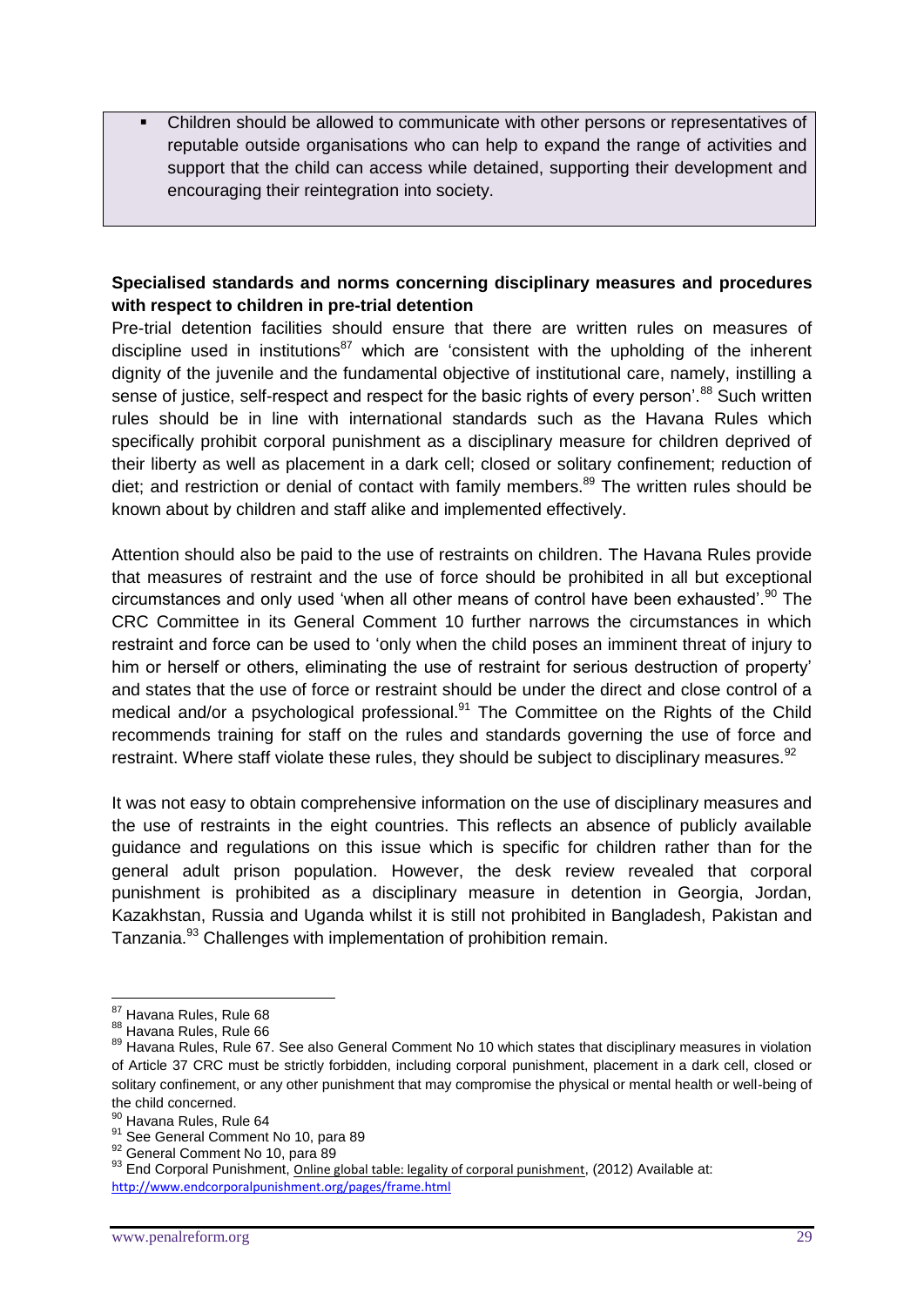Children should be allowed to communicate with other persons or representatives of reputable outside organisations who can help to expand the range of activities and support that the child can access while detained, supporting their development and encouraging their reintegration into society.

# **Specialised standards and norms concerning disciplinary measures and procedures with respect to children in pre-trial detention**

Pre-trial detention facilities should ensure that there are written rules on measures of discipline used in institutions<sup>87</sup> which are 'consistent with the upholding of the inherent dignity of the juvenile and the fundamental objective of institutional care, namely, instilling a sense of justice, self-respect and respect for the basic rights of every person<sup>'88</sup> Such written rules should be in line with international standards such as the Havana Rules which specifically prohibit corporal punishment as a disciplinary measure for children deprived of their liberty as well as placement in a dark cell; closed or solitary confinement; reduction of diet; and restriction or denial of contact with family members.<sup>89</sup> The written rules should be known about by children and staff alike and implemented effectively.

Attention should also be paid to the use of restraints on children. The Havana Rules provide that measures of restraint and the use of force should be prohibited in all but exceptional circumstances and only used 'when all other means of control have been exhausted'.<sup>90</sup> The CRC Committee in its General Comment 10 further narrows the circumstances in which restraint and force can be used to 'only when the child poses an imminent threat of injury to him or herself or others, eliminating the use of restraint for serious destruction of property' and states that the use of force or restraint should be under the direct and close control of a medical and/or a psychological professional. $91$  The Committee on the Rights of the Child recommends training for staff on the rules and standards governing the use of force and restraint. Where staff violate these rules, they should be subject to disciplinary measures.<sup>92</sup>

It was not easy to obtain comprehensive information on the use of disciplinary measures and the use of restraints in the eight countries. This reflects an absence of publicly available guidance and regulations on this issue which is specific for children rather than for the general adult prison population. However, the desk review revealed that corporal punishment is prohibited as a disciplinary measure in detention in Georgia, Jordan, Kazakhstan, Russia and Uganda whilst it is still not prohibited in Bangladesh, Pakistan and Tanzania.<sup>93</sup> Challenges with implementation of prohibition remain.

<sup>&</sup>lt;sup>87</sup> Havana Rules, Rule 68

<sup>88</sup> Havana Rules, Rule 66

<sup>89</sup> Havana Rules, Rule 67. See also General Comment No 10 which states that disciplinary measures in violation of Article 37 CRC must be strictly forbidden, including corporal punishment, placement in a dark cell, closed or solitary confinement, or any other punishment that may compromise the physical or mental health or well-being of the child concerned.

<sup>90</sup> Havana Rules, Rule 64

<sup>91</sup> See General Comment No 10, para 89

<sup>92</sup> General Comment No 10, para 89

<sup>93</sup> End Corporal Punishment, [Online global table: legality of corporal punishment](http://www.endcorporalpunishment.org/pages/progress/table_a-d.html), (2012) Available at: <http://www.endcorporalpunishment.org/pages/frame.html>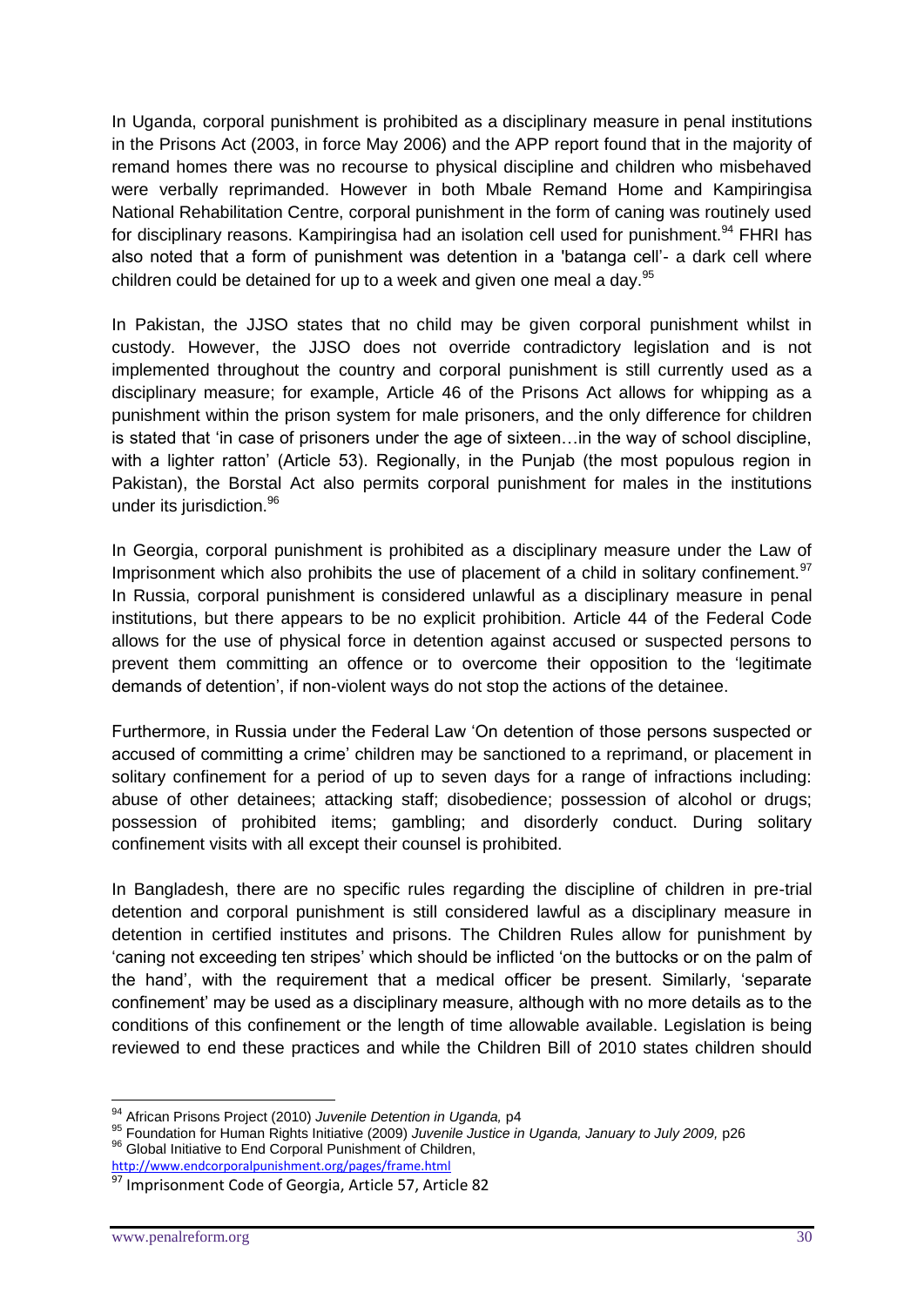In Uganda, corporal punishment is prohibited as a disciplinary measure in penal institutions in the Prisons Act (2003, in force May 2006) and the APP report found that in the majority of remand homes there was no recourse to physical discipline and children who misbehaved were verbally reprimanded. However in both Mbale Remand Home and Kampiringisa National Rehabilitation Centre, corporal punishment in the form of caning was routinely used for disciplinary reasons. Kampiringisa had an isolation cell used for punishment.<sup>94</sup> FHRI has also noted that a form of punishment was detention in a 'batanga cell'- a dark cell where children could be detained for up to a week and given one meal a day.<sup>95</sup>

In Pakistan, the JJSO states that no child may be given corporal punishment whilst in custody. However, the JJSO does not override contradictory legislation and is not implemented throughout the country and corporal punishment is still currently used as a disciplinary measure; for example, Article 46 of the Prisons Act allows for whipping as a punishment within the prison system for male prisoners, and the only difference for children is stated that 'in case of prisoners under the age of sixteen…in the way of school discipline, with a lighter ratton' (Article 53). Regionally, in the Punjab (the most populous region in Pakistan), the Borstal Act also permits corporal punishment for males in the institutions under its jurisdiction.<sup>96</sup>

In Georgia, corporal punishment is prohibited as a disciplinary measure under the Law of Imprisonment which also prohibits the use of placement of a child in solitary confinement. $97$ In Russia, corporal punishment is considered unlawful as a disciplinary measure in penal institutions, but there appears to be no explicit prohibition. Article 44 of the Federal Code allows for the use of physical force in detention against accused or suspected persons to prevent them committing an offence or to overcome their opposition to the 'legitimate demands of detention', if non-violent ways do not stop the actions of the detainee.

Furthermore, in Russia under the Federal Law 'On detention of those persons suspected or accused of committing a crime' children may be sanctioned to a reprimand, or placement in solitary confinement for a period of up to seven days for a range of infractions including: abuse of other detainees; attacking staff; disobedience; possession of alcohol or drugs; possession of prohibited items; gambling; and disorderly conduct. During solitary confinement visits with all except their counsel is prohibited.

In Bangladesh, there are no specific rules regarding the discipline of children in pre-trial detention and corporal punishment is still considered lawful as a disciplinary measure in detention in certified institutes and prisons. The Children Rules allow for punishment by 'caning not exceeding ten stripes' which should be inflicted 'on the buttocks or on the palm of the hand', with the requirement that a medical officer be present. Similarly, 'separate confinement' may be used as a disciplinary measure, although with no more details as to the conditions of this confinement or the length of time allowable available. Legislation is being reviewed to end these practices and while the Children Bill of 2010 states children should

<sup>1</sup> <sup>94</sup> African Prisons Project (2010) *Juvenile Detention in Uganda,* p4

<sup>95</sup> Foundation for Human Rights Initiative (2009) *Juvenile Justice in Uganda, January to July 2009,* p26 96 Global Initiative to End Corporal Punishment of Children,

<http://www.endcorporalpunishment.org/pages/frame.html>

<sup>97</sup> Imprisonment Code of Georgia, Article 57, Article 82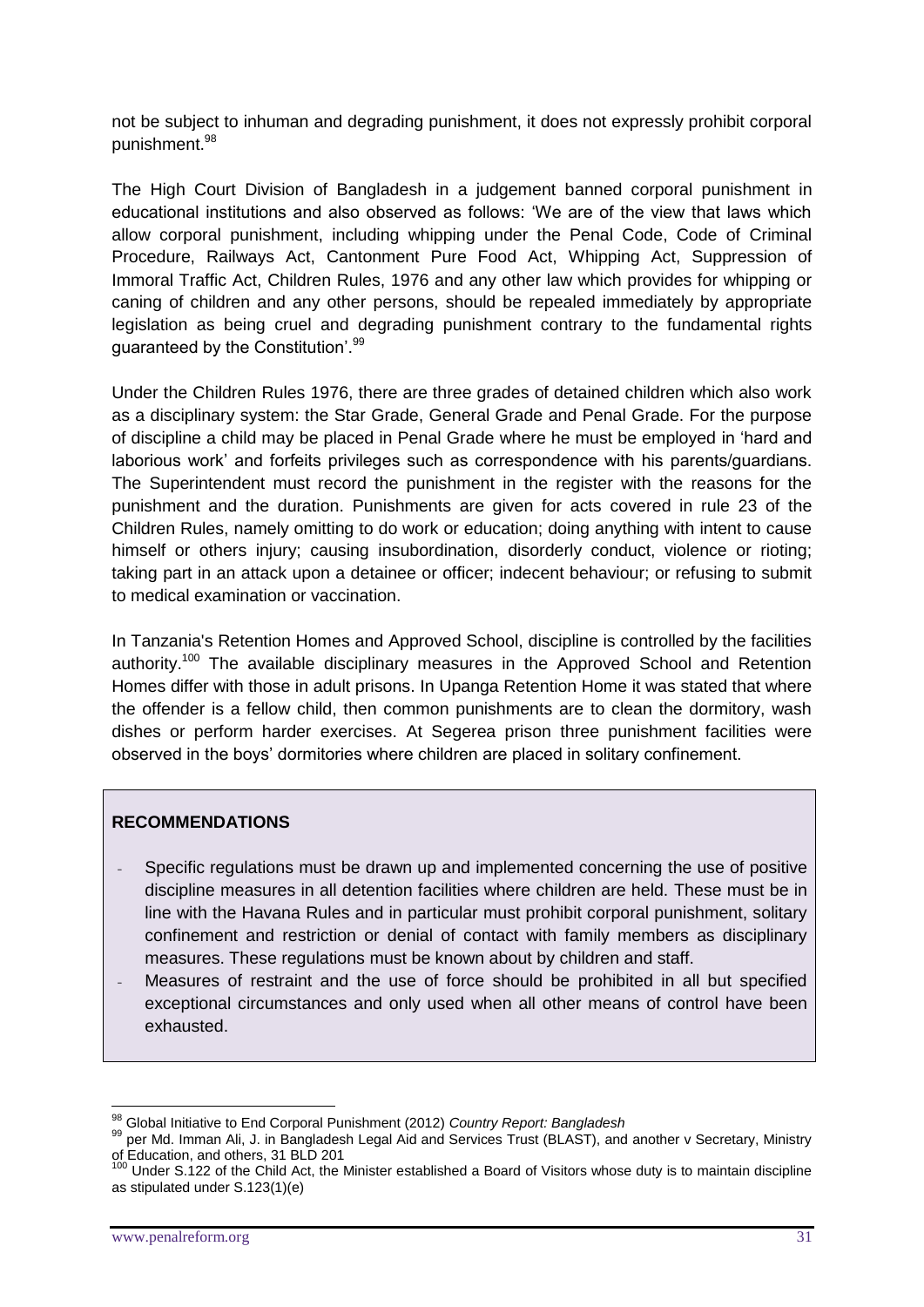not be subject to inhuman and degrading punishment, it does not expressly prohibit corporal punishment.<sup>98</sup>

The High Court Division of Bangladesh in a judgement banned corporal punishment in educational institutions and also observed as follows: 'We are of the view that laws which allow corporal punishment, including whipping under the Penal Code, Code of Criminal Procedure, Railways Act, Cantonment Pure Food Act, Whipping Act, Suppression of Immoral Traffic Act, Children Rules, 1976 and any other law which provides for whipping or caning of children and any other persons, should be repealed immediately by appropriate legislation as being cruel and degrading punishment contrary to the fundamental rights guaranteed by the Constitution'.<sup>99</sup>

Under the Children Rules 1976, there are three grades of detained children which also work as a disciplinary system: the Star Grade, General Grade and Penal Grade. For the purpose of discipline a child may be placed in Penal Grade where he must be employed in 'hard and laborious work' and forfeits privileges such as correspondence with his parents/guardians. The Superintendent must record the punishment in the register with the reasons for the punishment and the duration. Punishments are given for acts covered in rule 23 of the Children Rules, namely omitting to do work or education; doing anything with intent to cause himself or others injury; causing insubordination, disorderly conduct, violence or rioting; taking part in an attack upon a detainee or officer; indecent behaviour; or refusing to submit to medical examination or vaccination.

In Tanzania's Retention Homes and Approved School, discipline is controlled by the facilities authority.<sup>100</sup> The available disciplinary measures in the Approved School and Retention Homes differ with those in adult prisons. In Upanga Retention Home it was stated that where the offender is a fellow child, then common punishments are to clean the dormitory, wash dishes or perform harder exercises. At Segerea prison three punishment facilities were observed in the boys' dormitories where children are placed in solitary confinement.

#### **RECOMMENDATIONS**

- Specific regulations must be drawn up and implemented concerning the use of positive discipline measures in all detention facilities where children are held. These must be in line with the Havana Rules and in particular must prohibit corporal punishment, solitary confinement and restriction or denial of contact with family members as disciplinary measures. These regulations must be known about by children and staff.
- Measures of restraint and the use of force should be prohibited in all but specified exceptional circumstances and only used when all other means of control have been exhausted.

<sup>98</sup> Global Initiative to End Corporal Punishment (2012) *Country Report: Bangladesh*

<sup>99</sup> per Md. Imman Ali, J. in Bangladesh Legal Aid and Services Trust (BLAST), and another v Secretary, Ministry of Education, and others, 31 BLD 201

 $100$  Under S.122 of the Child Act, the Minister established a Board of Visitors whose duty is to maintain discipline as stipulated under S.123(1)(e)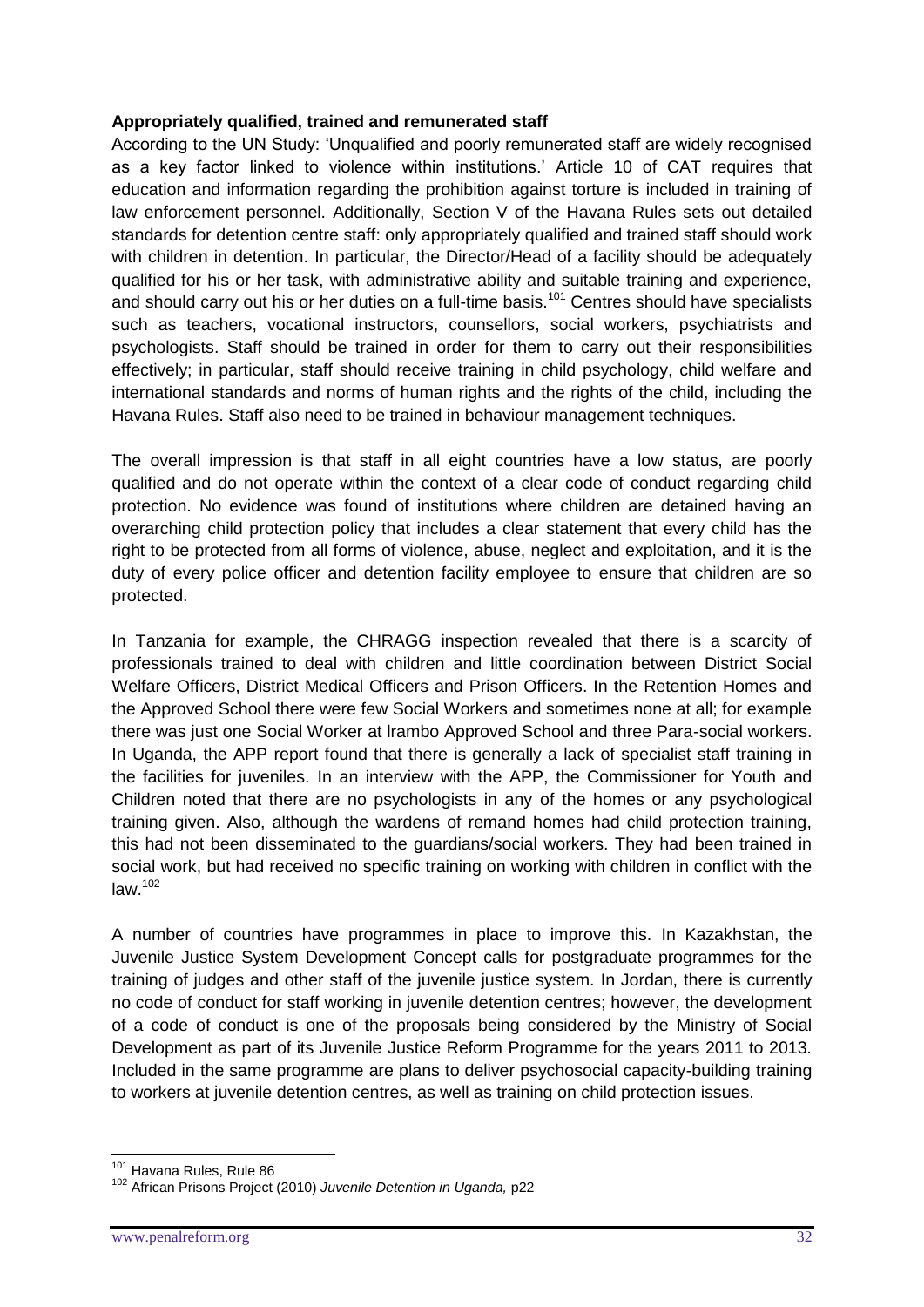#### **Appropriately qualified, trained and remunerated staff**

According to the UN Study: 'Unqualified and poorly remunerated staff are widely recognised as a key factor linked to violence within institutions.' Article 10 of CAT requires that education and information regarding the prohibition against torture is included in training of law enforcement personnel. Additionally, Section V of the Havana Rules sets out detailed standards for detention centre staff: only appropriately qualified and trained staff should work with children in detention. In particular, the Director/Head of a facility should be adequately qualified for his or her task, with administrative ability and suitable training and experience, and should carry out his or her duties on a full-time basis.<sup>101</sup> Centres should have specialists such as teachers, vocational instructors, counsellors, social workers, psychiatrists and psychologists. Staff should be trained in order for them to carry out their responsibilities effectively; in particular, staff should receive training in child psychology, child welfare and international standards and norms of human rights and the rights of the child, including the Havana Rules. Staff also need to be trained in behaviour management techniques.

The overall impression is that staff in all eight countries have a low status, are poorly qualified and do not operate within the context of a clear code of conduct regarding child protection. No evidence was found of institutions where children are detained having an overarching child protection policy that includes a clear statement that every child has the right to be protected from all forms of violence, abuse, neglect and exploitation, and it is the duty of every police officer and detention facility employee to ensure that children are so protected.

In Tanzania for example, the CHRAGG inspection revealed that there is a scarcity of professionals trained to deal with children and little coordination between District Social Welfare Officers, District Medical Officers and Prison Officers. In the Retention Homes and the Approved School there were few Social Workers and sometimes none at all; for example there was just one Social Worker at lrambo Approved School and three Para-social workers. In Uganda, the APP report found that there is generally a lack of specialist staff training in the facilities for juveniles. In an interview with the APP, the Commissioner for Youth and Children noted that there are no psychologists in any of the homes or any psychological training given. Also, although the wardens of remand homes had child protection training, this had not been disseminated to the guardians/social workers. They had been trained in social work, but had received no specific training on working with children in conflict with the  $law.<sup>102</sup>$ 

A number of countries have programmes in place to improve this. In Kazakhstan, the Juvenile Justice System Development Concept calls for postgraduate programmes for the training of judges and other staff of the juvenile justice system. In Jordan, there is currently no code of conduct for staff working in juvenile detention centres; however, the development of a code of conduct is one of the proposals being considered by the Ministry of Social Development as part of its Juvenile Justice Reform Programme for the years 2011 to 2013. Included in the same programme are plans to deliver psychosocial capacity-building training to workers at juvenile detention centres, as well as training on child protection issues.

<u>.</u>

<sup>101</sup> Havana Rules, Rule 86

<sup>102</sup> African Prisons Project (2010) *Juvenile Detention in Uganda,* p22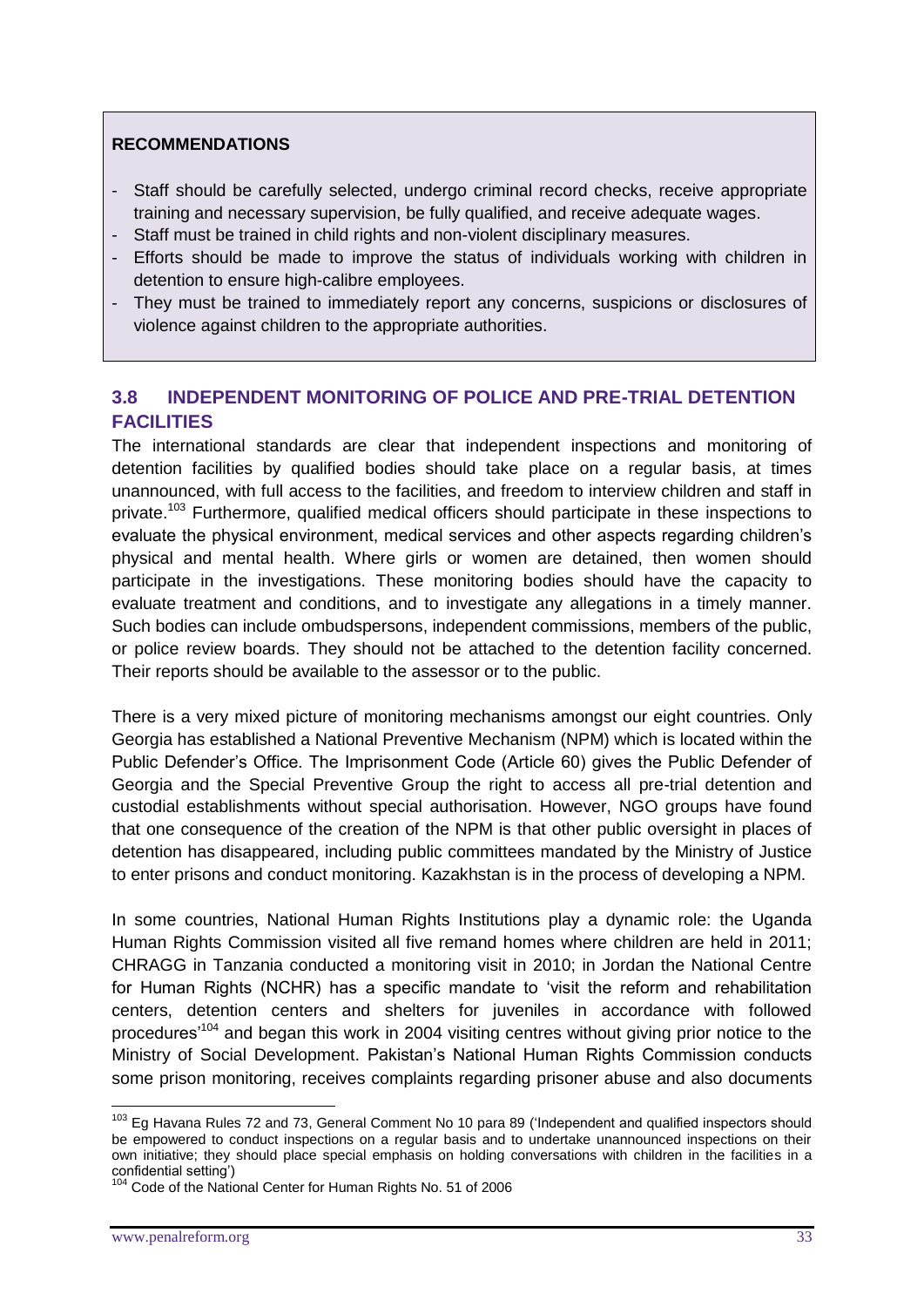#### **RECOMMENDATIONS**

- Staff should be carefully selected, undergo criminal record checks, receive appropriate training and necessary supervision, be fully qualified, and receive adequate wages.
- Staff must be trained in child rights and non-violent disciplinary measures.
- Efforts should be made to improve the status of individuals working with children in detention to ensure high-calibre employees.
- They must be trained to immediately report any concerns, suspicions or disclosures of violence against children to the appropriate authorities.

# **3.8 INDEPENDENT MONITORING OF POLICE AND PRE-TRIAL DETENTION FACILITIES**

The international standards are clear that independent inspections and monitoring of detention facilities by qualified bodies should take place on a regular basis, at times unannounced, with full access to the facilities, and freedom to interview children and staff in private.<sup>103</sup> Furthermore, qualified medical officers should participate in these inspections to evaluate the physical environment, medical services and other aspects regarding children's physical and mental health. Where girls or women are detained, then women should participate in the investigations. These monitoring bodies should have the capacity to evaluate treatment and conditions, and to investigate any allegations in a timely manner. Such bodies can include ombudspersons, independent commissions, members of the public, or police review boards. They should not be attached to the detention facility concerned. Their reports should be available to the assessor or to the public.

There is a very mixed picture of monitoring mechanisms amongst our eight countries. Only Georgia has established a National Preventive Mechanism (NPM) which is located within the Public Defender's Office. The Imprisonment Code (Article 60) gives the Public Defender of Georgia and the Special Preventive Group the right to access all pre-trial detention and custodial establishments without special authorisation. However, NGO groups have found that one consequence of the creation of the NPM is that other public oversight in places of detention has disappeared, including public committees mandated by the Ministry of Justice to enter prisons and conduct monitoring. Kazakhstan is in the process of developing a NPM.

In some countries, National Human Rights Institutions play a dynamic role: the Uganda Human Rights Commission visited all five remand homes where children are held in 2011; CHRAGG in Tanzania conducted a monitoring visit in 2010; in Jordan the National Centre for Human Rights (NCHR) has a specific mandate to 'visit the reform and rehabilitation centers, detention centers and shelters for juveniles in accordance with followed procedures'<sup>104</sup> and began this work in 2004 visiting centres without giving prior notice to the Ministry of Social Development. Pakistan's National Human Rights Commission conducts some prison monitoring, receives complaints regarding prisoner abuse and also documents

<sup>&</sup>lt;sup>103</sup> Eg Havana Rules 72 and 73, General Comment No 10 para 89 ('Independent and qualified inspectors should be empowered to conduct inspections on a regular basis and to undertake unannounced inspections on their own initiative; they should place special emphasis on holding conversations with children in the facilities in a confidential setting')

Code of the National Center for Human Rights No. 51 of 2006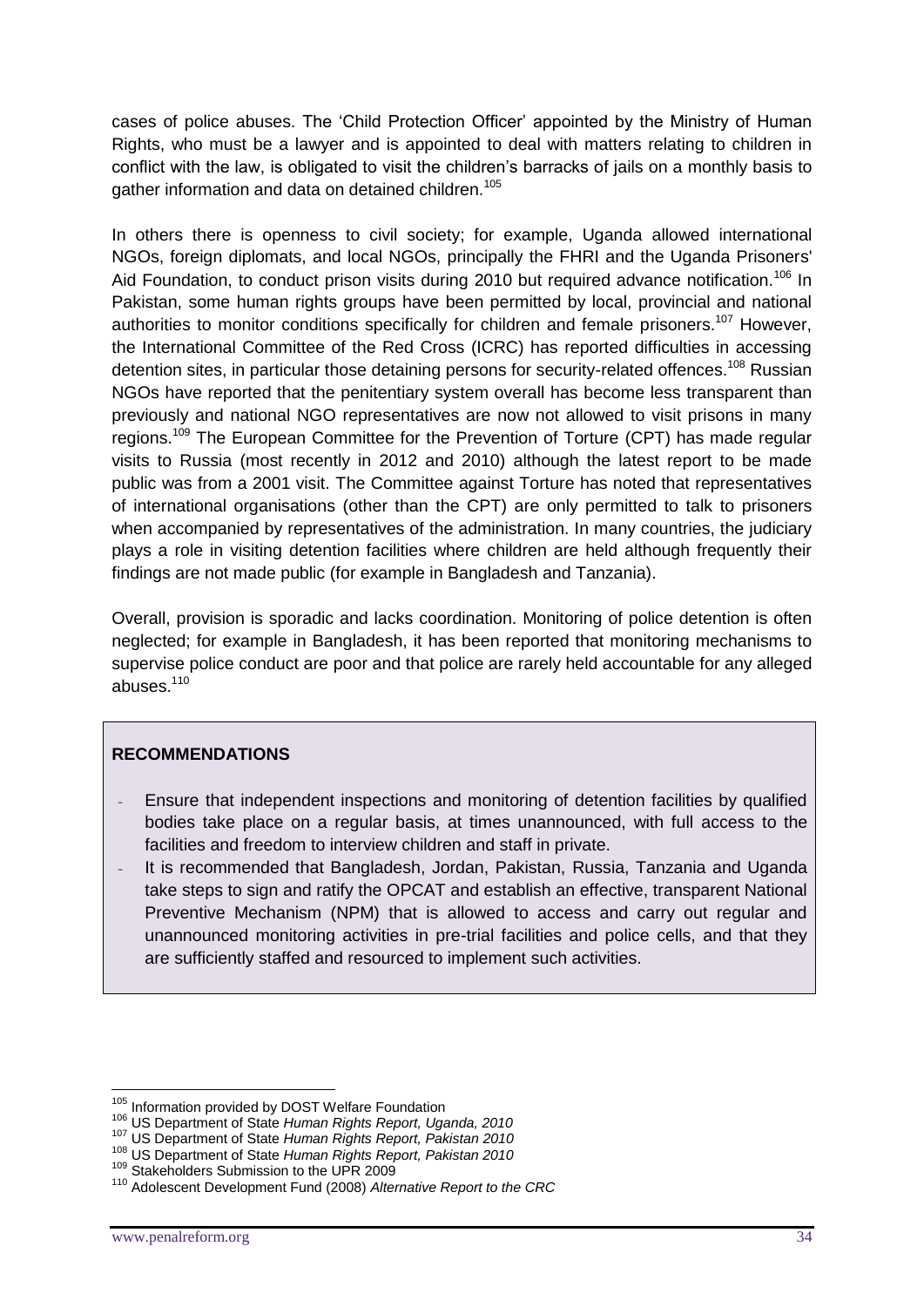cases of police abuses. The 'Child Protection Officer' appointed by the Ministry of Human Rights, who must be a lawyer and is appointed to deal with matters relating to children in conflict with the law, is obligated to visit the children's barracks of jails on a monthly basis to gather information and data on detained children.<sup>105</sup>

In others there is openness to civil society; for example, Uganda allowed international NGOs, foreign diplomats, and local NGOs, principally the FHRI and the Uganda Prisoners' Aid Foundation, to conduct prison visits during 2010 but required advance notification.<sup>106</sup> In Pakistan, some human rights groups have been permitted by local, provincial and national authorities to monitor conditions specifically for children and female prisoners.<sup>107</sup> However, the International Committee of the Red Cross (ICRC) has reported difficulties in accessing detention sites, in particular those detaining persons for security-related offences.<sup>108</sup> Russian NGOs have reported that the penitentiary system overall has become less transparent than previously and national NGO representatives are now not allowed to visit prisons in many regions.<sup>109</sup> The European Committee for the Prevention of Torture (CPT) has made regular visits to Russia (most recently in 2012 and 2010) although the latest report to be made public was from a 2001 visit. The Committee against Torture has noted that representatives of international organisations (other than the CPT) are only permitted to talk to prisoners when accompanied by representatives of the administration. In many countries, the judiciary plays a role in visiting detention facilities where children are held although frequently their findings are not made public (for example in Bangladesh and Tanzania).

Overall, provision is sporadic and lacks coordination. Monitoring of police detention is often neglected; for example in Bangladesh, it has been reported that monitoring mechanisms to supervise police conduct are poor and that police are rarely held accountable for any alleged abuses.<sup>110</sup>

# **RECOMMENDATIONS**

- Ensure that independent inspections and monitoring of detention facilities by qualified bodies take place on a regular basis, at times unannounced, with full access to the facilities and freedom to interview children and staff in private.
- It is recommended that Bangladesh, Jordan, Pakistan, Russia, Tanzania and Uganda take steps to sign and ratify the OPCAT and establish an effective, transparent National Preventive Mechanism (NPM) that is allowed to access and carry out regular and unannounced monitoring activities in pre-trial facilities and police cells, and that they are sufficiently staffed and resourced to implement such activities.

<sup>1</sup> <sup>105</sup> Information provided by DOST Welfare Foundation

<sup>106</sup> US Department of State *Human Rights Report, Uganda, 2010*

<sup>107</sup> US Department of State *Human Rights Report, Pakistan 2010*

<sup>108</sup> US Department of State *Human Rights Report, Pakistan 2010*

<sup>109</sup> Stakeholders Submission to the UPR 2009

<sup>110</sup> Adolescent Development Fund (2008) *Alternative Report to the CRC*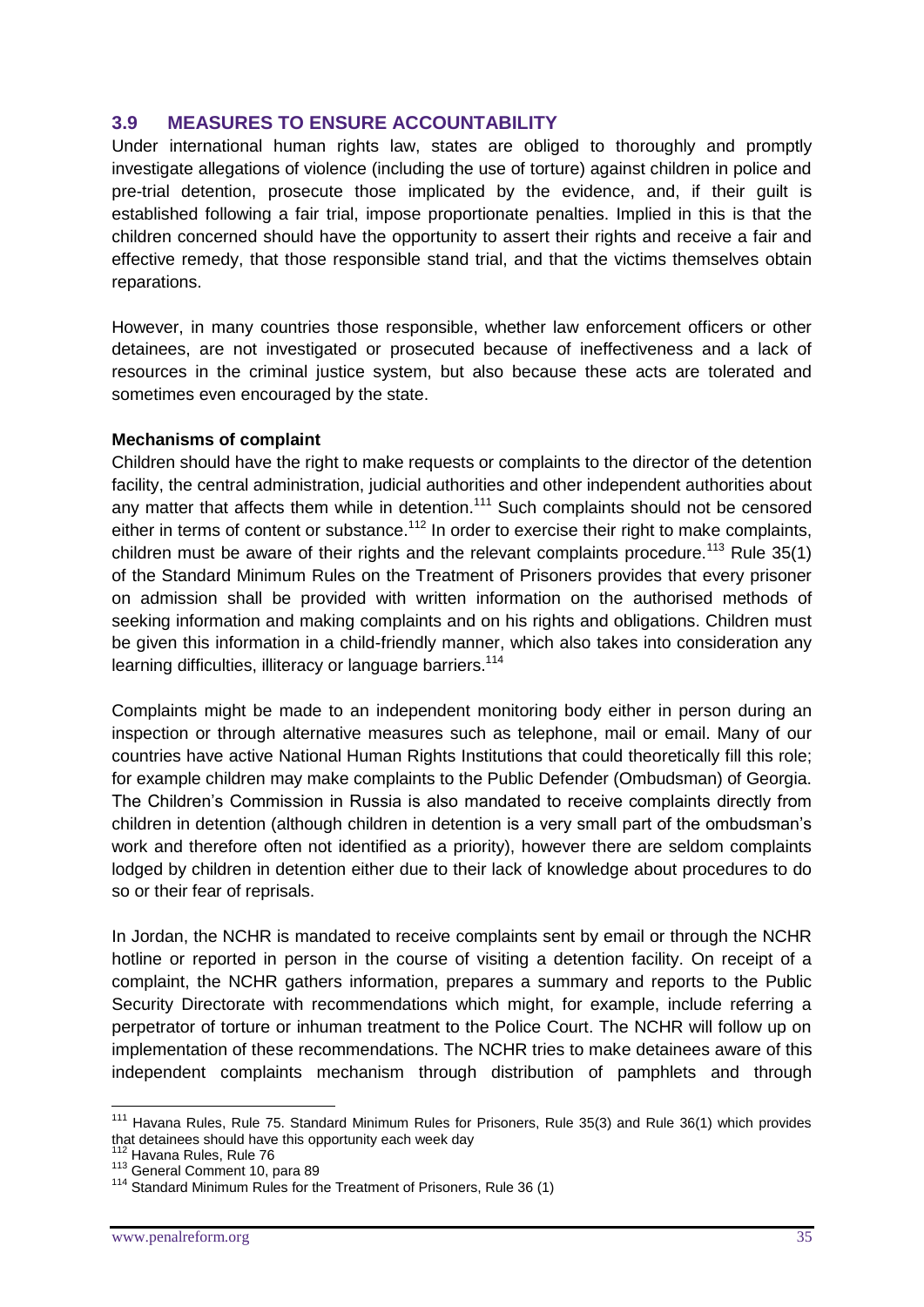# **3.9 MEASURES TO ENSURE ACCOUNTABILITY**

Under international human rights law, states are obliged to thoroughly and promptly investigate allegations of violence (including the use of torture) against children in police and pre-trial detention, prosecute those implicated by the evidence, and, if their guilt is established following a fair trial, impose proportionate penalties. Implied in this is that the children concerned should have the opportunity to assert their rights and receive a fair and effective remedy, that those responsible stand trial, and that the victims themselves obtain reparations.

However, in many countries those responsible, whether law enforcement officers or other detainees, are not investigated or prosecuted because of ineffectiveness and a lack of resources in the criminal justice system, but also because these acts are tolerated and sometimes even encouraged by the state.

#### **Mechanisms of complaint**

Children should have the right to make requests or complaints to the director of the detention facility, the central administration, judicial authorities and other independent authorities about any matter that affects them while in detention.<sup>111</sup> Such complaints should not be censored either in terms of content or substance.<sup>112</sup> In order to exercise their right to make complaints, children must be aware of their rights and the relevant complaints procedure.<sup>113</sup> Rule 35(1) of the Standard Minimum Rules on the Treatment of Prisoners provides that every prisoner on admission shall be provided with written information on the authorised methods of seeking information and making complaints and on his rights and obligations. Children must be given this information in a child-friendly manner, which also takes into consideration any learning difficulties, illiteracy or language barriers.<sup>114</sup>

Complaints might be made to an independent monitoring body either in person during an inspection or through alternative measures such as telephone, mail or email. Many of our countries have active National Human Rights Institutions that could theoretically fill this role; for example children may make complaints to the Public Defender (Ombudsman) of Georgia. The Children's Commission in Russia is also mandated to receive complaints directly from children in detention (although children in detention is a very small part of the ombudsman's work and therefore often not identified as a priority), however there are seldom complaints lodged by children in detention either due to their lack of knowledge about procedures to do so or their fear of reprisals.

In Jordan, the NCHR is mandated to receive complaints sent by email or through the NCHR hotline or reported in person in the course of visiting a detention facility. On receipt of a complaint, the NCHR gathers information, prepares a summary and reports to the Public Security Directorate with recommendations which might, for example, include referring a perpetrator of torture or inhuman treatment to the Police Court. The NCHR will follow up on implementation of these recommendations. The NCHR tries to make detainees aware of this independent complaints mechanism through distribution of pamphlets and through

<sup>&</sup>lt;sup>111</sup> Havana Rules, Rule 75. Standard Minimum Rules for Prisoners, Rule 35(3) and Rule 36(1) which provides that detainees should have this opportunity each week day

<sup>&</sup>lt;sup>112</sup> Havana Rules, Rule 76

<sup>113</sup> General Comment 10, para 89

<sup>&</sup>lt;sup>114</sup> Standard Minimum Rules for the Treatment of Prisoners, Rule 36 (1)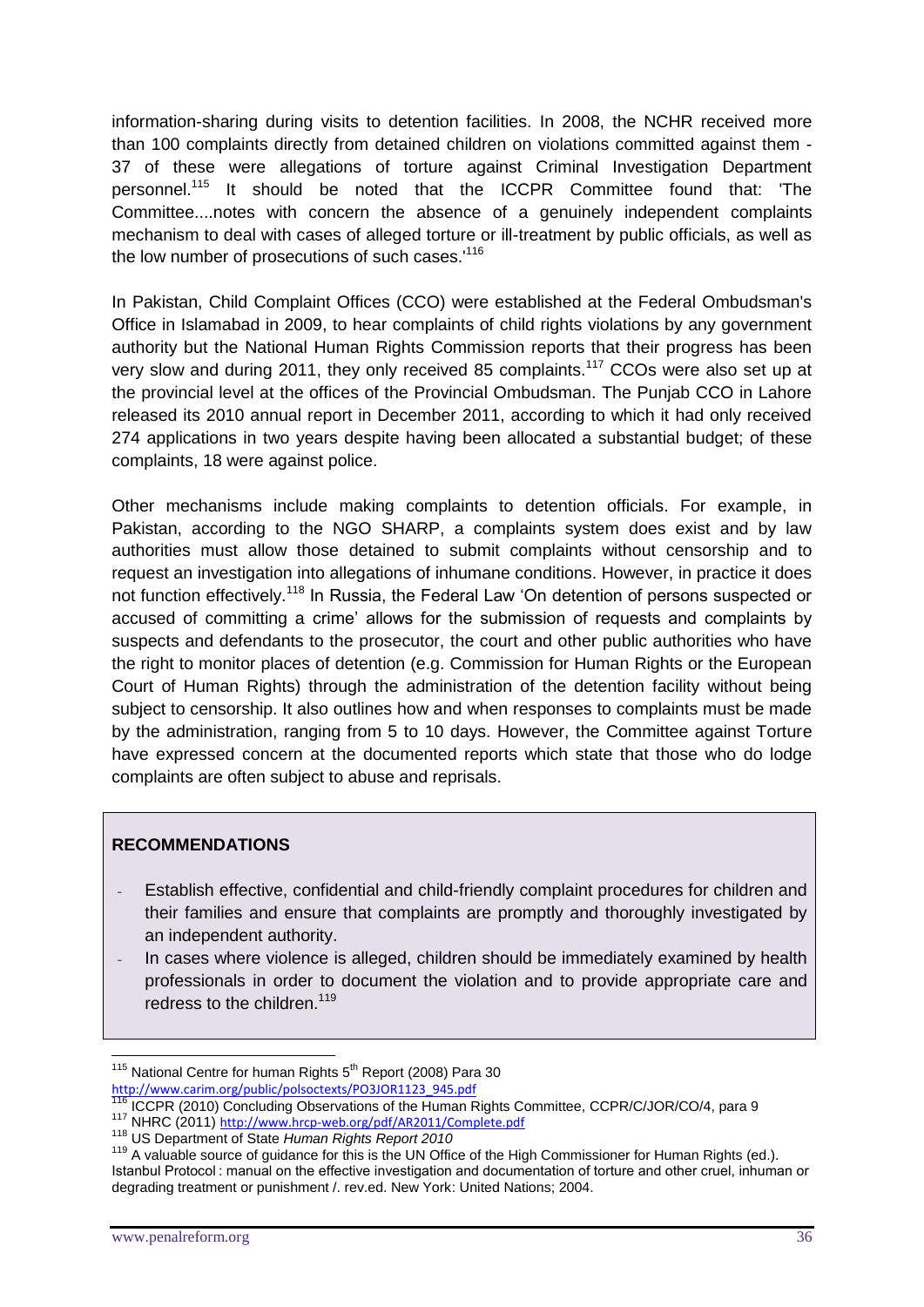information-sharing during visits to detention facilities. In 2008, the NCHR received more than 100 complaints directly from detained children on violations committed against them - 37 of these were allegations of torture against Criminal Investigation Department personnel.<sup>115</sup> It should be noted that the ICCPR Committee found that: 'The Committee....notes with concern the absence of a genuinely independent complaints mechanism to deal with cases of alleged torture or ill-treatment by public officials, as well as the low number of prosecutions of such cases.<sup>'116</sup>

In Pakistan, Child Complaint Offices (CCO) were established at the Federal Ombudsman's Office in Islamabad in 2009, to hear complaints of child rights violations by any government authority but the National Human Rights Commission reports that their progress has been very slow and during 2011, they only received 85 complaints.<sup>117</sup> CCOs were also set up at the provincial level at the offices of the Provincial Ombudsman. The Punjab CCO in Lahore released its 2010 annual report in December 2011, according to which it had only received 274 applications in two years despite having been allocated a substantial budget; of these complaints, 18 were against police.

Other mechanisms include making complaints to detention officials. For example, in Pakistan, according to the NGO SHARP, a complaints system does exist and by law authorities must allow those detained to submit complaints without censorship and to request an investigation into allegations of inhumane conditions. However, in practice it does not function effectively.<sup>118</sup> In Russia, the Federal Law 'On detention of persons suspected or accused of committing a crime' allows for the submission of requests and complaints by suspects and defendants to the prosecutor, the court and other public authorities who have the right to monitor places of detention (e.g. Commission for Human Rights or the European Court of Human Rights) through the administration of the detention facility without being subject to censorship. It also outlines how and when responses to complaints must be made by the administration, ranging from 5 to 10 days. However, the Committee against Torture have expressed concern at the documented reports which state that those who do lodge complaints are often subject to abuse and reprisals.

#### **RECOMMENDATIONS**

- Establish effective, confidential and child-friendly complaint procedures for children and their families and ensure that complaints are promptly and thoroughly investigated by an independent authority.
- In cases where violence is alleged, children should be immediately examined by health professionals in order to document the violation and to provide appropriate care and redress to the children.<sup>119</sup>

<sup>&</sup>lt;u>.</u>  $115$  National Centre for human Rights  $5<sup>th</sup>$  Report (2008) Para 30 [http://www.carim.org/public/polsoctexts/PO3JOR1123\\_945.pdf](http://www.carim.org/public/polsoctexts/PO3JOR1123_945.pdf)

<sup>116</sup> ICCPR (2010) Concluding Observations of the Human Rights Committee, CCPR/C/JOR/CO/4, para 9

<sup>117</sup> NHRC (2011) <http://www.hrcp-web.org/pdf/AR2011/Complete.pdf>

<sup>118</sup> US Department of State *Human Rights Report 2010*

<sup>&</sup>lt;sup>119</sup> A valuable source of guidance for this is the UN Office of the High Commissioner for Human Rights (ed.). Istanbul Protocol : manual on the effective investigation and documentation of torture and other cruel, inhuman or degrading treatment or punishment /. rev.ed. New York: United Nations; 2004.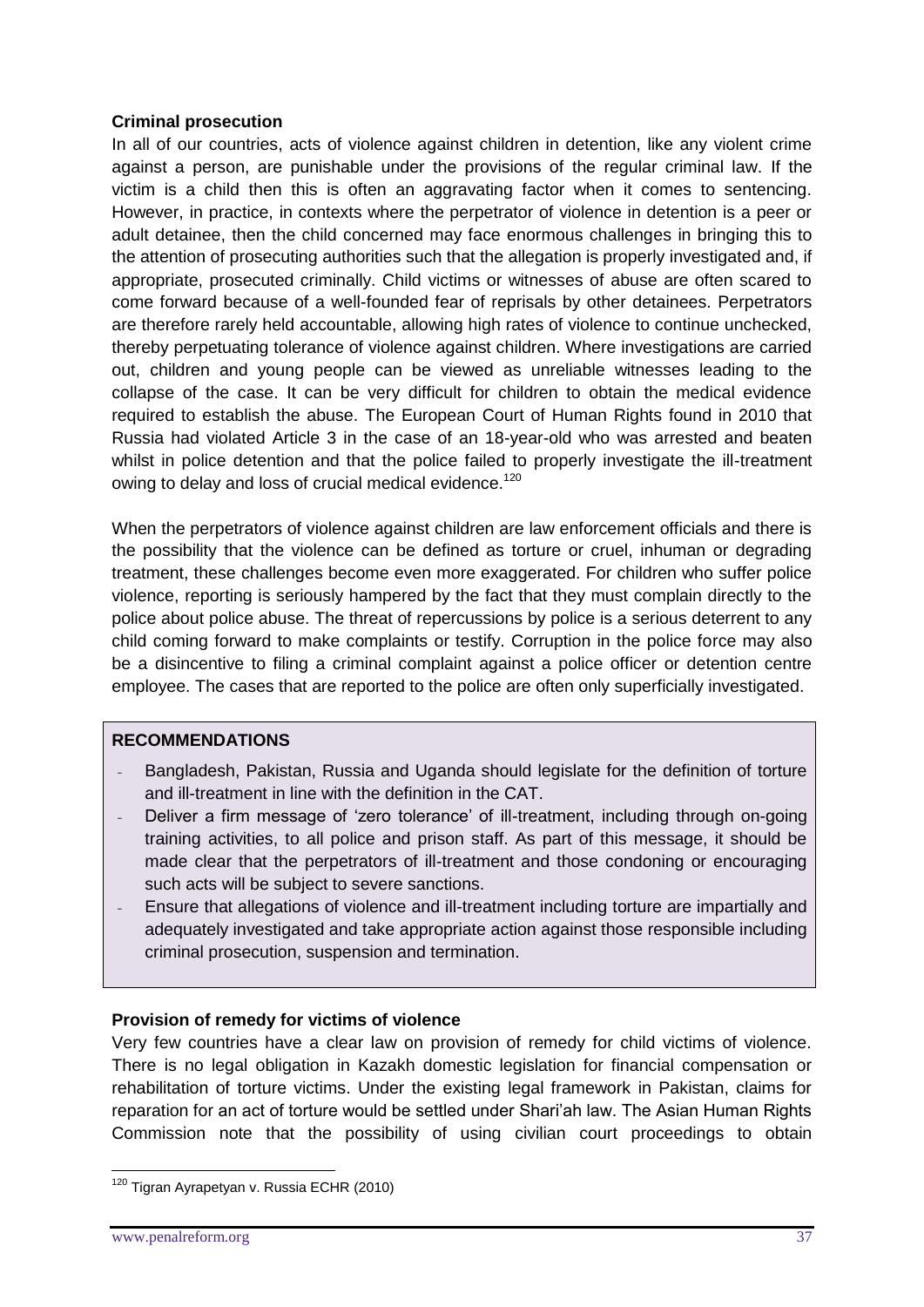### **Criminal prosecution**

In all of our countries, acts of violence against children in detention, like any violent crime against a person, are punishable under the provisions of the regular criminal law. If the victim is a child then this is often an aggravating factor when it comes to sentencing. However, in practice, in contexts where the perpetrator of violence in detention is a peer or adult detainee, then the child concerned may face enormous challenges in bringing this to the attention of prosecuting authorities such that the allegation is properly investigated and, if appropriate, prosecuted criminally. Child victims or witnesses of abuse are often scared to come forward because of a well-founded fear of reprisals by other detainees. Perpetrators are therefore rarely held accountable, allowing high rates of violence to continue unchecked, thereby perpetuating tolerance of violence against children. Where investigations are carried out, children and young people can be viewed as unreliable witnesses leading to the collapse of the case. It can be very difficult for children to obtain the medical evidence required to establish the abuse. The European Court of Human Rights found in 2010 that Russia had violated Article 3 in the case of an 18-year-old who was arrested and beaten whilst in police detention and that the police failed to properly investigate the ill-treatment owing to delay and loss of crucial medical evidence.<sup>120</sup>

When the perpetrators of violence against children are law enforcement officials and there is the possibility that the violence can be defined as torture or cruel, inhuman or degrading treatment, these challenges become even more exaggerated. For children who suffer police violence, reporting is seriously hampered by the fact that they must complain directly to the police about police abuse. The threat of repercussions by police is a serious deterrent to any child coming forward to make complaints or testify. Corruption in the police force may also be a disincentive to filing a criminal complaint against a police officer or detention centre employee. The cases that are reported to the police are often only superficially investigated.

# **RECOMMENDATIONS**

- Bangladesh, Pakistan, Russia and Uganda should legislate for the definition of torture and ill-treatment in line with the definition in the CAT.
- Deliver a firm message of 'zero tolerance' of ill-treatment, including through on-going training activities, to all police and prison staff. As part of this message, it should be made clear that the perpetrators of ill-treatment and those condoning or encouraging such acts will be subject to severe sanctions.
- Ensure that allegations of violence and ill-treatment including torture are impartially and adequately investigated and take appropriate action against those responsible including criminal prosecution, suspension and termination.

# **Provision of remedy for victims of violence**

Very few countries have a clear law on provision of remedy for child victims of violence. There is no legal obligation in Kazakh domestic legislation for financial compensation or rehabilitation of torture victims. Under the existing legal framework in Pakistan, claims for reparation for an act of torture would be settled under Shari'ah law. The Asian Human Rights Commission note that the possibility of using civilian court proceedings to obtain

<sup>1</sup> <sup>120</sup> Tigran Ayrapetyan v. Russia ECHR (2010)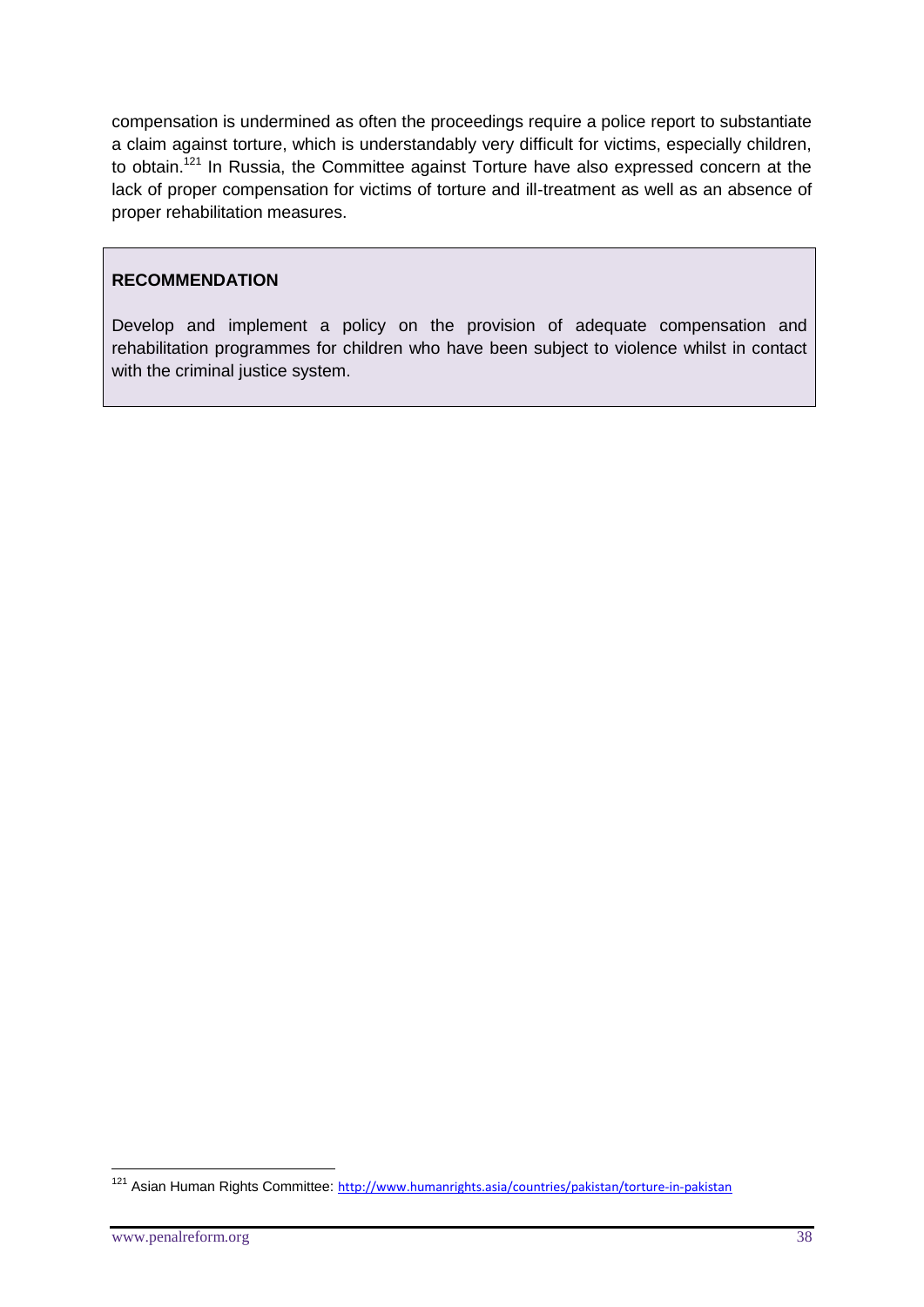compensation is undermined as often the proceedings require a police report to substantiate a claim against torture, which is understandably very difficult for victims, especially children, to obtain.<sup>121</sup> In Russia, the Committee against Torture have also expressed concern at the lack of proper compensation for victims of torture and ill-treatment as well as an absence of proper rehabilitation measures.

#### **RECOMMENDATION**

Develop and implement a policy on the provision of adequate compensation and rehabilitation programmes for children who have been subject to violence whilst in contact with the criminal justice system.

<sup>&</sup>lt;sup>121</sup> Asian Human Rights Committee: <http://www.humanrights.asia/countries/pakistan/torture-in-pakistan>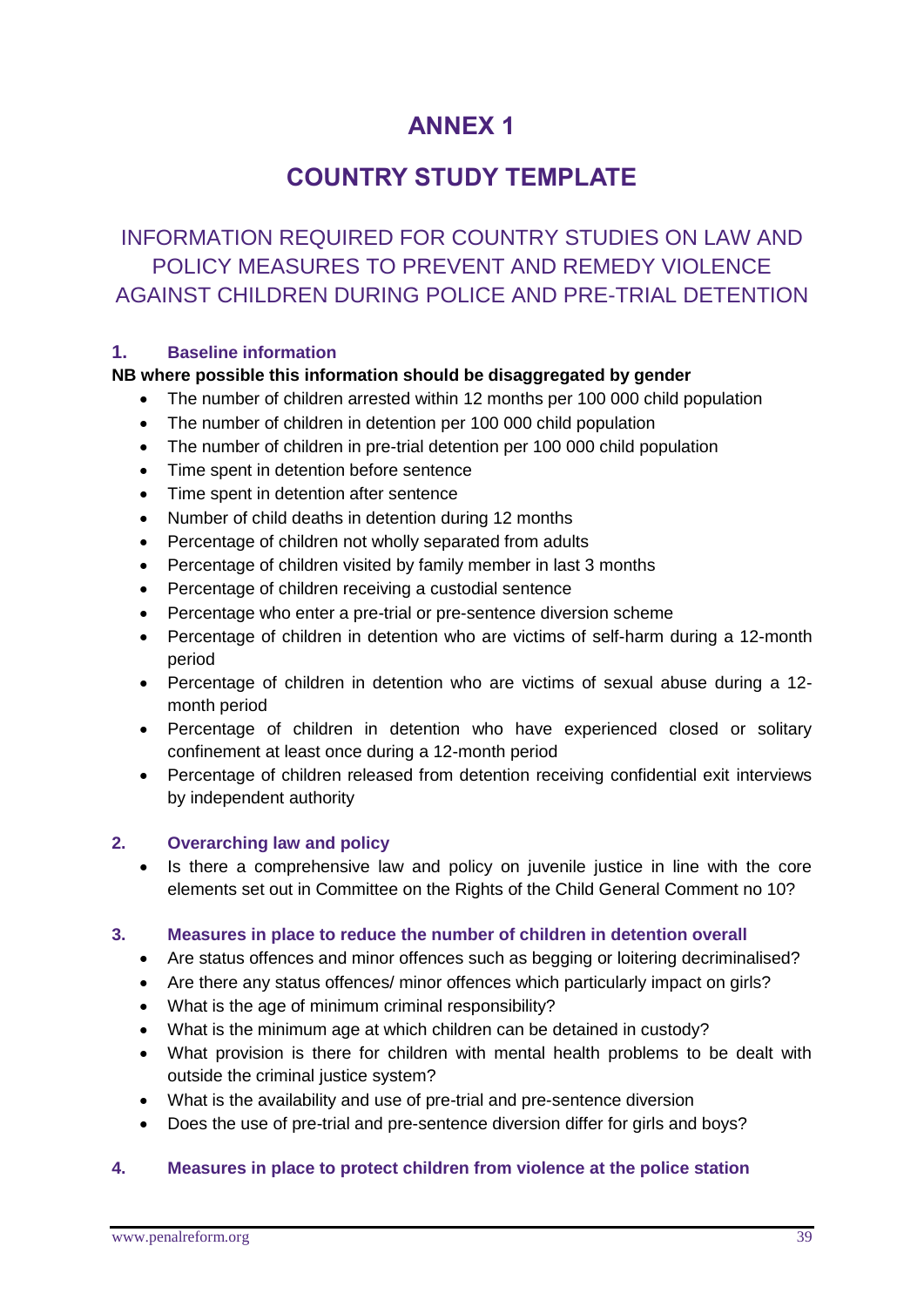# **ANNEX 1**

# **COUNTRY STUDY TEMPLATE**

# INFORMATION REQUIRED FOR COUNTRY STUDIES ON LAW AND POLICY MEASURES TO PREVENT AND REMEDY VIOLENCE AGAINST CHILDREN DURING POLICE AND PRE-TRIAL DETENTION

# **1. Baseline information**

# **NB where possible this information should be disaggregated by gender**

- The number of children arrested within 12 months per 100 000 child population
- The number of children in detention per 100 000 child population
- The number of children in pre-trial detention per 100 000 child population
- Time spent in detention before sentence
- Time spent in detention after sentence
- Number of child deaths in detention during 12 months
- Percentage of children not wholly separated from adults
- Percentage of children visited by family member in last 3 months
- Percentage of children receiving a custodial sentence
- Percentage who enter a pre-trial or pre-sentence diversion scheme
- Percentage of children in detention who are victims of self-harm during a 12-month period
- Percentage of children in detention who are victims of sexual abuse during a 12 month period
- Percentage of children in detention who have experienced closed or solitary confinement at least once during a 12-month period
- Percentage of children released from detention receiving confidential exit interviews by independent authority

# **2. Overarching law and policy**

 Is there a comprehensive law and policy on juvenile justice in line with the core elements set out in Committee on the Rights of the Child General Comment no 10?

# **3. Measures in place to reduce the number of children in detention overall**

- Are status offences and minor offences such as begging or loitering decriminalised?
- Are there any status offences/ minor offences which particularly impact on girls?
- What is the age of minimum criminal responsibility?
- What is the minimum age at which children can be detained in custody?
- What provision is there for children with mental health problems to be dealt with outside the criminal justice system?
- What is the availability and use of pre-trial and pre-sentence diversion
- Does the use of pre-trial and pre-sentence diversion differ for girls and boys?

# **4. Measures in place to protect children from violence at the police station**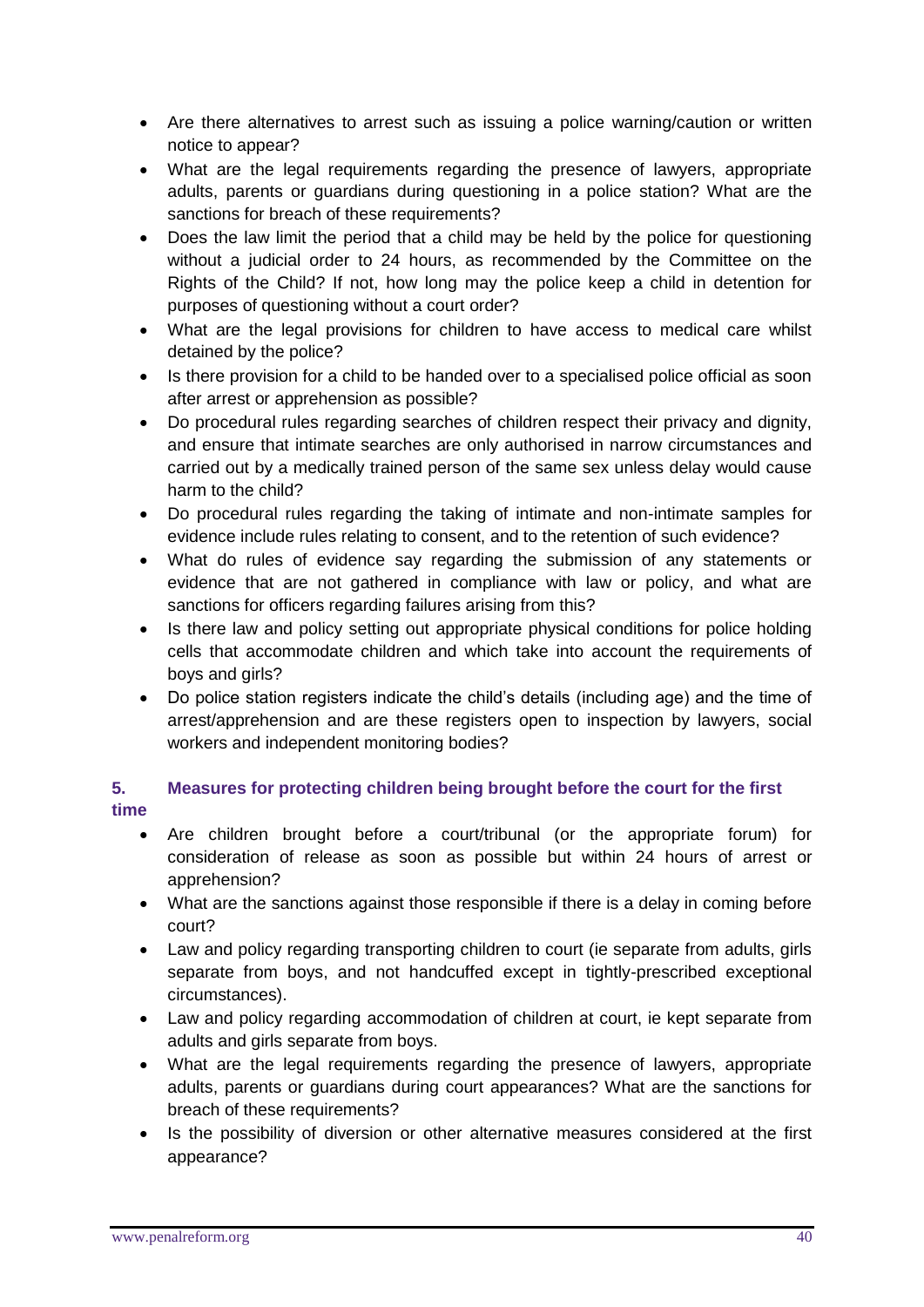- Are there alternatives to arrest such as issuing a police warning/caution or written notice to appear?
- What are the legal requirements regarding the presence of lawyers, appropriate adults, parents or guardians during questioning in a police station? What are the sanctions for breach of these requirements?
- Does the law limit the period that a child may be held by the police for questioning without a judicial order to 24 hours, as recommended by the Committee on the Rights of the Child? If not, how long may the police keep a child in detention for purposes of questioning without a court order?
- What are the legal provisions for children to have access to medical care whilst detained by the police?
- Is there provision for a child to be handed over to a specialised police official as soon after arrest or apprehension as possible?
- Do procedural rules regarding searches of children respect their privacy and dignity, and ensure that intimate searches are only authorised in narrow circumstances and carried out by a medically trained person of the same sex unless delay would cause harm to the child?
- Do procedural rules regarding the taking of intimate and non-intimate samples for evidence include rules relating to consent, and to the retention of such evidence?
- What do rules of evidence say regarding the submission of any statements or evidence that are not gathered in compliance with law or policy, and what are sanctions for officers regarding failures arising from this?
- Is there law and policy setting out appropriate physical conditions for police holding cells that accommodate children and which take into account the requirements of boys and girls?
- Do police station registers indicate the child's details (including age) and the time of arrest/apprehension and are these registers open to inspection by lawyers, social workers and independent monitoring bodies?

# **5. Measures for protecting children being brought before the court for the first time**

- Are children brought before a court/tribunal (or the appropriate forum) for consideration of release as soon as possible but within 24 hours of arrest or apprehension?
- What are the sanctions against those responsible if there is a delay in coming before court?
- Law and policy regarding transporting children to court (ie separate from adults, girls separate from boys, and not handcuffed except in tightly-prescribed exceptional circumstances).
- Law and policy regarding accommodation of children at court, ie kept separate from adults and girls separate from boys.
- What are the legal requirements regarding the presence of lawyers, appropriate adults, parents or guardians during court appearances? What are the sanctions for breach of these requirements?
- Is the possibility of diversion or other alternative measures considered at the first appearance?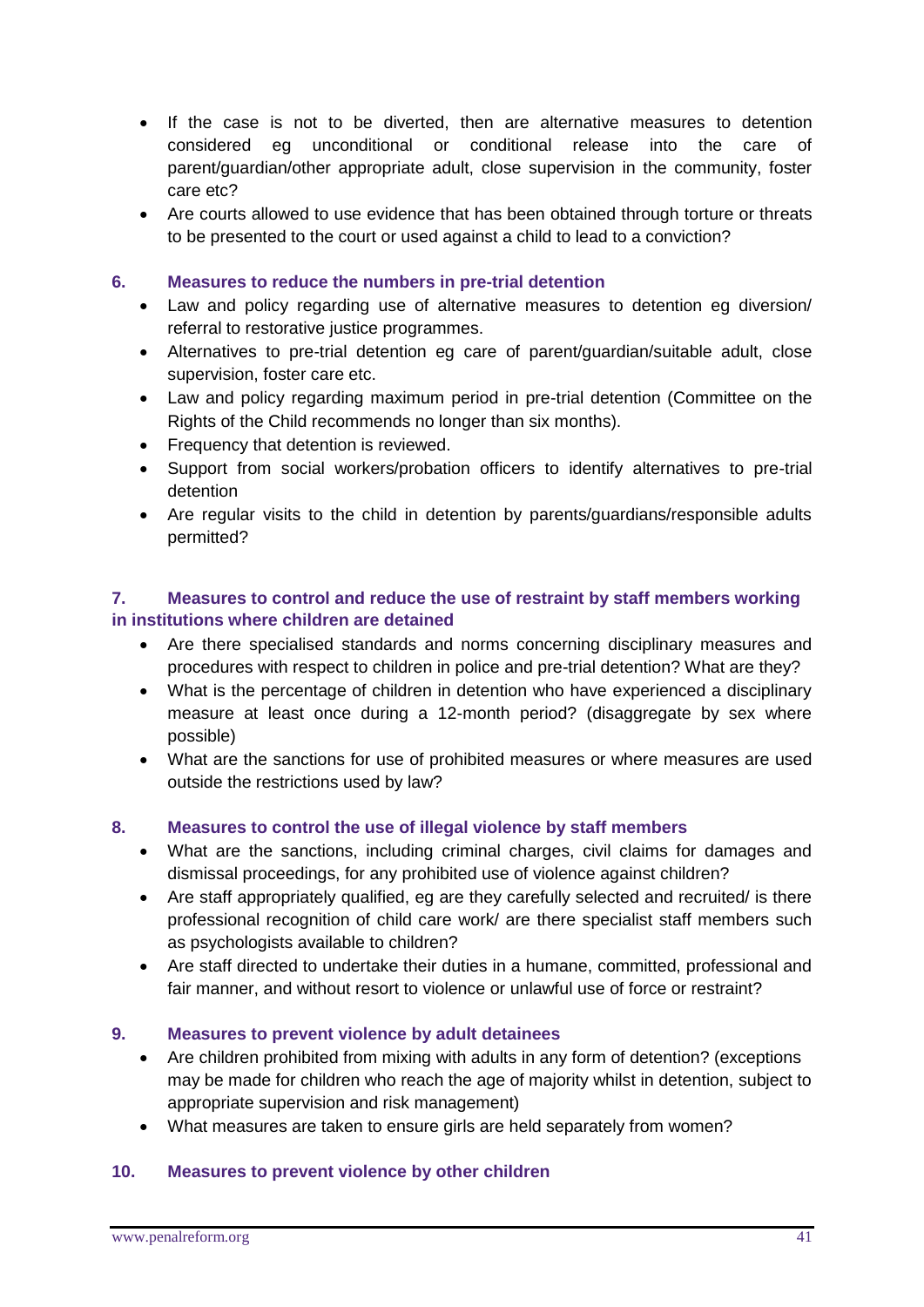- If the case is not to be diverted, then are alternative measures to detention considered eg unconditional or conditional release into the care of parent/guardian/other appropriate adult, close supervision in the community, foster care etc?
- Are courts allowed to use evidence that has been obtained through torture or threats to be presented to the court or used against a child to lead to a conviction?

#### **6. Measures to reduce the numbers in pre-trial detention**

- Law and policy regarding use of alternative measures to detention eg diversion/ referral to restorative justice programmes.
- Alternatives to pre-trial detention eg care of parent/guardian/suitable adult, close supervision, foster care etc.
- Law and policy regarding maximum period in pre-trial detention (Committee on the Rights of the Child recommends no longer than six months).
- Frequency that detention is reviewed.
- Support from social workers/probation officers to identify alternatives to pre-trial detention
- Are regular visits to the child in detention by parents/guardians/responsible adults permitted?

### **7. Measures to control and reduce the use of restraint by staff members working in institutions where children are detained**

- Are there specialised standards and norms concerning disciplinary measures and procedures with respect to children in police and pre-trial detention? What are they?
- What is the percentage of children in detention who have experienced a disciplinary measure at least once during a 12-month period? (disaggregate by sex where possible)
- What are the sanctions for use of prohibited measures or where measures are used outside the restrictions used by law?

# **8. Measures to control the use of illegal violence by staff members**

- What are the sanctions, including criminal charges, civil claims for damages and dismissal proceedings, for any prohibited use of violence against children?
- Are staff appropriately qualified, eg are they carefully selected and recruited/ is there professional recognition of child care work/ are there specialist staff members such as psychologists available to children?
- Are staff directed to undertake their duties in a humane, committed, professional and fair manner, and without resort to violence or unlawful use of force or restraint?

# **9. Measures to prevent violence by adult detainees**

- Are children prohibited from mixing with adults in any form of detention? (exceptions may be made for children who reach the age of majority whilst in detention, subject to appropriate supervision and risk management)
- What measures are taken to ensure girls are held separately from women?

#### **10. Measures to prevent violence by other children**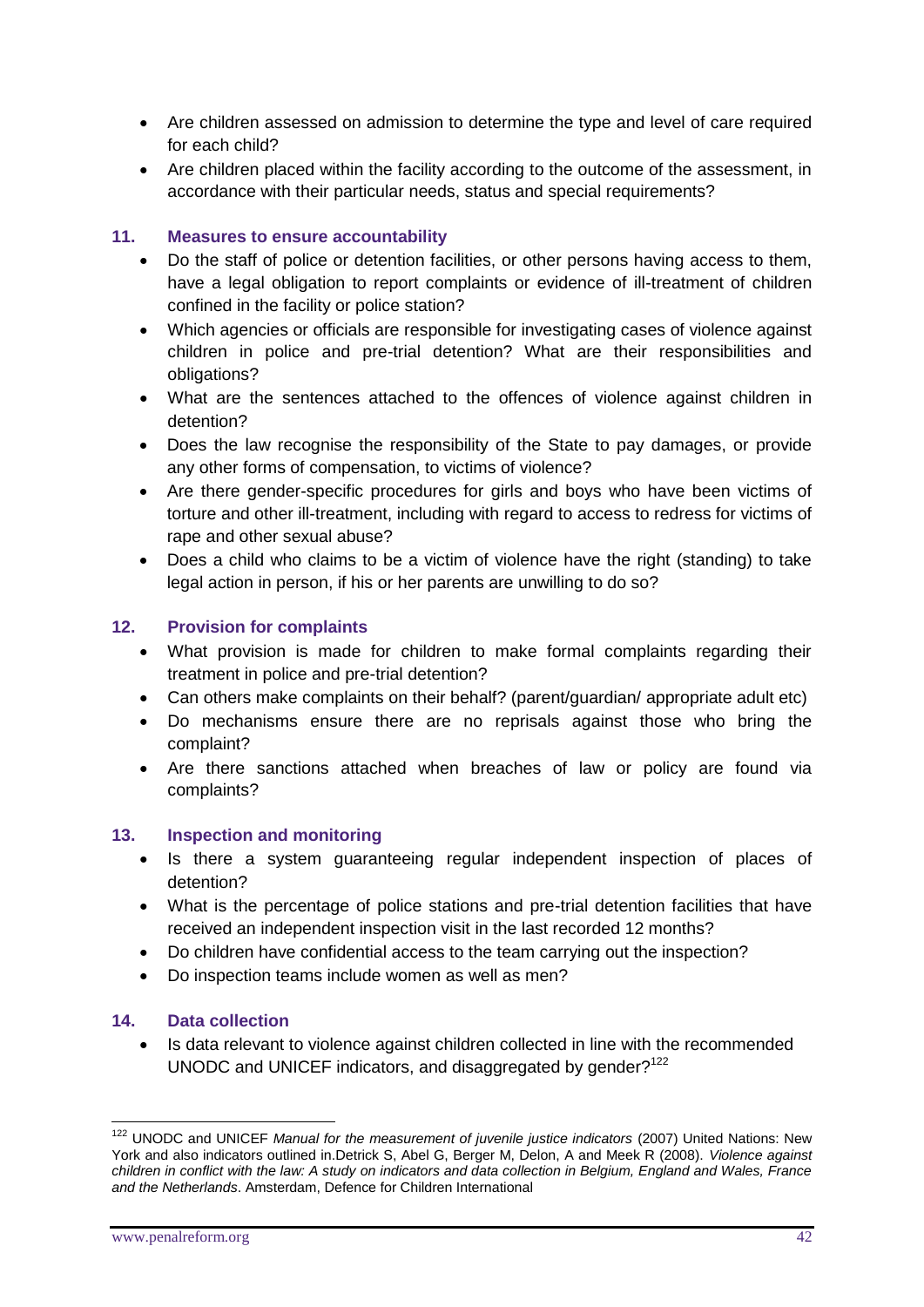- Are children assessed on admission to determine the type and level of care required for each child?
- Are children placed within the facility according to the outcome of the assessment, in accordance with their particular needs, status and special requirements?

# **11. Measures to ensure accountability**

- Do the staff of police or detention facilities, or other persons having access to them, have a legal obligation to report complaints or evidence of ill-treatment of children confined in the facility or police station?
- Which agencies or officials are responsible for investigating cases of violence against children in police and pre-trial detention? What are their responsibilities and obligations?
- What are the sentences attached to the offences of violence against children in detention?
- Does the law recognise the responsibility of the State to pay damages, or provide any other forms of compensation, to victims of violence?
- Are there gender-specific procedures for girls and boys who have been victims of torture and other ill-treatment, including with regard to access to redress for victims of rape and other sexual abuse?
- Does a child who claims to be a victim of violence have the right (standing) to take legal action in person, if his or her parents are unwilling to do so?

#### **12. Provision for complaints**

- What provision is made for children to make formal complaints regarding their treatment in police and pre-trial detention?
- Can others make complaints on their behalf? (parent/guardian/ appropriate adult etc)
- Do mechanisms ensure there are no reprisals against those who bring the complaint?
- Are there sanctions attached when breaches of law or policy are found via complaints?

#### **13. Inspection and monitoring**

- Is there a system quaranteeing regular independent inspection of places of detention?
- What is the percentage of police stations and pre-trial detention facilities that have received an independent inspection visit in the last recorded 12 months?
- Do children have confidential access to the team carrying out the inspection?
- Do inspection teams include women as well as men?

#### **14. Data collection**

 Is data relevant to violence against children collected in line with the recommended UNODC and UNICEF indicators, and disaggregated by gender?<sup>122</sup>

<u>.</u>

<sup>&</sup>lt;sup>122</sup> UNODC and UNICEF Manual for the measurement of juvenile justice indicators (2007) United Nations: New York and also indicators outlined in.Detrick S, Abel G, Berger M, Delon, A and Meek R (2008). *Violence against children in conflict with the law: A study on indicators and data collection in Belgium, England and Wales, France and the Netherlands*. Amsterdam, Defence for Children International